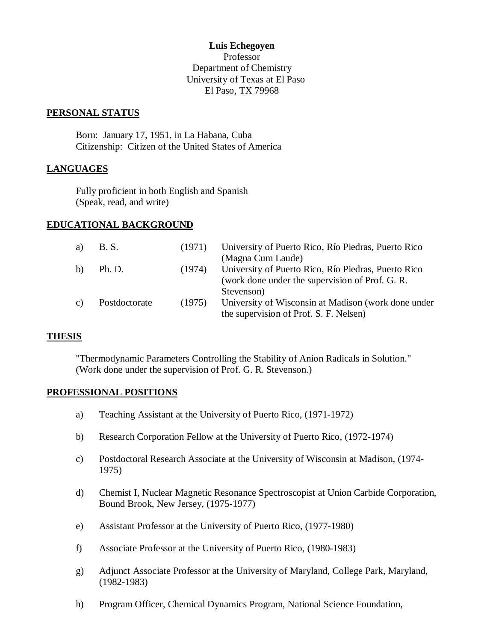#### **Luis Echegoyen**

Professor Department of Chemistry University of Texas at El Paso El Paso, TX 79968

#### **PERSONAL STATUS**

Born: January 17, 1951, in La Habana, Cuba Citizenship: Citizen of the United States of America

### **LANGUAGES**

Fully proficient in both English and Spanish (Speak, read, and write)

### **EDUCATIONAL BACKGROUND**

| a) | B. S.         |        | (1971) University of Puerto Rico, Río Piedras, Puerto Rico<br>(Magna Cum Laude)                             |
|----|---------------|--------|-------------------------------------------------------------------------------------------------------------|
| b) | Ph. D.        | (1974) | University of Puerto Rico, Río Piedras, Puerto Rico<br>(work done under the supervision of Prof. G. R.      |
| C) | Postdoctorate | (1975) | Stevenson)<br>University of Wisconsin at Madison (work done under<br>the supervision of Prof. S. F. Nelsen) |

### **THESIS**

"Thermodynamic Parameters Controlling the Stability of Anion Radicals in Solution." (Work done under the supervision of Prof. G. R. Stevenson.)

### **PROFESSIONAL POSITIONS**

- a) Teaching Assistant at the University of Puerto Rico, (1971-1972)
- b) Research Corporation Fellow at the University of Puerto Rico, (1972-1974)
- c) Postdoctoral Research Associate at the University of Wisconsin at Madison, (1974- 1975)
- d) Chemist I, Nuclear Magnetic Resonance Spectroscopist at Union Carbide Corporation, Bound Brook, New Jersey, (1975-1977)
- e) Assistant Professor at the University of Puerto Rico, (1977-1980)
- f) Associate Professor at the University of Puerto Rico, (1980-1983)
- g) Adjunct Associate Professor at the University of Maryland, College Park, Maryland, (1982-1983)
- h) Program Officer, Chemical Dynamics Program, National Science Foundation,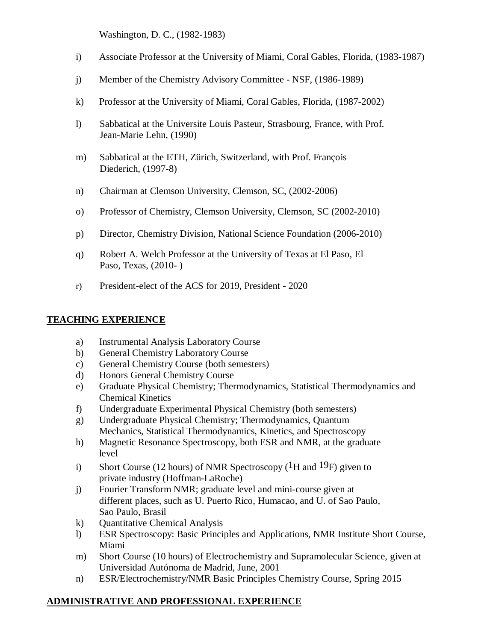Washington, D. C., (1982-1983)

- i) Associate Professor at the University of Miami, Coral Gables, Florida, (1983-1987)
- j) Member of the Chemistry Advisory Committee NSF, (1986-1989)
- k) Professor at the University of Miami, Coral Gables, Florida, (1987-2002)
- l) Sabbatical at the Universite Louis Pasteur, Strasbourg, France, with Prof. Jean-Marie Lehn, (1990)
- m) Sabbatical at the ETH, Zürich, Switzerland, with Prof. François Diederich, (1997-8)
- n) Chairman at Clemson University, Clemson, SC, (2002-2006)
- o) Professor of Chemistry, Clemson University, Clemson, SC (2002-2010)
- p) Director, Chemistry Division, National Science Foundation (2006-2010)
- q) Robert A. Welch Professor at the University of Texas at El Paso, El Paso, Texas, (2010- )
- r) President-elect of the ACS for 2019, President 2020

# **TEACHING EXPERIENCE**

- a) Instrumental Analysis Laboratory Course
- b) General Chemistry Laboratory Course
- c) General Chemistry Course (both semesters)
- d) Honors General Chemistry Course
- e) Graduate Physical Chemistry; Thermodynamics, Statistical Thermodynamics and Chemical Kinetics
- f) Undergraduate Experimental Physical Chemistry (both semesters)
- g) Undergraduate Physical Chemistry; Thermodynamics, Quantum Mechanics, Statistical Thermodynamics, Kinetics, and Spectroscopy
- h) Magnetic Resonance Spectroscopy, both ESR and NMR, at the graduate level
- i) Short Course (12 hours) of NMR Spectroscopy ( ${}^{1}$ H and  ${}^{19}$ F) given to private industry (Hoffman-LaRoche)
- j) Fourier Transform NMR; graduate level and mini-course given at different places, such as U. Puerto Rico, Humacao, and U. of Sao Paulo, Sao Paulo, Brasil
- k) Quantitative Chemical Analysis
- l) ESR Spectroscopy: Basic Principles and Applications, NMR Institute Short Course, Miami
- m) Short Course (10 hours) of Electrochemistry and Supramolecular Science, given at Universidad Autónoma de Madrid, June, 2001
- n) ESR/Electrochemistry/NMR Basic Principles Chemistry Course, Spring 2015

## **ADMINISTRATIVE AND PROFESSIONAL EXPERIENCE**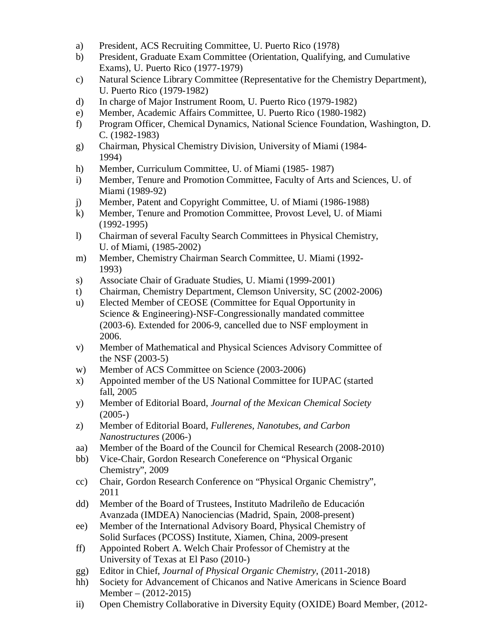- a) President, ACS Recruiting Committee, U. Puerto Rico (1978)
- b) President, Graduate Exam Committee (Orientation, Qualifying, and Cumulative Exams), U. Puerto Rico (1977-1979)
- c) Natural Science Library Committee (Representative for the Chemistry Department), U. Puerto Rico (1979-1982)
- d) In charge of Major Instrument Room, U. Puerto Rico (1979-1982)
- e) Member, Academic Affairs Committee, U. Puerto Rico (1980-1982)
- f) Program Officer, Chemical Dynamics, National Science Foundation, Washington, D. C. (1982-1983)
- g) Chairman, Physical Chemistry Division, University of Miami (1984- 1994)
- h) Member, Curriculum Committee, U. of Miami (1985- 1987)
- i) Member, Tenure and Promotion Committee, Faculty of Arts and Sciences, U. of Miami (1989-92)
- j) Member, Patent and Copyright Committee, U. of Miami (1986-1988)
- k) Member, Tenure and Promotion Committee, Provost Level, U. of Miami (1992-1995)
- l) Chairman of several Faculty Search Committees in Physical Chemistry, U. of Miami, (1985-2002)
- m) Member, Chemistry Chairman Search Committee, U. Miami (1992- 1993)
- s) Associate Chair of Graduate Studies, U. Miami (1999-2001)
- t) Chairman, Chemistry Department, Clemson University, SC (2002-2006)
- u) Elected Member of CEOSE (Committee for Equal Opportunity in Science & Engineering)-NSF-Congressionally mandated committee (2003-6). Extended for 2006-9, cancelled due to NSF employment in 2006.
- v) Member of Mathematical and Physical Sciences Advisory Committee of the NSF (2003-5)
- w) Member of ACS Committee on Science (2003-2006)
- x) Appointed member of the US National Committee for IUPAC (started fall, 2005
- y) Member of Editorial Board, *Journal of the Mexican Chemical Society*  $(2005-)$
- z) Member of Editorial Board, *Fullerenes, Nanotubes, and Carbon Nanostructures* (2006-)
- aa) Member of the Board of the Council for Chemical Research (2008-2010)
- bb) Vice-Chair, Gordon Research Coneference on "Physical Organic Chemistry", 2009
- cc) Chair, Gordon Research Conference on "Physical Organic Chemistry", 2011
- dd) Member of the Board of Trustees, Instituto Madrileño de Educación Avanzada (IMDEA) Nanociencias (Madrid, Spain, 2008-present)
- ee) Member of the International Advisory Board, Physical Chemistry of Solid Surfaces (PCOSS) Institute, Xiamen, China, 2009-present
- ff) Appointed Robert A. Welch Chair Professor of Chemistry at the University of Texas at El Paso (2010-)
- gg) Editor in Chief, *Journal of Physical Organic Chemistry*, (2011-2018)
- hh) Society for Advancement of Chicanos and Native Americans in Science Board Member – (2012-2015)
- ii) Open Chemistry Collaborative in Diversity Equity (OXIDE) Board Member, (2012-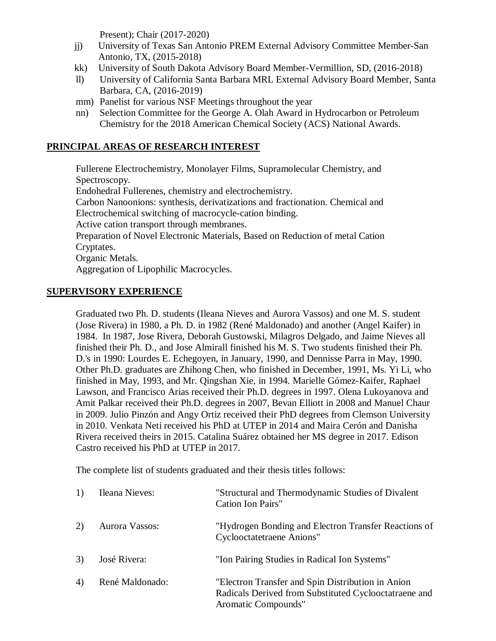Present); Chair (2017-2020)

- jj) University of Texas San Antonio PREM External Advisory Committee Member-San Antonio, TX, (2015-2018)
- kk) University of South Dakota Advisory Board Member-Vermillion, SD, (2016-2018)
- ll) University of California Santa Barbara MRL External Advisory Board Member, Santa Barbara, CA, (2016-2019)
- mm) Panelist for various NSF Meetings throughout the year
- nn) Selection Committee for the George A. Olah Award in Hydrocarbon or Petroleum Chemistry for the 2018 American Chemical Society (ACS) National Awards.

# **PRINCIPAL AREAS OF RESEARCH INTEREST**

Fullerene Electrochemistry, Monolayer Films, Supramolecular Chemistry, and Spectroscopy. Endohedral Fullerenes, chemistry and electrochemistry. Carbon Nanoonions: synthesis, derivatizations and fractionation. Chemical and Electrochemical switching of macrocycle-cation binding. Active cation transport through membranes. Preparation of Novel Electronic Materials, Based on Reduction of metal Cation Cryptates. Organic Metals. Aggregation of Lipophilic Macrocycles.

### **SUPERVISORY EXPERIENCE**

Graduated two Ph. D. students (Ileana Nieves and Aurora Vassos) and one M. S. student (Jose Rivera) in 1980, a Ph. D. in 1982 (René Maldonado) and another (Angel Kaifer) in 1984. In 1987, Jose Rivera, Deborah Gustowski, Milagros Delgado, and Jaime Nieves all finished their Ph. D., and Jose Almirall finished his M. S. Two students finished their Ph. D.'s in 1990: Lourdes E. Echegoyen, in January, 1990, and Dennisse Parra in May, 1990. Other Ph.D. graduates are Zhihong Chen, who finished in December, 1991, Ms. Yi Li, who finished in May, 1993, and Mr. Qingshan Xie, in 1994. Marielle Gómez-Kaifer, Raphael Lawson, and Francisco Arias received their Ph.D. degrees in 1997. Olena Lukoyanova and Amit Palkar received their Ph.D. degrees in 2007, Bevan Elliott in 2008 and Manuel Chaur in 2009. Julio Pinzón and Angy Ortiz received their PhD degrees from Clemson University in 2010. Venkata Neti received his PhD at UTEP in 2014 and Maira Cerón and Danisha Rivera received theirs in 2015. Catalina Suárez obtained her MS degree in 2017. Edison Castro received his PhD at UTEP in 2017.

The complete list of students graduated and their thesis titles follows:

| 1) | Ileana Nieves:  | "Structural and Thermodynamic Studies of Divalent<br>Cation Ion Pairs"                                                            |
|----|-----------------|-----------------------------------------------------------------------------------------------------------------------------------|
| 2) | Aurora Vassos:  | "Hydrogen Bonding and Electron Transfer Reactions of<br><b>Cyclooctatetraene Anions"</b>                                          |
| 3) | José Rivera:    | "Ion Pairing Studies in Radical Ion Systems"                                                                                      |
| 4) | René Maldonado: | "Electron Transfer and Spin Distribution in Anion<br>Radicals Derived from Substituted Cyclooctatraene and<br>Aromatic Compounds" |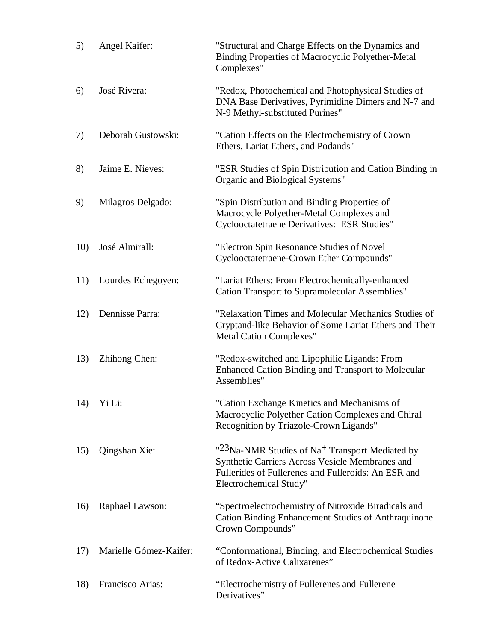| 5)  | Angel Kaifer:          | "Structural and Charge Effects on the Dynamics and<br>Binding Properties of Macrocyclic Polyether-Metal<br>Complexes"                                                                                       |
|-----|------------------------|-------------------------------------------------------------------------------------------------------------------------------------------------------------------------------------------------------------|
| 6)  | José Rivera:           | "Redox, Photochemical and Photophysical Studies of<br>DNA Base Derivatives, Pyrimidine Dimers and N-7 and<br>N-9 Methyl-substituted Purines"                                                                |
| 7)  | Deborah Gustowski:     | "Cation Effects on the Electrochemistry of Crown<br>Ethers, Lariat Ethers, and Podands"                                                                                                                     |
| 8)  | Jaime E. Nieves:       | "ESR Studies of Spin Distribution and Cation Binding in<br>Organic and Biological Systems"                                                                                                                  |
| 9)  | Milagros Delgado:      | "Spin Distribution and Binding Properties of<br>Macrocycle Polyether-Metal Complexes and<br>Cyclooctatetraene Derivatives: ESR Studies"                                                                     |
| 10) | José Almirall:         | "Electron Spin Resonance Studies of Novel<br>Cyclooctatetraene-Crown Ether Compounds"                                                                                                                       |
| 11) | Lourdes Echegoyen:     | "Lariat Ethers: From Electrochemically-enhanced<br><b>Cation Transport to Supramolecular Assemblies"</b>                                                                                                    |
| 12) | Dennisse Parra:        | "Relaxation Times and Molecular Mechanics Studies of<br>Cryptand-like Behavior of Some Lariat Ethers and Their<br><b>Metal Cation Complexes"</b>                                                            |
| 13) | Zhihong Chen:          | "Redox-switched and Lipophilic Ligands: From<br><b>Enhanced Cation Binding and Transport to Molecular</b><br>Assemblies"                                                                                    |
|     | 14) Yi Li:             | "Cation Exchange Kinetics and Mechanisms of<br>Macrocyclic Polyether Cation Complexes and Chiral<br>Recognition by Triazole-Crown Ligands"                                                                  |
| 15) | Qingshan Xie:          | " <sup>23</sup> Na-NMR Studies of Na <sup>+</sup> Transport Mediated by<br>Synthetic Carriers Across Vesicle Membranes and<br>Fullerides of Fullerenes and Fulleroids: An ESR and<br>Electrochemical Study" |
| 16) | Raphael Lawson:        | "Spectroelectrochemistry of Nitroxide Biradicals and<br><b>Cation Binding Enhancement Studies of Anthraquinone</b><br>Crown Compounds"                                                                      |
| 17) | Marielle Gómez-Kaifer: | "Conformational, Binding, and Electrochemical Studies<br>of Redox-Active Calixarenes"                                                                                                                       |
| 18) | Francisco Arias:       | "Electrochemistry of Fullerenes and Fullerene<br>Derivatives"                                                                                                                                               |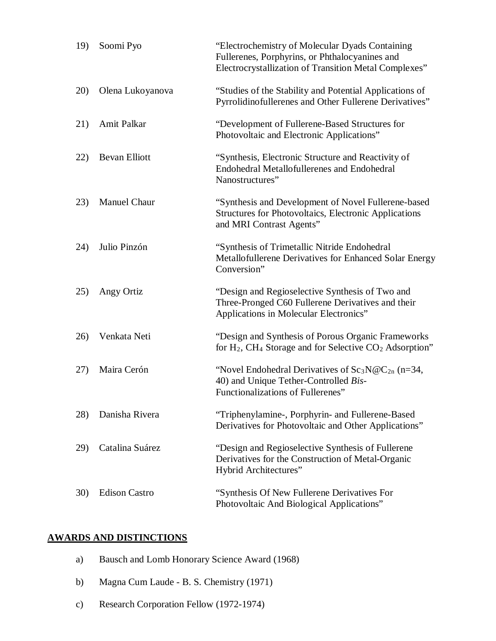| 19) | Soomi Pyo            | "Electrochemistry of Molecular Dyads Containing<br>Fullerenes, Porphyrins, or Phthalocyanines and<br>Electrocrystallization of Transition Metal Complexes" |
|-----|----------------------|------------------------------------------------------------------------------------------------------------------------------------------------------------|
| 20) | Olena Lukoyanova     | "Studies of the Stability and Potential Applications of<br>Pyrrolidinofullerenes and Other Fullerene Derivatives"                                          |
| 21) | Amit Palkar          | "Development of Fullerene-Based Structures for<br>Photovoltaic and Electronic Applications"                                                                |
| 22) | <b>Bevan Elliott</b> | "Synthesis, Electronic Structure and Reactivity of<br><b>Endohedral Metallofullerenes and Endohedral</b><br>Nanostructures"                                |
| 23) | <b>Manuel Chaur</b>  | "Synthesis and Development of Novel Fullerene-based<br>Structures for Photovoltaics, Electronic Applications<br>and MRI Contrast Agents"                   |
| 24) | Julio Pinzón         | "Synthesis of Trimetallic Nitride Endohedral<br>Metallofullerene Derivatives for Enhanced Solar Energy<br>Conversion"                                      |
| 25) | Angy Ortiz           | "Design and Regioselective Synthesis of Two and<br>Three-Pronged C60 Fullerene Derivatives and their<br>Applications in Molecular Electronics"             |
| 26) | Venkata Neti         | "Design and Synthesis of Porous Organic Frameworks"<br>for H <sub>2</sub> , CH <sub>4</sub> Storage and for Selective CO <sub>2</sub> Adsorption"          |
| 27) | Maira Cerón          | "Novel Endohedral Derivatives of $Sc_3N@C_{2n}$ (n=34,<br>40) and Unique Tether-Controlled Bis-<br>Functionalizations of Fullerenes"                       |
| 28) | Danisha Rivera       | "Triphenylamine-, Porphyrin- and Fullerene-Based<br>Derivatives for Photovoltaic and Other Applications"                                                   |
| 29) | Catalina Suárez      | "Design and Regioselective Synthesis of Fullerene"<br>Derivatives for the Construction of Metal-Organic<br>Hybrid Architectures"                           |
| 30) | <b>Edison Castro</b> | "Synthesis Of New Fullerene Derivatives For<br>Photovoltaic And Biological Applications"                                                                   |

# **AWARDS AND DISTINCTIONS**

- a) Bausch and Lomb Honorary Science Award (1968)
- b) Magna Cum Laude B. S. Chemistry (1971)
- c) Research Corporation Fellow (1972-1974)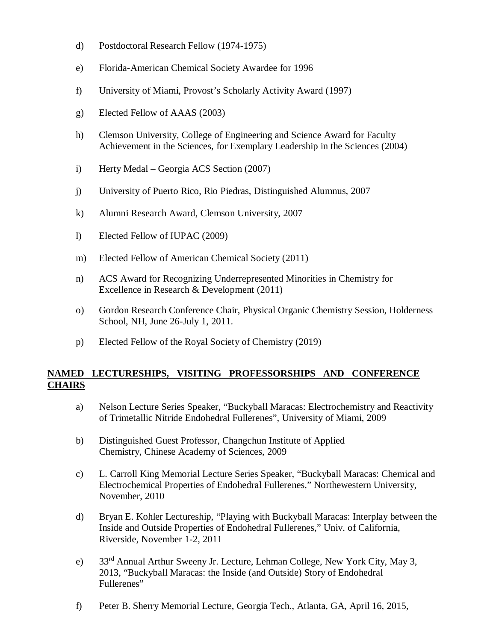- d) Postdoctoral Research Fellow (1974-1975)
- e) Florida-American Chemical Society Awardee for 1996
- f) University of Miami, Provost's Scholarly Activity Award (1997)
- g) Elected Fellow of AAAS (2003)
- h) Clemson University, College of Engineering and Science Award for Faculty Achievement in the Sciences, for Exemplary Leadership in the Sciences (2004)
- i) Herty Medal Georgia ACS Section (2007)
- j) University of Puerto Rico, Rio Piedras, Distinguished Alumnus, 2007
- k) Alumni Research Award, Clemson University, 2007
- l) Elected Fellow of IUPAC (2009)
- m) Elected Fellow of American Chemical Society (2011)
- n) ACS Award for Recognizing Underrepresented Minorities in Chemistry for Excellence in Research & Development (2011)
- o) Gordon Research Conference Chair, Physical Organic Chemistry Session, Holderness School, NH, June 26-July 1, 2011.
- p) Elected Fellow of the Royal Society of Chemistry (2019)

## **NAMED LECTURESHIPS, VISITING PROFESSORSHIPS AND CONFERENCE CHAIRS**

- a) Nelson Lecture Series Speaker, "Buckyball Maracas: Electrochemistry and Reactivity of Trimetallic Nitride Endohedral Fullerenes", University of Miami, 2009
- b) Distinguished Guest Professor, Changchun Institute of Applied Chemistry, Chinese Academy of Sciences, 2009
- c) L. Carroll King Memorial Lecture Series Speaker, "Buckyball Maracas: Chemical and Electrochemical Properties of Endohedral Fullerenes," Northewestern University, November, 2010
- d) Bryan E. Kohler Lectureship, "Playing with Buckyball Maracas: Interplay between the Inside and Outside Properties of Endohedral Fullerenes," Univ. of California, Riverside, November 1-2, 2011
- e) 33rd Annual Arthur Sweeny Jr. Lecture, Lehman College, New York City, May 3, 2013, "Buckyball Maracas: the Inside (and Outside) Story of Endohedral Fullerenes"
- f) Peter B. Sherry Memorial Lecture, Georgia Tech., Atlanta, GA, April 16, 2015,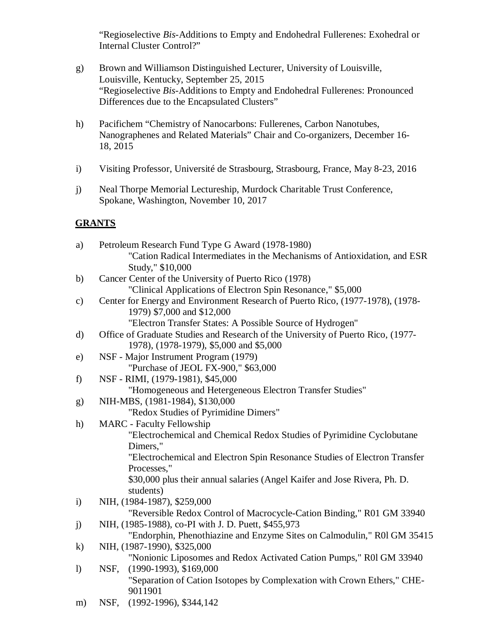"Regioselective *Bis*-Additions to Empty and Endohedral Fullerenes: Exohedral or Internal Cluster Control?"

- g) Brown and Williamson Distinguished Lecturer, University of Louisville, Louisville, Kentucky, September 25, 2015 "Regioselective *Bis*-Additions to Empty and Endohedral Fullerenes: Pronounced Differences due to the Encapsulated Clusters"
- h) Pacifichem "Chemistry of Nanocarbons: Fullerenes, Carbon Nanotubes, Nanographenes and Related Materials" Chair and Co-organizers, December 16- 18, 2015
- i) Visiting Professor, Université de Strasbourg, Strasbourg, France, May 8-23, 2016
- j) Neal Thorpe Memorial Lectureship, Murdock Charitable Trust Conference, Spokane, Washington, November 10, 2017

# **GRANTS**

| a)            | Petroleum Research Fund Type G Award (1978-1980)                                                             |
|---------------|--------------------------------------------------------------------------------------------------------------|
|               | "Cation Radical Intermediates in the Mechanisms of Antioxidation, and ESR                                    |
|               | Study," \$10,000                                                                                             |
| b)            | Cancer Center of the University of Puerto Rico (1978)                                                        |
|               | "Clinical Applications of Electron Spin Resonance," \$5,000                                                  |
| $\mathbf{c})$ | Center for Energy and Environment Research of Puerto Rico, (1977-1978), (1978-<br>1979) \$7,000 and \$12,000 |
|               | "Electron Transfer States: A Possible Source of Hydrogen"                                                    |
| $\mathbf{d}$  | Office of Graduate Studies and Research of the University of Puerto Rico, (1977-                             |
|               | 1978), (1978-1979), \$5,000 and \$5,000                                                                      |
| $\epsilon$ )  | NSF - Major Instrument Program (1979)                                                                        |
|               | "Purchase of JEOL FX-900," \$63,000                                                                          |
| f)            | NSF - RIMI, (1979-1981), \$45,000                                                                            |
|               | "Homogeneous and Hetergeneous Electron Transfer Studies"                                                     |
| g)            | NIH-MBS, (1981-1984), \$130,000                                                                              |
|               | "Redox Studies of Pyrimidine Dimers"                                                                         |
| h)            | <b>MARC</b> - Faculty Fellowship                                                                             |
|               | "Electrochemical and Chemical Redox Studies of Pyrimidine Cyclobutane                                        |
|               | Dimers,"                                                                                                     |
|               | "Electrochemical and Electron Spin Resonance Studies of Electron Transfer                                    |
|               | Processes,"                                                                                                  |
|               | \$30,000 plus their annual salaries (Angel Kaifer and Jose Rivera, Ph. D.                                    |
|               | students)                                                                                                    |
| $\mathbf{i}$  | NIH, (1984-1987), \$259,000                                                                                  |
|               | "Reversible Redox Control of Macrocycle-Cation Binding," R01 GM 33940                                        |
| j)            | NIH, (1985-1988), co-PI with J. D. Puett, \$455,973                                                          |
| $\mathbf{k}$  | "Endorphin, Phenothiazine and Enzyme Sites on Calmodulin," R01 GM 35415<br>NIH, (1987-1990), \$325,000       |
|               | "Nonionic Liposomes and Redox Activated Cation Pumps," R01 GM 33940                                          |
| $\mathbf{I}$  | $(1990-1993), $169,000$<br>NSF,                                                                              |
|               | "Separation of Cation Isotopes by Complexation with Crown Ethers," CHE-<br>9011901                           |
|               |                                                                                                              |

m) NSF, (1992-1996), \$344,142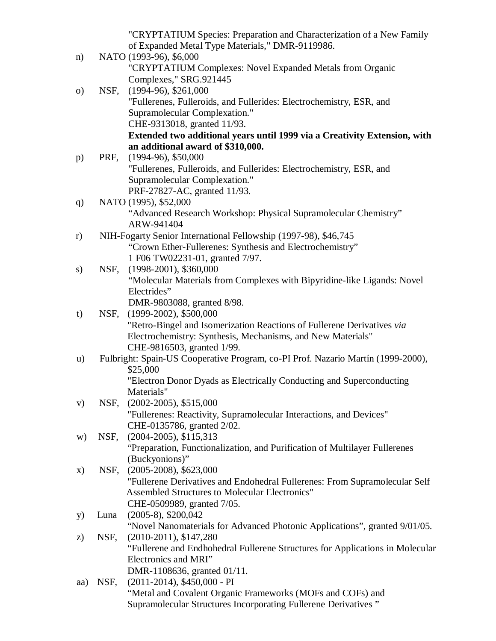"CRYPTATIUM Species: Preparation and Characterization of a New Family of Expanded Metal Type Materials," DMR-9119986.

n) NATO (1993-96), \$6,000 "CRYPTATIUM Complexes: Novel Expanded Metals from Organic Complexes," SRG.921445 o) NSF, (1994-96), \$261,000 "Fullerenes, Fulleroids, and Fullerides: Electrochemistry, ESR, and Supramolecular Complexation." CHE-9313018, granted 11/93. **Extended two additional years until 1999 via a Creativity Extension, with an additional award of \$310,000.** p) PRF, (1994-96), \$50,000 "Fullerenes, Fulleroids, and Fullerides: Electrochemistry, ESR, and Supramolecular Complexation." PRF-27827-AC, granted 11/93. q) NATO (1995), \$52,000 "Advanced Research Workshop: Physical Supramolecular Chemistry" ARW-941404 r) NIH-Fogarty Senior International Fellowship (1997-98), \$46,745 "Crown Ether-Fullerenes: Synthesis and Electrochemistry" 1 F06 TW02231-01, granted 7/97. s) NSF, (1998-2001), \$360,000 "Molecular Materials from Complexes with Bipyridine-like Ligands: Novel Electrides" DMR-9803088, granted 8/98. t) NSF, (1999-2002), \$500,000 "Retro-Bingel and Isomerization Reactions of Fullerene Derivatives *via* Electrochemistry: Synthesis, Mechanisms, and New Materials" CHE-9816503, granted 1/99. u) Fulbright: Spain-US Cooperative Program, co-PI Prof. Nazario Martín (1999-2000), \$25,000 "Electron Donor Dyads as Electrically Conducting and Superconducting Materials" v) NSF, (2002-2005), \$515,000 "Fullerenes: Reactivity, Supramolecular Interactions, and Devices" CHE-0135786, granted 2/02. w) NSF, (2004-2005), \$115,313 "Preparation, Functionalization, and Purification of Multilayer Fullerenes (Buckyonions)" x) NSF, (2005-2008), \$623,000 "Fullerene Derivatives and Endohedral Fullerenes: From Supramolecular Self Assembled Structures to Molecular Electronics" CHE-0509989, granted 7/05. y) Luna (2005-8), \$200,042 "Novel Nanomaterials for Advanced Photonic Applications", granted 9/01/05. z) NSF, (2010-2011), \$147,280 "Fullerene and Endhohedral Fullerene Structures for Applications in Molecular Electronics and MRI" DMR-1108636, granted 01/11. aa) NSF, (2011-2014), \$450,000 - PI "Metal and Covalent Organic Frameworks (MOFs and COFs) and Supramolecular Structures Incorporating Fullerene Derivatives "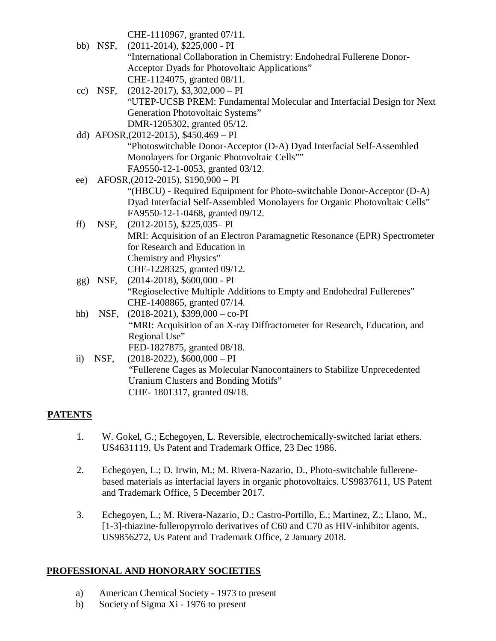CHE-1110967, granted 07/11.

- bb) NSF, (2011-2014), \$225,000 PI "International Collaboration in Chemistry: Endohedral Fullerene Donor-Acceptor Dyads for Photovoltaic Applications" CHE-1124075, granted 08/11. cc) NSF,  $(2012-2017)$ , \$3,302,000 – PI
- "UTEP-UCSB PREM: Fundamental Molecular and Interfacial Design for Next Generation Photovoltaic Systems" DMR-1205302, granted 05/12.
- dd) AFOSR,(2012-2015), \$450,469 PI "Photoswitchable Donor-Acceptor (D-A) Dyad Interfacial Self-Assembled Monolayers for Organic Photovoltaic Cells"" FA9550-12-1-0053, granted 03/12.
- ee) AFOSR,(2012-2015), \$190,900 PI "(HBCU) - Required Equipment for Photo-switchable Donor-Acceptor (D-A) Dyad Interfacial Self-Assembled Monolayers for Organic Photovoltaic Cells" FA9550-12-1-0468, granted 09/12.
- ff) NSF, (2012-2015), \$225,035– PI MRI: Acquisition of an Electron Paramagnetic Resonance (EPR) Spectrometer for Research and Education in Chemistry and Physics" CHE-1228325, granted 09/12.
- gg) NSF, (2014-2018), \$600,000 PI "Regioselective Multiple Additions to Empty and Endohedral Fullerenes" CHE-1408865, granted 07/14.
- hh) NSF, (2018-2021), \$399,000 co-PI "MRI: Acquisition of an X-ray Diffractometer for Research, Education, and Regional Use" FED-1827875, granted 08/18.
- ii) NSF,  $(2018-2022)$ ,  $$600,000 PI$ "Fullerene Cages as Molecular Nanocontainers to Stabilize Unprecedented Uranium Clusters and Bonding Motifs" CHE- 1801317, granted 09/18.

# **PATENTS**

- 1. W. Gokel, G.; Echegoyen, L. Reversible, electrochemically-switched lariat ethers. US4631119, Us Patent and Trademark Office, 23 Dec 1986.
- 2. Echegoyen, L.; D. Irwin, M.; M. Rivera-Nazario, D., Photo-switchable fullerenebased materials as interfacial layers in organic photovoltaics. US9837611, US Patent and Trademark Office, 5 December 2017.
- 3. Echegoyen, L.; M. Rivera-Nazario, D.; Castro-Portillo, E.; Martinez, Z.; Llano, M., [1-3]-thiazine-fulleropyrrolo derivatives of C60 and C70 as HIV-inhibitor agents. US9856272, Us Patent and Trademark Office, 2 January 2018.

# **PROFESSIONAL AND HONORARY SOCIETIES**

- a) American Chemical Society 1973 to present
- b) Society of Sigma Xi 1976 to present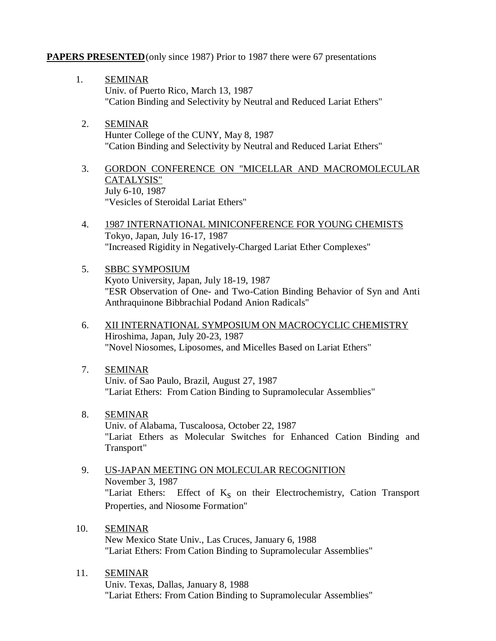## **PAPERS PRESENTED**(only since 1987) Prior to 1987 there were 67 presentations

- 1. SEMINAR Univ. of Puerto Rico, March 13, 1987 "Cation Binding and Selectivity by Neutral and Reduced Lariat Ethers"
- 2. SEMINAR Hunter College of the CUNY, May 8, 1987 "Cation Binding and Selectivity by Neutral and Reduced Lariat Ethers"
- 3. GORDON CONFERENCE ON "MICELLAR AND MACROMOLECULAR CATALYSIS" July 6-10, 1987 "Vesicles of Steroidal Lariat Ethers"
- 4. 1987 INTERNATIONAL MINICONFERENCE FOR YOUNG CHEMISTS Tokyo, Japan, July 16-17, 1987 "Increased Rigidity in Negatively-Charged Lariat Ether Complexes"
- 5. SBBC SYMPOSIUM Kyoto University, Japan, July 18-19, 1987 "ESR Observation of One- and Two-Cation Binding Behavior of Syn and Anti Anthraquinone Bibbrachial Podand Anion Radicals"
- 6. XII INTERNATIONAL SYMPOSIUM ON MACROCYCLIC CHEMISTRY Hiroshima, Japan, July 20-23, 1987 "Novel Niosomes, Liposomes, and Micelles Based on Lariat Ethers"
- 7. SEMINAR Univ. of Sao Paulo, Brazil, August 27, 1987 "Lariat Ethers: From Cation Binding to Supramolecular Assemblies"
- 8. SEMINAR Univ. of Alabama, Tuscaloosa, October 22, 1987 "Lariat Ethers as Molecular Switches for Enhanced Cation Binding and Transport"
- 9. US-JAPAN MEETING ON MOLECULAR RECOGNITION November 3, 1987 "Lariat Ethers: Effect of  $K_s$  on their Electrochemistry, Cation Transport Properties, and Niosome Formation"
- 10. SEMINAR New Mexico State Univ., Las Cruces, January 6, 1988 "Lariat Ethers: From Cation Binding to Supramolecular Assemblies"
- 11. SEMINAR Univ. Texas, Dallas, January 8, 1988 "Lariat Ethers: From Cation Binding to Supramolecular Assemblies"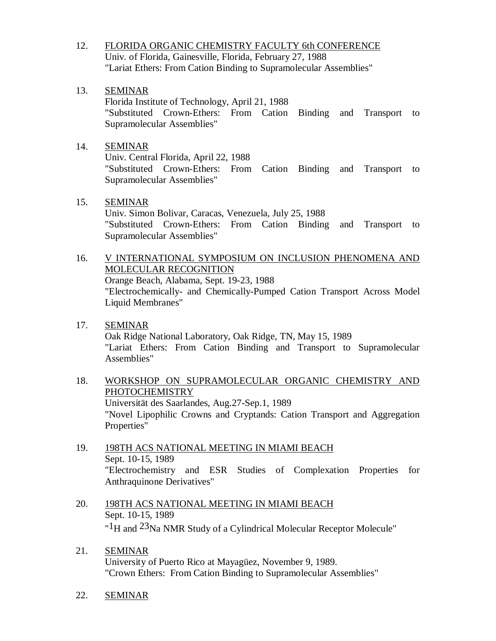- 12. FLORIDA ORGANIC CHEMISTRY FACULTY 6th CONFERENCE Univ. of Florida, Gainesville, Florida, February 27, 1988 "Lariat Ethers: From Cation Binding to Supramolecular Assemblies"
- 13. SEMINAR

Florida Institute of Technology, April 21, 1988 "Substituted Crown-Ethers: From Cation Binding and Transport to Supramolecular Assemblies"

## 14. SEMINAR

Univ. Central Florida, April 22, 1988 "Substituted Crown-Ethers: From Cation Binding and Transport to Supramolecular Assemblies"

# 15. SEMINAR

Univ. Simon Bolivar, Caracas, Venezuela, July 25, 1988 "Substituted Crown-Ethers: From Cation Binding and Transport to Supramolecular Assemblies"

- 16. V INTERNATIONAL SYMPOSIUM ON INCLUSION PHENOMENA AND MOLECULAR RECOGNITION Orange Beach, Alabama, Sept. 19-23, 1988 "Electrochemically- and Chemically-Pumped Cation Transport Across Model Liquid Membranes"
- 17. SEMINAR Oak Ridge National Laboratory, Oak Ridge, TN, May 15, 1989 "Lariat Ethers: From Cation Binding and Transport to Supramolecular Assemblies"
- 18. WORKSHOP ON SUPRAMOLECULAR ORGANIC CHEMISTRY AND PHOTOCHEMISTRY Universität des Saarlandes, Aug.27-Sep.1, 1989 "Novel Lipophilic Crowns and Cryptands: Cation Transport and Aggregation Properties"
- 19. 198TH ACS NATIONAL MEETING IN MIAMI BEACH Sept. 10-15, 1989 "Electrochemistry and ESR Studies of Complexation Properties for Anthraquinone Derivatives"
- 20. 198TH ACS NATIONAL MEETING IN MIAMI BEACH Sept. 10-15, 1989 "<sup>1</sup>H and <sup>23</sup>Na NMR Study of a Cylindrical Molecular Receptor Molecule"
- 21. SEMINAR University of Puerto Rico at Mayagüez, November 9, 1989. "Crown Ethers: From Cation Binding to Supramolecular Assemblies"
- 22. SEMINAR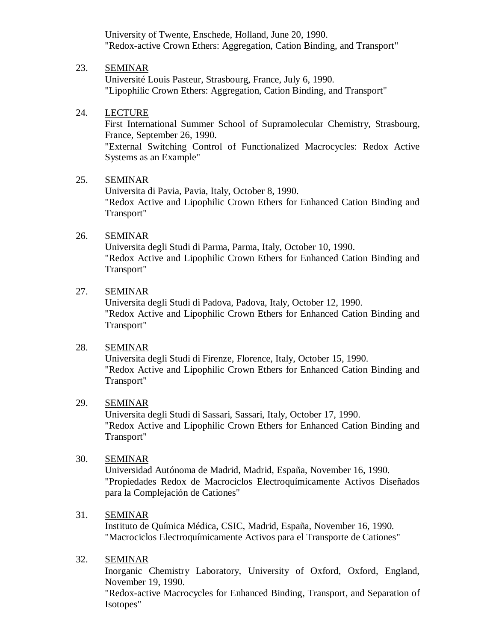University of Twente, Enschede, Holland, June 20, 1990. "Redox-active Crown Ethers: Aggregation, Cation Binding, and Transport"

### 23. SEMINAR

Université Louis Pasteur, Strasbourg, France, July 6, 1990. "Lipophilic Crown Ethers: Aggregation, Cation Binding, and Transport"

### 24. LECTURE

First International Summer School of Supramolecular Chemistry, Strasbourg, France, September 26, 1990.

"External Switching Control of Functionalized Macrocycles: Redox Active Systems as an Example"

#### 25. SEMINAR

Universita di Pavia, Pavia, Italy, October 8, 1990. "Redox Active and Lipophilic Crown Ethers for Enhanced Cation Binding and Transport"

### 26. SEMINAR

Universita degli Studi di Parma, Parma, Italy, October 10, 1990. "Redox Active and Lipophilic Crown Ethers for Enhanced Cation Binding and Transport"

### 27. SEMINAR

Universita degli Studi di Padova, Padova, Italy, October 12, 1990. "Redox Active and Lipophilic Crown Ethers for Enhanced Cation Binding and Transport"

#### 28. SEMINAR

Universita degli Studi di Firenze, Florence, Italy, October 15, 1990. "Redox Active and Lipophilic Crown Ethers for Enhanced Cation Binding and Transport"

### 29. SEMINAR

Universita degli Studi di Sassari, Sassari, Italy, October 17, 1990. "Redox Active and Lipophilic Crown Ethers for Enhanced Cation Binding and Transport"

#### 30. SEMINAR

Universidad Autónoma de Madrid, Madrid, España, November 16, 1990. "Propiedades Redox de Macrociclos Electroquímicamente Activos Diseñados para la Complejación de Cationes"

### 31. SEMINAR

Instituto de Química Médica, CSIC, Madrid, España, November 16, 1990. "Macrociclos Electroquímicamente Activos para el Transporte de Cationes"

### 32. SEMINAR

Inorganic Chemistry Laboratory, University of Oxford, Oxford, England, November 19, 1990.

"Redox-active Macrocycles for Enhanced Binding, Transport, and Separation of Isotopes"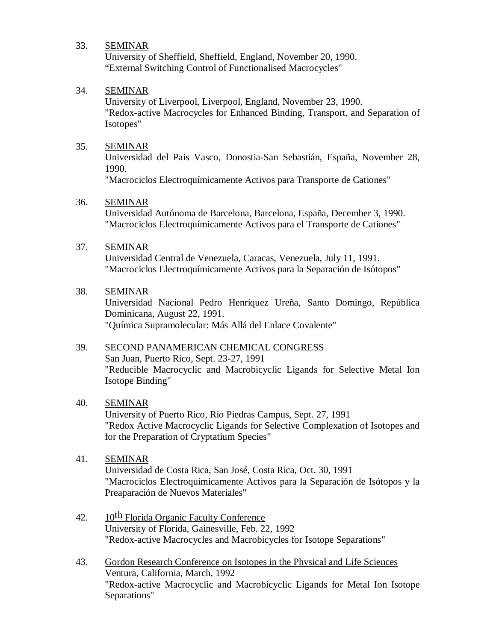### 33. SEMINAR

University of Sheffield, Sheffield, England, November 20, 1990. "External Switching Control of Functionalised Macrocycles"

### 34. SEMINAR

University of Liverpool, Liverpool, England, November 23, 1990. "Redox-active Macrocycles for Enhanced Binding, Transport, and Separation of Isotopes"

### 35. SEMINAR

Universidad del Pais Vasco, Donostia-San Sebastián, España, November 28, 1990.

"Macrociclos Electroquímicamente Activos para Transporte de Cationes"

### 36. SEMINAR

Universidad Autónoma de Barcelona, Barcelona, España, December 3, 1990. "Macrociclos Electroquímicamente Activos para el Transporte de Cationes"

### 37. SEMINAR

Universidad Central de Venezuela, Caracas, Venezuela, July 11, 1991. "Macrociclos Electroquímicamente Activos para la Separación de Isótopos"

### 38. SEMINAR

Universidad Nacional Pedro Henríquez Ureña, Santo Domingo, República Dominicana, August 22, 1991. "Química Supramolecular: Más Allá del Enlace Covalente"

### 39. SECOND PANAMERICAN CHEMICAL CONGRESS

San Juan, Puerto Rico, Sept. 23-27, 1991 "Reducible Macrocyclic and Macrobicyclic Ligands for Selective Metal Ion Isotope Binding"

### 40. SEMINAR

University of Puerto Rico, Río Piedras Campus, Sept. 27, 1991 "Redox Active Macrocyclic Ligands for Selective Complexation of Isotopes and for the Preparation of Cryptatium Species"

### 41. SEMINAR

Universidad de Costa Rica, San José, Costa Rica, Oct. 30, 1991 "Macrociclos Electroquímicamente Activos para la Separación de Isótopos y la Preaparación de Nuevos Materiales"

- 42. 10<sup>th</sup> Florida Organic Faculty Conference University of Florida, Gainesville, Feb. 22, 1992 "Redox-active Macrocycles and Macrobicycles for Isotope Separations"
- 43. Gordon Research Conference on Isotopes in the Physical and Life Sciences Ventura, California, March, 1992 "Redox-active Macrocyclic and Macrobicyclic Ligands for Metal Ion Isotope Separations"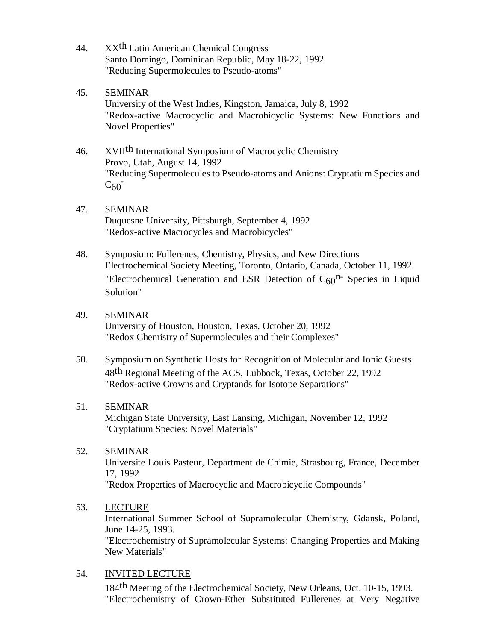44. XX<sup>th</sup> Latin American Chemical Congress Santo Domingo, Dominican Republic, May 18-22, 1992 "Reducing Supermolecules to Pseudo-atoms"

# 45. SEMINAR

University of the West Indies, Kingston, Jamaica, July 8, 1992 "Redox-active Macrocyclic and Macrobicyclic Systems: New Functions and Novel Properties"

# 46. XVII<sup>th</sup> International Symposium of Macrocyclic Chemistry Provo, Utah, August 14, 1992 "Reducing Supermolecules to Pseudo-atoms and Anions: Cryptatium Species and  $C_{60}$ "

### 47. SEMINAR Duquesne University, Pittsburgh, September 4, 1992 "Redox-active Macrocycles and Macrobicycles"

48. Symposium: Fullerenes, Chemistry, Physics, and New Directions Electrochemical Society Meeting, Toronto, Ontario, Canada, October 11, 1992 "Electrochemical Generation and ESR Detection of  $C_{60}$ <sup>n-</sup> Species in Liquid Solution"

## 49. SEMINAR

University of Houston, Houston, Texas, October 20, 1992 "Redox Chemistry of Supermolecules and their Complexes"

50. Symposium on Synthetic Hosts for Recognition of Molecular and Ionic Guests 48th Regional Meeting of the ACS, Lubbock, Texas, October 22, 1992 "Redox-active Crowns and Cryptands for Isotope Separations"

## 51. SEMINAR

Michigan State University, East Lansing, Michigan, November 12, 1992 "Cryptatium Species: Novel Materials"

## 52. SEMINAR

Universite Louis Pasteur, Department de Chimie, Strasbourg, France, December 17, 1992

"Redox Properties of Macrocyclic and Macrobicyclic Compounds"

## 53. LECTURE

International Summer School of Supramolecular Chemistry, Gdansk, Poland, June 14-25, 1993.

"Electrochemistry of Supramolecular Systems: Changing Properties and Making New Materials"

## 54. INVITED LECTURE

184th Meeting of the Electrochemical Society, New Orleans, Oct. 10-15, 1993. "Electrochemistry of Crown-Ether Substituted Fullerenes at Very Negative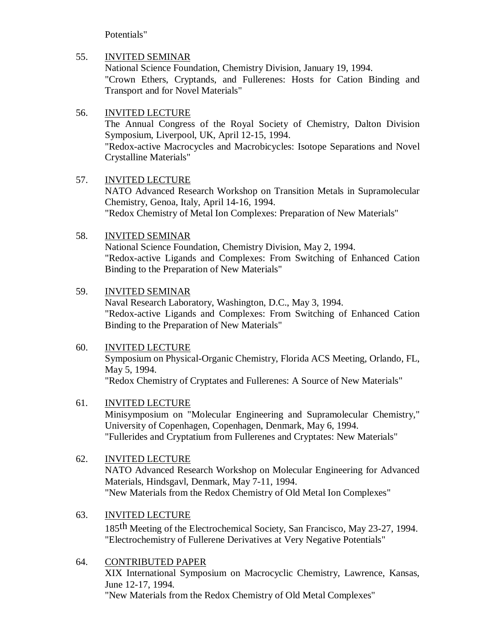Potentials"

# 55. INVITED SEMINAR

National Science Foundation, Chemistry Division, January 19, 1994. "Crown Ethers, Cryptands, and Fullerenes: Hosts for Cation Binding and Transport and for Novel Materials"

# 56. INVITED LECTURE

The Annual Congress of the Royal Society of Chemistry, Dalton Division Symposium, Liverpool, UK, April 12-15, 1994.

"Redox-active Macrocycles and Macrobicycles: Isotope Separations and Novel Crystalline Materials"

# 57. INVITED LECTURE

NATO Advanced Research Workshop on Transition Metals in Supramolecular Chemistry, Genoa, Italy, April 14-16, 1994.

"Redox Chemistry of Metal Ion Complexes: Preparation of New Materials"

# 58. INVITED SEMINAR

National Science Foundation, Chemistry Division, May 2, 1994. "Redox-active Ligands and Complexes: From Switching of Enhanced Cation Binding to the Preparation of New Materials"

# 59. INVITED SEMINAR

Naval Research Laboratory, Washington, D.C., May 3, 1994. "Redox-active Ligands and Complexes: From Switching of Enhanced Cation Binding to the Preparation of New Materials"

## 60. INVITED LECTURE

Symposium on Physical-Organic Chemistry, Florida ACS Meeting, Orlando, FL, May 5, 1994. "Redox Chemistry of Cryptates and Fullerenes: A Source of New Materials"

# 61. INVITED LECTURE

Minisymposium on "Molecular Engineering and Supramolecular Chemistry," University of Copenhagen, Copenhagen, Denmark, May 6, 1994. "Fullerides and Cryptatium from Fullerenes and Cryptates: New Materials"

## 62. INVITED LECTURE

NATO Advanced Research Workshop on Molecular Engineering for Advanced Materials, Hindsgavl, Denmark, May 7-11, 1994. "New Materials from the Redox Chemistry of Old Metal Ion Complexes"

# 63. INVITED LECTURE

185th Meeting of the Electrochemical Society, San Francisco, May 23-27, 1994. "Electrochemistry of Fullerene Derivatives at Very Negative Potentials"

## 64. CONTRIBUTED PAPER

XIX International Symposium on Macrocyclic Chemistry, Lawrence, Kansas, June 12-17, 1994.

"New Materials from the Redox Chemistry of Old Metal Complexes"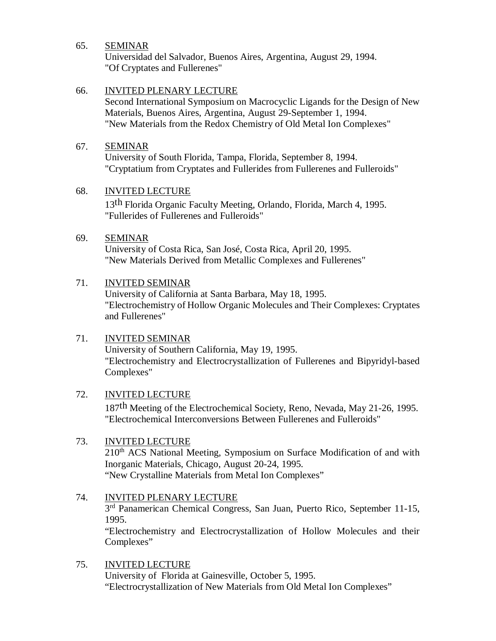### 65. SEMINAR

Universidad del Salvador, Buenos Aires, Argentina, August 29, 1994. "Of Cryptates and Fullerenes"

## 66. INVITED PLENARY LECTURE

Second International Symposium on Macrocyclic Ligands for the Design of New Materials, Buenos Aires, Argentina, August 29-September 1, 1994. "New Materials from the Redox Chemistry of Old Metal Ion Complexes"

## 67. SEMINAR

University of South Florida, Tampa, Florida, September 8, 1994. "Cryptatium from Cryptates and Fullerides from Fullerenes and Fulleroids"

### 68. INVITED LECTURE

13th Florida Organic Faculty Meeting, Orlando, Florida, March 4, 1995. "Fullerides of Fullerenes and Fulleroids"

### 69. SEMINAR

University of Costa Rica, San José, Costa Rica, April 20, 1995. "New Materials Derived from Metallic Complexes and Fullerenes"

## 71. INVITED SEMINAR

University of California at Santa Barbara, May 18, 1995. "Electrochemistry of Hollow Organic Molecules and Their Complexes: Cryptates and Fullerenes"

## 71. INVITED SEMINAR

University of Southern California, May 19, 1995. "Electrochemistry and Electrocrystallization of Fullerenes and Bipyridyl-based Complexes"

## 72. INVITED LECTURE

187th Meeting of the Electrochemical Society, Reno, Nevada, May 21-26, 1995. "Electrochemical Interconversions Between Fullerenes and Fulleroids"

### 73. INVITED LECTURE

210<sup>th</sup> ACS National Meeting, Symposium on Surface Modification of and with Inorganic Materials, Chicago, August 20-24, 1995. "New Crystalline Materials from Metal Ion Complexes"

## 74. INVITED PLENARY LECTURE

3<sup>rd</sup> Panamerican Chemical Congress, San Juan, Puerto Rico, September 11-15, 1995.

"Electrochemistry and Electrocrystallization of Hollow Molecules and their Complexes"

### 75. INVITED LECTURE

University of Florida at Gainesville, October 5, 1995. "Electrocrystallization of New Materials from Old Metal Ion Complexes"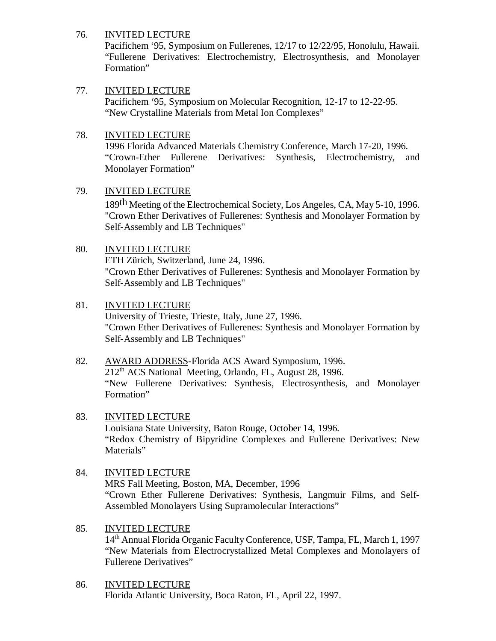## 76. INVITED LECTURE

Pacifichem '95, Symposium on Fullerenes, 12/17 to 12/22/95, Honolulu, Hawaii. "Fullerene Derivatives: Electrochemistry, Electrosynthesis, and Monolayer Formation"

## 77. INVITED LECTURE

Pacifichem '95, Symposium on Molecular Recognition, 12-17 to 12-22-95. "New Crystalline Materials from Metal Ion Complexes"

## 78. INVITED LECTURE

1996 Florida Advanced Materials Chemistry Conference, March 17-20, 1996. "Crown-Ether Fullerene Derivatives: Synthesis, Electrochemistry, and Monolayer Formation"

## 79. INVITED LECTURE

189th Meeting of the Electrochemical Society, Los Angeles, CA, May 5-10, 1996. "Crown Ether Derivatives of Fullerenes: Synthesis and Monolayer Formation by Self-Assembly and LB Techniques"

## 80. INVITED LECTURE

ETH Zürich, Switzerland, June 24, 1996. "Crown Ether Derivatives of Fullerenes: Synthesis and Monolayer Formation by Self-Assembly and LB Techniques"

## 81. INVITED LECTURE

University of Trieste, Trieste, Italy, June 27, 1996. "Crown Ether Derivatives of Fullerenes: Synthesis and Monolayer Formation by Self-Assembly and LB Techniques"

- 82. AWARD ADDRESS-Florida ACS Award Symposium, 1996. 212th ACS National Meeting, Orlando, FL, August 28, 1996. "New Fullerene Derivatives: Synthesis, Electrosynthesis, and Monolayer Formation"
- 83. INVITED LECTURE Louisiana State University, Baton Rouge, October 14, 1996. "Redox Chemistry of Bipyridine Complexes and Fullerene Derivatives: New Materials"
- 84. INVITED LECTURE MRS Fall Meeting, Boston, MA, December, 1996 "Crown Ether Fullerene Derivatives: Synthesis, Langmuir Films, and Self-Assembled Monolayers Using Supramolecular Interactions"
- 85. INVITED LECTURE 14th Annual Florida Organic Faculty Conference, USF, Tampa, FL, March 1, 1997 "New Materials from Electrocrystallized Metal Complexes and Monolayers of Fullerene Derivatives"
- 86. INVITED LECTURE Florida Atlantic University, Boca Raton, FL, April 22, 1997.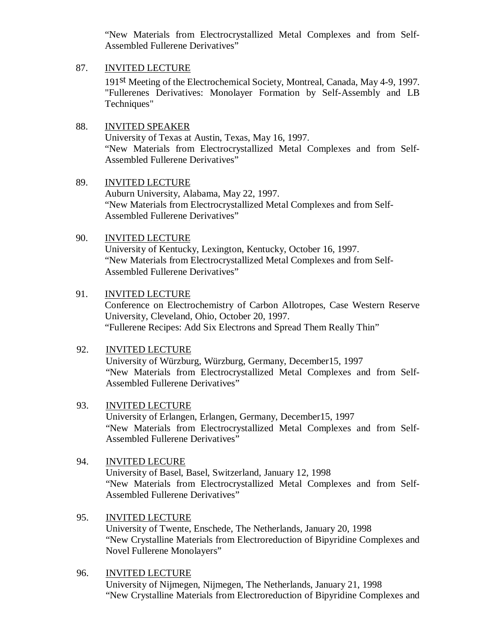"New Materials from Electrocrystallized Metal Complexes and from Self-Assembled Fullerene Derivatives"

### 87. INVITED LECTURE

191st Meeting of the Electrochemical Society, Montreal, Canada, May 4-9, 1997. "Fullerenes Derivatives: Monolayer Formation by Self-Assembly and LB Techniques"

## 88. INVITED SPEAKER

University of Texas at Austin, Texas, May 16, 1997. "New Materials from Electrocrystallized Metal Complexes and from Self-Assembled Fullerene Derivatives"

### 89. INVITED LECTURE

Auburn University, Alabama, May 22, 1997. "New Materials from Electrocrystallized Metal Complexes and from Self-Assembled Fullerene Derivatives"

### 90. INVITED LECTURE

University of Kentucky, Lexington, Kentucky, October 16, 1997. "New Materials from Electrocrystallized Metal Complexes and from Self-Assembled Fullerene Derivatives"

### 91. INVITED LECTURE

Conference on Electrochemistry of Carbon Allotropes, Case Western Reserve University, Cleveland, Ohio, October 20, 1997. "Fullerene Recipes: Add Six Electrons and Spread Them Really Thin"

## 92. INVITED LECTURE

University of Würzburg, Würzburg, Germany, December15, 1997 "New Materials from Electrocrystallized Metal Complexes and from Self-Assembled Fullerene Derivatives"

### 93. INVITED LECTURE

University of Erlangen, Erlangen, Germany, December15, 1997 "New Materials from Electrocrystallized Metal Complexes and from Self-Assembled Fullerene Derivatives"

## 94. INVITED LECURE

University of Basel, Basel, Switzerland, January 12, 1998 "New Materials from Electrocrystallized Metal Complexes and from Self-Assembled Fullerene Derivatives"

## 95. INVITED LECTURE

University of Twente, Enschede, The Netherlands, January 20, 1998 "New Crystalline Materials from Electroreduction of Bipyridine Complexes and Novel Fullerene Monolayers"

### 96. INVITED LECTURE

University of Nijmegen, Nijmegen, The Netherlands, January 21, 1998 "New Crystalline Materials from Electroreduction of Bipyridine Complexes and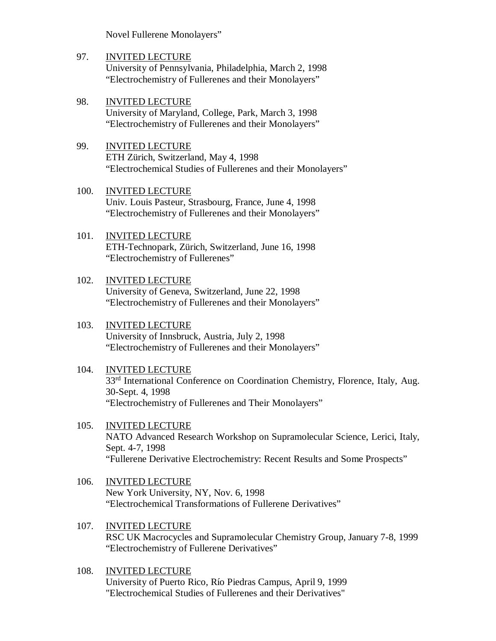Novel Fullerene Monolayers"

- 97. INVITED LECTURE University of Pennsylvania, Philadelphia, March 2, 1998 "Electrochemistry of Fullerenes and their Monolayers"
- 98. INVITED LECTURE University of Maryland, College, Park, March 3, 1998 "Electrochemistry of Fullerenes and their Monolayers"
- 99. INVITED LECTURE ETH Zürich, Switzerland, May 4, 1998 "Electrochemical Studies of Fullerenes and their Monolayers"
- 100. INVITED LECTURE Univ. Louis Pasteur, Strasbourg, France, June 4, 1998 "Electrochemistry of Fullerenes and their Monolayers"
- 101. INVITED LECTURE ETH-Technopark, Zürich, Switzerland, June 16, 1998 "Electrochemistry of Fullerenes"
- 102. INVITED LECTURE University of Geneva, Switzerland, June 22, 1998 "Electrochemistry of Fullerenes and their Monolayers"
- 103. INVITED LECTURE University of Innsbruck, Austria, July 2, 1998 "Electrochemistry of Fullerenes and their Monolayers"
- 104. INVITED LECTURE 33<sup>rd</sup> International Conference on Coordination Chemistry, Florence, Italy, Aug. 30-Sept. 4, 1998 "Electrochemistry of Fullerenes and Their Monolayers"
- 105. INVITED LECTURE NATO Advanced Research Workshop on Supramolecular Science, Lerici, Italy, Sept. 4-7, 1998 "Fullerene Derivative Electrochemistry: Recent Results and Some Prospects"
- 106. INVITED LECTURE New York University, NY, Nov. 6, 1998 "Electrochemical Transformations of Fullerene Derivatives"
- 107. INVITED LECTURE RSC UK Macrocycles and Supramolecular Chemistry Group, January 7-8, 1999 "Electrochemistry of Fullerene Derivatives"
- 108. INVITED LECTURE University of Puerto Rico, Río Piedras Campus, April 9, 1999 "Electrochemical Studies of Fullerenes and their Derivatives"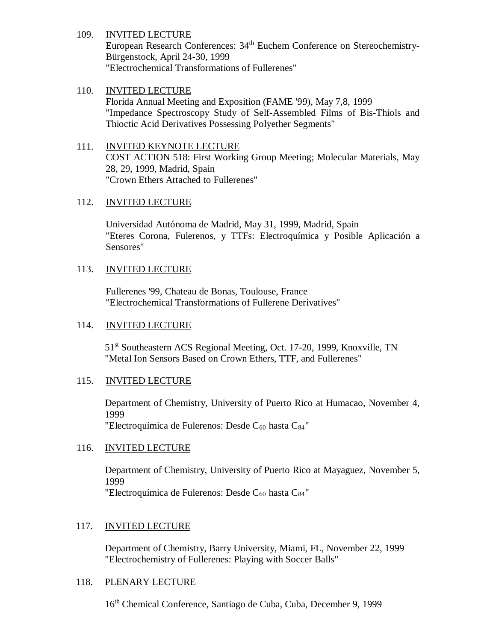### 109. INVITED LECTURE

European Research Conferences: 34<sup>th</sup> Euchem Conference on Stereochemistry-Bürgenstock, April 24-30, 1999 "Electrochemical Transformations of Fullerenes"

## 110. INVITED LECTURE

Florida Annual Meeting and Exposition (FAME '99), May 7,8, 1999 "Impedance Spectroscopy Study of Self-Assembled Films of Bis-Thiols and Thioctic Acid Derivatives Possessing Polyether Segments"

## 111. INVITED KEYNOTE LECTURE COST ACTION 518: First Working Group Meeting; Molecular Materials, May 28, 29, 1999, Madrid, Spain "Crown Ethers Attached to Fullerenes"

### 112. INVITED LECTURE

Universidad Autónoma de Madrid, May 31, 1999, Madrid, Spain "Eteres Corona, Fulerenos, y TTFs: Electroquímica y Posible Aplicación a Sensores"

### 113. INVITED LECTURE

Fullerenes '99, Chateau de Bonas, Toulouse, France "Electrochemical Transformations of Fullerene Derivatives"

### 114. INVITED LECTURE

51<sup>st</sup> Southeastern ACS Regional Meeting, Oct. 17-20, 1999, Knoxville, TN "Metal Ion Sensors Based on Crown Ethers, TTF, and Fullerenes"

## 115. INVITED LECTURE

Department of Chemistry, University of Puerto Rico at Humacao, November 4, 1999

"Electroquímica de Fulerenos: Desde  $C_{60}$  hasta  $C_{84}$ "

## 116. INVITED LECTURE

Department of Chemistry, University of Puerto Rico at Mayaguez, November 5, 1999 "Electroquímica de Fulerenos: Desde  $C_{60}$  hasta  $C_{84}$ "

### 117. INVITED LECTURE

Department of Chemistry, Barry University, Miami, FL, November 22, 1999 "Electrochemistry of Fullerenes: Playing with Soccer Balls"

### 118. PLENARY LECTURE

16th Chemical Conference, Santiago de Cuba, Cuba, December 9, 1999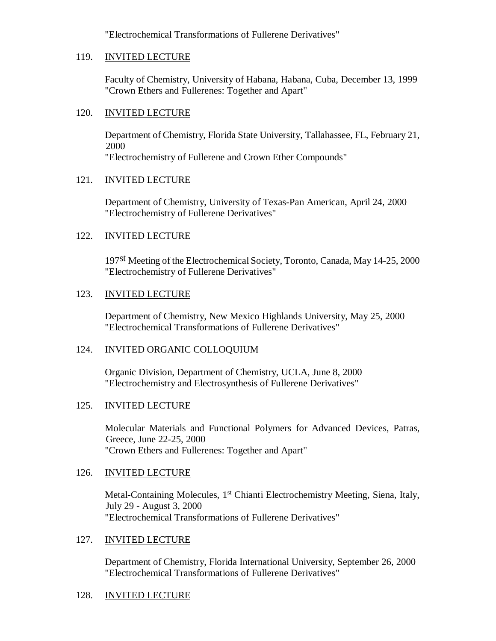"Electrochemical Transformations of Fullerene Derivatives"

### 119. INVITED LECTURE

Faculty of Chemistry, University of Habana, Habana, Cuba, December 13, 1999 "Crown Ethers and Fullerenes: Together and Apart"

### 120. INVITED LECTURE

Department of Chemistry, Florida State University, Tallahassee, FL, February 21, 2000 "Electrochemistry of Fullerene and Crown Ether Compounds"

### 121. INVITED LECTURE

Department of Chemistry, University of Texas-Pan American, April 24, 2000 "Electrochemistry of Fullerene Derivatives"

## 122. INVITED LECTURE

197st Meeting of the Electrochemical Society, Toronto, Canada, May 14-25, 2000 "Electrochemistry of Fullerene Derivatives"

### 123. INVITED LECTURE

Department of Chemistry, New Mexico Highlands University, May 25, 2000 "Electrochemical Transformations of Fullerene Derivatives"

## 124. INVITED ORGANIC COLLOQUIUM

Organic Division, Department of Chemistry, UCLA, June 8, 2000 "Electrochemistry and Electrosynthesis of Fullerene Derivatives"

## 125. INVITED LECTURE

Molecular Materials and Functional Polymers for Advanced Devices, Patras, Greece, June 22-25, 2000 "Crown Ethers and Fullerenes: Together and Apart"

### 126. INVITED LECTURE

Metal-Containing Molecules,  $1<sup>st</sup>$  Chianti Electrochemistry Meeting, Siena, Italy, July 29 - August 3, 2000 "Electrochemical Transformations of Fullerene Derivatives"

### 127. INVITED LECTURE

Department of Chemistry, Florida International University, September 26, 2000 "Electrochemical Transformations of Fullerene Derivatives"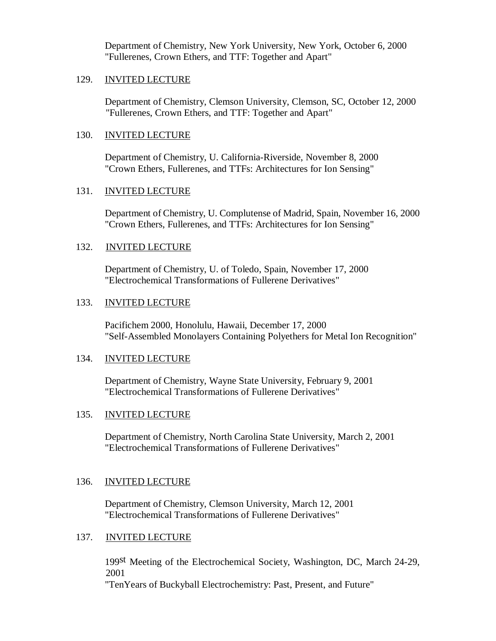Department of Chemistry, New York University, New York, October 6, 2000 "Fullerenes, Crown Ethers, and TTF: Together and Apart"

#### 129. INVITED LECTURE

Department of Chemistry, Clemson University, Clemson, SC, October 12, 2000 "Fullerenes, Crown Ethers, and TTF: Together and Apart"

#### 130. INVITED LECTURE

Department of Chemistry, U. California-Riverside, November 8, 2000 "Crown Ethers, Fullerenes, and TTFs: Architectures for Ion Sensing"

### 131. INVITED LECTURE

Department of Chemistry, U. Complutense of Madrid, Spain, November 16, 2000 "Crown Ethers, Fullerenes, and TTFs: Architectures for Ion Sensing"

### 132. INVITED LECTURE

Department of Chemistry, U. of Toledo, Spain, November 17, 2000 "Electrochemical Transformations of Fullerene Derivatives"

#### 133. INVITED LECTURE

Pacifichem 2000, Honolulu, Hawaii, December 17, 2000 "Self-Assembled Monolayers Containing Polyethers for Metal Ion Recognition"

#### 134. INVITED LECTURE

Department of Chemistry, Wayne State University, February 9, 2001 "Electrochemical Transformations of Fullerene Derivatives"

### 135. INVITED LECTURE

Department of Chemistry, North Carolina State University, March 2, 2001 "Electrochemical Transformations of Fullerene Derivatives"

### 136. INVITED LECTURE

Department of Chemistry, Clemson University, March 12, 2001 "Electrochemical Transformations of Fullerene Derivatives"

### 137. INVITED LECTURE

199st Meeting of the Electrochemical Society, Washington, DC, March 24-29, 2001 "TenYears of Buckyball Electrochemistry: Past, Present, and Future"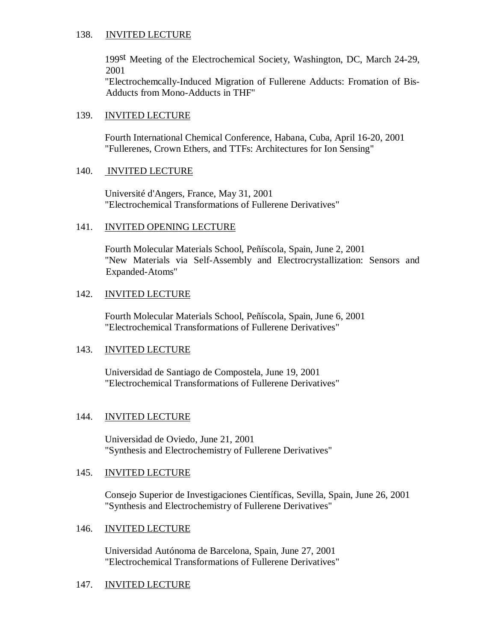### 138. INVITED LECTURE

199st Meeting of the Electrochemical Society, Washington, DC, March 24-29, 2001

"Electrochemcally-Induced Migration of Fullerene Adducts: Fromation of Bis-Adducts from Mono-Adducts in THF"

### 139. INVITED LECTURE

Fourth International Chemical Conference, Habana, Cuba, April 16-20, 2001 "Fullerenes, Crown Ethers, and TTFs: Architectures for Ion Sensing"

### 140. INVITED LECTURE

Université d'Angers, France, May 31, 2001 "Electrochemical Transformations of Fullerene Derivatives"

### 141. INVITED OPENING LECTURE

Fourth Molecular Materials School, Peñíscola, Spain, June 2, 2001 "New Materials via Self-Assembly and Electrocrystallization: Sensors and Expanded-Atoms"

### 142. INVITED LECTURE

Fourth Molecular Materials School, Peñíscola, Spain, June 6, 2001 "Electrochemical Transformations of Fullerene Derivatives"

### 143. INVITED LECTURE

Universidad de Santiago de Compostela, June 19, 2001 "Electrochemical Transformations of Fullerene Derivatives"

### 144. INVITED LECTURE

Universidad de Oviedo, June 21, 2001 "Synthesis and Electrochemistry of Fullerene Derivatives"

### 145. INVITED LECTURE

Consejo Superior de Investigaciones Científicas, Sevilla, Spain, June 26, 2001 "Synthesis and Electrochemistry of Fullerene Derivatives"

### 146. INVITED LECTURE

Universidad Autónoma de Barcelona, Spain, June 27, 2001 "Electrochemical Transformations of Fullerene Derivatives"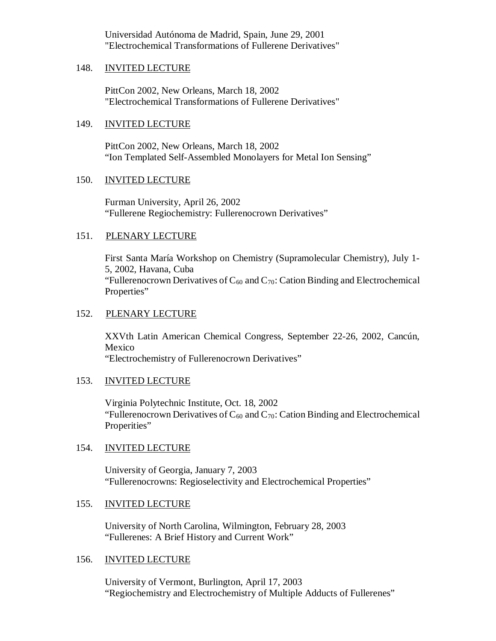Universidad Autónoma de Madrid, Spain, June 29, 2001 "Electrochemical Transformations of Fullerene Derivatives"

#### 148. INVITED LECTURE

PittCon 2002, New Orleans, March 18, 2002 "Electrochemical Transformations of Fullerene Derivatives"

### 149. INVITED LECTURE

PittCon 2002, New Orleans, March 18, 2002 "Ion Templated Self-Assembled Monolayers for Metal Ion Sensing"

### 150. INVITED LECTURE

Furman University, April 26, 2002 "Fullerene Regiochemistry: Fullerenocrown Derivatives"

### 151. PLENARY LECTURE

First Santa María Workshop on Chemistry (Supramolecular Chemistry), July 1- 5, 2002, Havana, Cuba "Fullerenocrown Derivatives of  $C_{60}$  and  $C_{70}$ : Cation Binding and Electrochemical Properties"

### 152. PLENARY LECTURE

XXVth Latin American Chemical Congress, September 22-26, 2002, Cancún, Mexico "Electrochemistry of Fullerenocrown Derivatives"

### 153. INVITED LECTURE

Virginia Polytechnic Institute, Oct. 18, 2002 "Fullerenocrown Derivatives of  $C_{60}$  and  $C_{70}$ : Cation Binding and Electrochemical Properities"

### 154. INVITED LECTURE

University of Georgia, January 7, 2003 "Fullerenocrowns: Regioselectivity and Electrochemical Properties"

### 155. INVITED LECTURE

University of North Carolina, Wilmington, February 28, 2003 "Fullerenes: A Brief History and Current Work"

### 156. INVITED LECTURE

University of Vermont, Burlington, April 17, 2003 "Regiochemistry and Electrochemistry of Multiple Adducts of Fullerenes"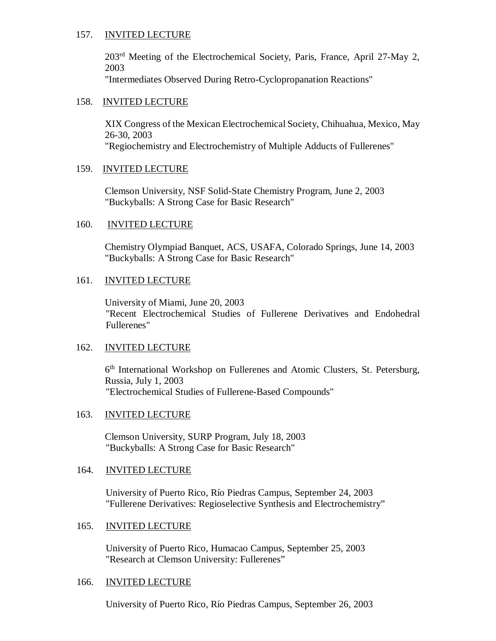### 157. INVITED LECTURE

203rd Meeting of the Electrochemical Society, Paris, France, April 27-May 2, 2003

"Intermediates Observed During Retro-Cyclopropanation Reactions"

#### 158. INVITED LECTURE

XIX Congress of the Mexican Electrochemical Society, Chihuahua, Mexico, May 26-30, 2003 "Regiochemistry and Electrochemistry of Multiple Adducts of Fullerenes"

#### 159. INVITED LECTURE

Clemson University, NSF Solid-State Chemistry Program, June 2, 2003 "Buckyballs: A Strong Case for Basic Research"

#### 160. INVITED LECTURE

Chemistry Olympiad Banquet, ACS, USAFA, Colorado Springs, June 14, 2003 "Buckyballs: A Strong Case for Basic Research"

### 161. INVITED LECTURE

University of Miami, June 20, 2003 "Recent Electrochemical Studies of Fullerene Derivatives and Endohedral Fullerenes"

### 162. INVITED LECTURE

6<sup>th</sup> International Workshop on Fullerenes and Atomic Clusters, St. Petersburg, Russia, July 1, 2003 "Electrochemical Studies of Fullerene-Based Compounds"

### 163. INVITED LECTURE

Clemson University, SURP Program, July 18, 2003 "Buckyballs: A Strong Case for Basic Research"

#### 164. INVITED LECTURE

University of Puerto Rico, Río Piedras Campus, September 24, 2003 "Fullerene Derivatives: Regioselective Synthesis and Electrochemistry"

#### 165. INVITED LECTURE

University of Puerto Rico, Humacao Campus, September 25, 2003 "Research at Clemson University: Fullerenes"

#### 166. INVITED LECTURE

University of Puerto Rico, Río Piedras Campus, September 26, 2003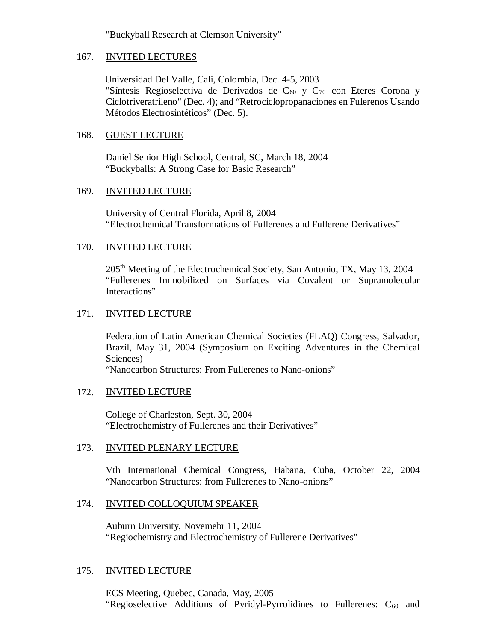"Buckyball Research at Clemson University"

### 167. INVITED LECTURES

Universidad Del Valle, Cali, Colombia, Dec. 4-5, 2003 "Síntesis Regioselectiva de Derivados de C $_{60}$  y C $_{70}$  con Eteres Corona y Ciclotriveratrileno" (Dec. 4); and "Retrociclopropanaciones en Fulerenos Usando Métodos Electrosintéticos" (Dec. 5).

### 168. GUEST LECTURE

Daniel Senior High School, Central, SC, March 18, 2004 "Buckyballs: A Strong Case for Basic Research"

### 169. INVITED LECTURE

University of Central Florida, April 8, 2004 "Electrochemical Transformations of Fullerenes and Fullerene Derivatives"

### 170. INVITED LECTURE

205<sup>th</sup> Meeting of the Electrochemical Society, San Antonio, TX, May 13, 2004 "Fullerenes Immobilized on Surfaces via Covalent or Supramolecular Interactions"

### 171. INVITED LECTURE

Federation of Latin American Chemical Societies (FLAQ) Congress, Salvador, Brazil, May 31, 2004 (Symposium on Exciting Adventures in the Chemical Sciences)

"Nanocarbon Structures: From Fullerenes to Nano-onions"

### 172. INVITED LECTURE

College of Charleston, Sept. 30, 2004 "Electrochemistry of Fullerenes and their Derivatives"

### 173. INVITED PLENARY LECTURE

Vth International Chemical Congress, Habana, Cuba, October 22, 2004 "Nanocarbon Structures: from Fullerenes to Nano-onions"

### 174. INVITED COLLOQUIUM SPEAKER

Auburn University, Novemebr 11, 2004 "Regiochemistry and Electrochemistry of Fullerene Derivatives"

### 175. INVITED LECTURE

ECS Meeting, Quebec, Canada, May, 2005 "Regioselective Additions of Pyridyl-Pyrrolidines to Fullerenes:  $C_{60}$  and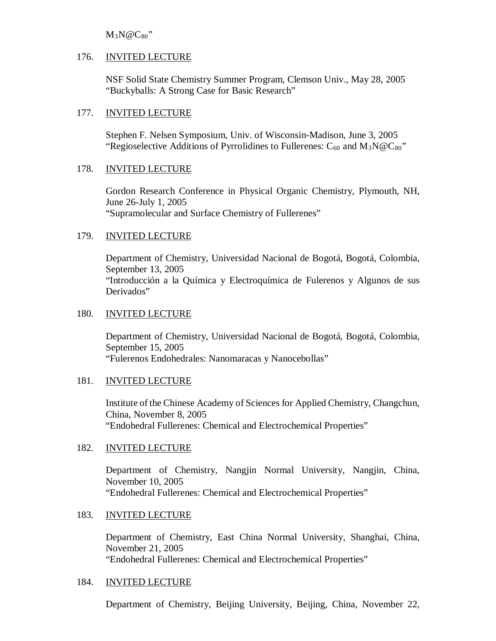$M_3N@C_{80"$ 

### 176. INVITED LECTURE

NSF Solid State Chemistry Summer Program, Clemson Univ., May 28, 2005 "Buckyballs: A Strong Case for Basic Research"

### 177. INVITED LECTURE

Stephen F. Nelsen Symposium, Univ. of Wisconsin-Madison, June 3, 2005 "Regioselective Additions of Pyrrolidines to Fullerenes:  $C_{60}$  and  $M_3N@C_{80}$ "

### 178. INVITED LECTURE

Gordon Research Conference in Physical Organic Chemistry, Plymouth, NH, June 26-July 1, 2005 "Supramolecular and Surface Chemistry of Fullerenes"

### 179. INVITED LECTURE

Department of Chemistry, Universidad Nacional de Bogotá, Bogotá, Colombia, September 13, 2005 "Introducción a la Química y Electroquímica de Fulerenos y Algunos de sus Derivados"

### 180. INVITED LECTURE

Department of Chemistry, Universidad Nacional de Bogotá, Bogotá, Colombia, September 15, 2005 "Fulerenos Endohedrales: Nanomaracas y Nanocebollas"

### 181. INVITED LECTURE

Institute of the Chinese Academy of Sciences for Applied Chemistry, Changchun, China, November 8, 2005 "Endohedral Fullerenes: Chemical and Electrochemical Properties"

### 182. INVITED LECTURE

Department of Chemistry, Nangjin Normal University, Nangjin, China, November 10, 2005 "Endohedral Fullerenes: Chemical and Electrochemical Properties"

## 183. INVITED LECTURE

Department of Chemistry, East China Normal University, Shanghai, China, November 21, 2005 "Endohedral Fullerenes: Chemical and Electrochemical Properties"

### 184. INVITED LECTURE

Department of Chemistry, Beijing University, Beijing, China, November 22,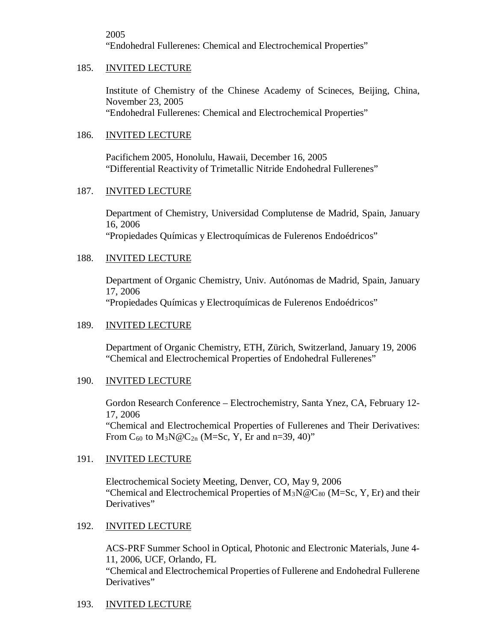2005

"Endohedral Fullerenes: Chemical and Electrochemical Properties"

### 185. INVITED LECTURE

Institute of Chemistry of the Chinese Academy of Scineces, Beijing, China, November 23, 2005 "Endohedral Fullerenes: Chemical and Electrochemical Properties"

### 186. INVITED LECTURE

Pacifichem 2005, Honolulu, Hawaii, December 16, 2005 "Differential Reactivity of Trimetallic Nitride Endohedral Fullerenes"

### 187. INVITED LECTURE

Department of Chemistry, Universidad Complutense de Madrid, Spain, January 16, 2006 "Propiedades Químicas y Electroquímicas de Fulerenos Endoédricos"

### 188. INVITED LECTURE

Department of Organic Chemistry, Univ. Autónomas de Madrid, Spain, January 17, 2006 "Propiedades Químicas y Electroquímicas de Fulerenos Endoédricos"

### 189. INVITED LECTURE

Department of Organic Chemistry, ETH, Zürich, Switzerland, January 19, 2006 "Chemical and Electrochemical Properties of Endohedral Fullerenes"

### 190. INVITED LECTURE

Gordon Research Conference – Electrochemistry, Santa Ynez, CA, February 12- 17, 2006

"Chemical and Electrochemical Properties of Fullerenes and Their Derivatives: From  $C_{60}$  to  $M_3N@C_{2n}$  (M=Sc, Y, Er and n=39, 40)"

### 191. INVITED LECTURE

Electrochemical Society Meeting, Denver, CO, May 9, 2006 "Chemical and Electrochemical Properties of  $M_3N@C_{80}$  (M=Sc, Y, Er) and their Derivatives"

### 192. INVITED LECTURE

ACS-PRF Summer School in Optical, Photonic and Electronic Materials, June 4- 11, 2006, UCF, Orlando, FL "Chemical and Electrochemical Properties of Fullerene and Endohedral Fullerene Derivatives"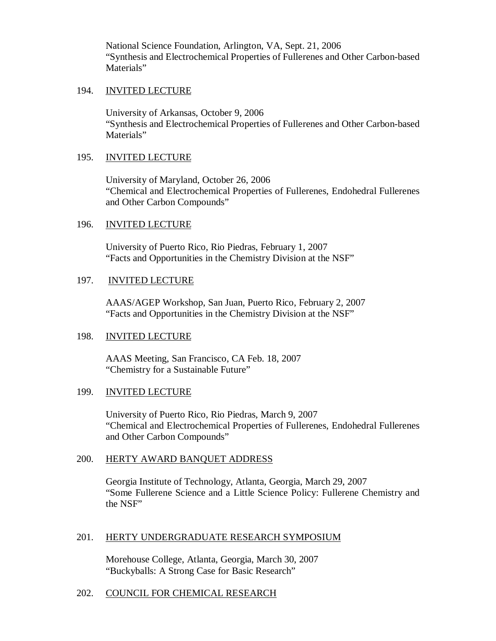National Science Foundation, Arlington, VA, Sept. 21, 2006 "Synthesis and Electrochemical Properties of Fullerenes and Other Carbon-based Materials"

#### 194. INVITED LECTURE

University of Arkansas, October 9, 2006 "Synthesis and Electrochemical Properties of Fullerenes and Other Carbon-based Materials"

#### 195. INVITED LECTURE

University of Maryland, October 26, 2006 "Chemical and Electrochemical Properties of Fullerenes, Endohedral Fullerenes and Other Carbon Compounds"

#### 196. INVITED LECTURE

University of Puerto Rico, Rio Piedras, February 1, 2007 "Facts and Opportunities in the Chemistry Division at the NSF"

### 197. INVITED LECTURE

AAAS/AGEP Workshop, San Juan, Puerto Rico, February 2, 2007 "Facts and Opportunities in the Chemistry Division at the NSF"

### 198. INVITED LECTURE

AAAS Meeting, San Francisco, CA Feb. 18, 2007 "Chemistry for a Sustainable Future"

### 199. INVITED LECTURE

University of Puerto Rico, Rio Piedras, March 9, 2007 "Chemical and Electrochemical Properties of Fullerenes, Endohedral Fullerenes and Other Carbon Compounds"

### 200. HERTY AWARD BANQUET ADDRESS

Georgia Institute of Technology, Atlanta, Georgia, March 29, 2007 "Some Fullerene Science and a Little Science Policy: Fullerene Chemistry and the NSF"

### 201. HERTY UNDERGRADUATE RESEARCH SYMPOSIUM

Morehouse College, Atlanta, Georgia, March 30, 2007 "Buckyballs: A Strong Case for Basic Research"

### 202. COUNCIL FOR CHEMICAL RESEARCH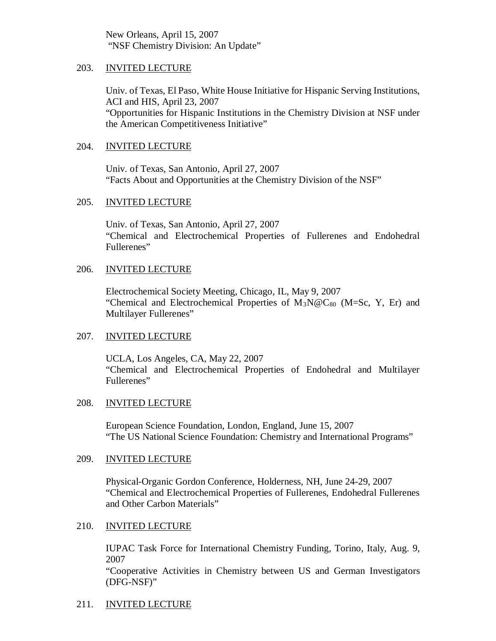New Orleans, April 15, 2007 "NSF Chemistry Division: An Update"

#### 203. INVITED LECTURE

Univ. of Texas, El Paso, White House Initiative for Hispanic Serving Institutions, ACI and HIS, April 23, 2007 "Opportunities for Hispanic Institutions in the Chemistry Division at NSF under the American Competitiveness Initiative"

### 204. INVITED LECTURE

Univ. of Texas, San Antonio, April 27, 2007 "Facts About and Opportunities at the Chemistry Division of the NSF"

#### 205. INVITED LECTURE

Univ. of Texas, San Antonio, April 27, 2007 "Chemical and Electrochemical Properties of Fullerenes and Endohedral Fullerenes"

### 206. INVITED LECTURE

Electrochemical Society Meeting, Chicago, IL, May 9, 2007 "Chemical and Electrochemical Properties of  $M_3N@C_{80}$  (M=Sc, Y, Er) and Multilayer Fullerenes"

### 207. INVITED LECTURE

UCLA, Los Angeles, CA, May 22, 2007 "Chemical and Electrochemical Properties of Endohedral and Multilayer Fullerenes"

### 208. INVITED LECTURE

European Science Foundation, London, England, June 15, 2007 "The US National Science Foundation: Chemistry and International Programs"

### 209. INVITED LECTURE

Physical-Organic Gordon Conference, Holderness, NH, June 24-29, 2007 "Chemical and Electrochemical Properties of Fullerenes, Endohedral Fullerenes and Other Carbon Materials"

### 210. INVITED LECTURE

IUPAC Task Force for International Chemistry Funding, Torino, Italy, Aug. 9, 2007

"Cooperative Activities in Chemistry between US and German Investigators (DFG-NSF)"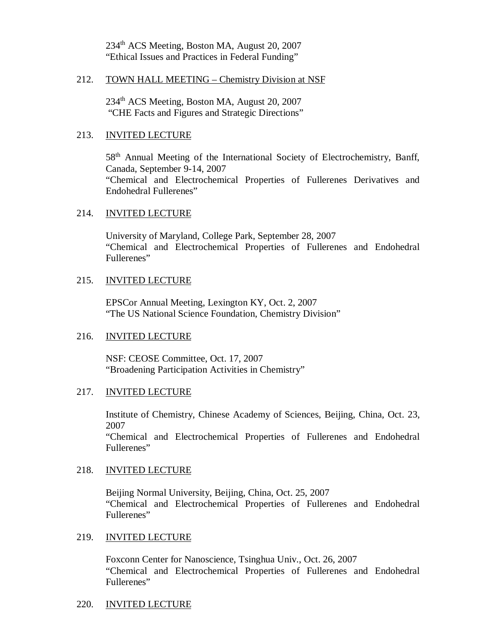234<sup>th</sup> ACS Meeting, Boston MA, August 20, 2007 "Ethical Issues and Practices in Federal Funding"

#### 212. TOWN HALL MEETING – Chemistry Division at NSF

234<sup>th</sup> ACS Meeting, Boston MA, August 20, 2007 "CHE Facts and Figures and Strategic Directions"

#### 213. INVITED LECTURE

58<sup>th</sup> Annual Meeting of the International Society of Electrochemistry, Banff, Canada, September 9-14, 2007 "Chemical and Electrochemical Properties of Fullerenes Derivatives and Endohedral Fullerenes"

#### 214. INVITED LECTURE

University of Maryland, College Park, September 28, 2007 "Chemical and Electrochemical Properties of Fullerenes and Endohedral Fullerenes"

#### 215. INVITED LECTURE

EPSCor Annual Meeting, Lexington KY, Oct. 2, 2007 "The US National Science Foundation, Chemistry Division"

#### 216. INVITED LECTURE

NSF: CEOSE Committee, Oct. 17, 2007 "Broadening Participation Activities in Chemistry"

#### 217. INVITED LECTURE

Institute of Chemistry, Chinese Academy of Sciences, Beijing, China, Oct. 23, 2007

"Chemical and Electrochemical Properties of Fullerenes and Endohedral Fullerenes"

#### 218. INVITED LECTURE

Beijing Normal University, Beijing, China, Oct. 25, 2007 "Chemical and Electrochemical Properties of Fullerenes and Endohedral Fullerenes"

#### 219. INVITED LECTURE

Foxconn Center for Nanoscience, Tsinghua Univ., Oct. 26, 2007 "Chemical and Electrochemical Properties of Fullerenes and Endohedral Fullerenes"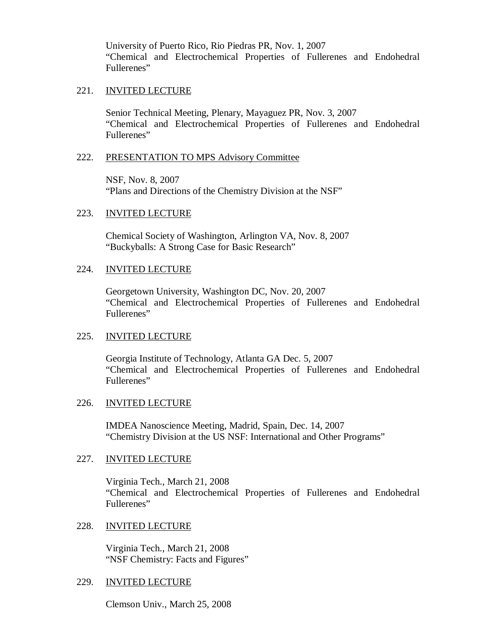University of Puerto Rico, Rio Piedras PR, Nov. 1, 2007 "Chemical and Electrochemical Properties of Fullerenes and Endohedral Fullerenes"

#### 221. INVITED LECTURE

Senior Technical Meeting, Plenary, Mayaguez PR, Nov. 3, 2007 "Chemical and Electrochemical Properties of Fullerenes and Endohedral Fullerenes"

#### 222. PRESENTATION TO MPS Advisory Committee

NSF, Nov. 8, 2007 "Plans and Directions of the Chemistry Division at the NSF"

#### 223. INVITED LECTURE

Chemical Society of Washington, Arlington VA, Nov. 8, 2007 "Buckyballs: A Strong Case for Basic Research"

#### 224. INVITED LECTURE

Georgetown University, Washington DC, Nov. 20, 2007 "Chemical and Electrochemical Properties of Fullerenes and Endohedral Fullerenes"

### 225. INVITED LECTURE

Georgia Institute of Technology, Atlanta GA Dec. 5, 2007 "Chemical and Electrochemical Properties of Fullerenes and Endohedral Fullerenes"

### 226. INVITED LECTURE

IMDEA Nanoscience Meeting, Madrid, Spain, Dec. 14, 2007 "Chemistry Division at the US NSF: International and Other Programs"

### 227. INVITED LECTURE

Virginia Tech., March 21, 2008 "Chemical and Electrochemical Properties of Fullerenes and Endohedral Fullerenes"

### 228. INVITED LECTURE

Virginia Tech., March 21, 2008 "NSF Chemistry: Facts and Figures"

### 229. INVITED LECTURE

Clemson Univ., March 25, 2008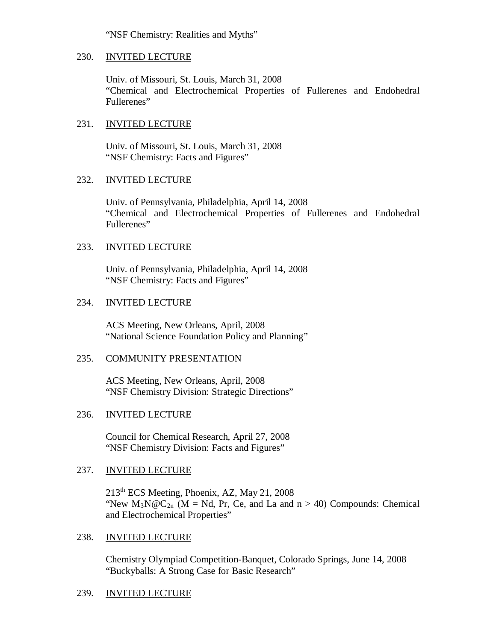"NSF Chemistry: Realities and Myths"

#### 230. INVITED LECTURE

Univ. of Missouri, St. Louis, March 31, 2008 "Chemical and Electrochemical Properties of Fullerenes and Endohedral Fullerenes"

### 231. INVITED LECTURE

Univ. of Missouri, St. Louis, March 31, 2008 "NSF Chemistry: Facts and Figures"

### 232. INVITED LECTURE

Univ. of Pennsylvania, Philadelphia, April 14, 2008 "Chemical and Electrochemical Properties of Fullerenes and Endohedral Fullerenes"

### 233. INVITED LECTURE

Univ. of Pennsylvania, Philadelphia, April 14, 2008 "NSF Chemistry: Facts and Figures"

### 234. INVITED LECTURE

ACS Meeting, New Orleans, April, 2008 "National Science Foundation Policy and Planning"

### 235. COMMUNITY PRESENTATION

ACS Meeting, New Orleans, April, 2008 "NSF Chemistry Division: Strategic Directions"

### 236. INVITED LECTURE

Council for Chemical Research, April 27, 2008 "NSF Chemistry Division: Facts and Figures"

## 237. INVITED LECTURE

213th ECS Meeting, Phoenix, AZ, May 21, 2008 "New  $M_3N@C_{2n}$  (M = Nd, Pr, Ce, and La and  $n > 40$ ) Compounds: Chemical and Electrochemical Properties"

### 238. INVITED LECTURE

Chemistry Olympiad Competition-Banquet, Colorado Springs, June 14, 2008 "Buckyballs: A Strong Case for Basic Research"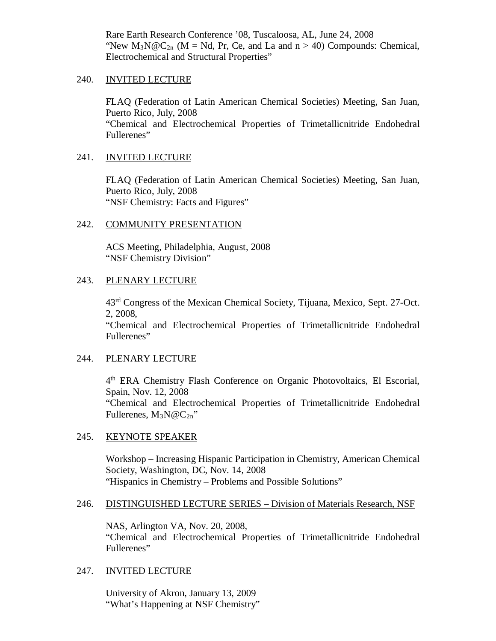Rare Earth Research Conference '08, Tuscaloosa, AL, June 24, 2008 "New  $M_3N@C_{2n}$  (M = Nd, Pr, Ce, and La and n > 40) Compounds: Chemical, Electrochemical and Structural Properties"

#### 240. INVITED LECTURE

FLAQ (Federation of Latin American Chemical Societies) Meeting, San Juan, Puerto Rico, July, 2008 "Chemical and Electrochemical Properties of Trimetallicnitride Endohedral Fullerenes"

### 241. INVITED LECTURE

FLAQ (Federation of Latin American Chemical Societies) Meeting, San Juan, Puerto Rico, July, 2008 "NSF Chemistry: Facts and Figures"

### 242. COMMUNITY PRESENTATION

ACS Meeting, Philadelphia, August, 2008 "NSF Chemistry Division"

### 243. PLENARY LECTURE

43rd Congress of the Mexican Chemical Society, Tijuana, Mexico, Sept. 27-Oct. 2, 2008,

"Chemical and Electrochemical Properties of Trimetallicnitride Endohedral Fullerenes"

### 244. PLENARY LECTURE

4th ERA Chemistry Flash Conference on Organic Photovoltaics, El Escorial, Spain, Nov. 12, 2008 "Chemical and Electrochemical Properties of Trimetallicnitride Endohedral Fullerenes,  $M_3N@C_{2n}$ "

### 245. KEYNOTE SPEAKER

Workshop – Increasing Hispanic Participation in Chemistry, American Chemical Society, Washington, DC, Nov. 14, 2008 "Hispanics in Chemistry – Problems and Possible Solutions"

### 246. DISTINGUISHED LECTURE SERIES – Division of Materials Research, NSF

NAS, Arlington VA, Nov. 20, 2008, "Chemical and Electrochemical Properties of Trimetallicnitride Endohedral Fullerenes"

### 247. INVITED LECTURE

University of Akron, January 13, 2009 "What's Happening at NSF Chemistry"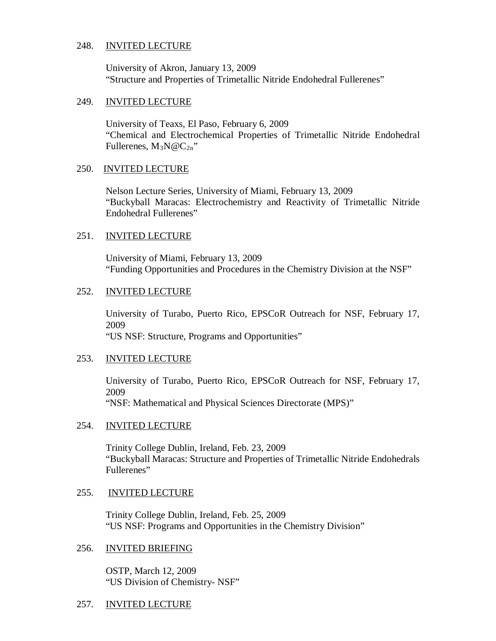#### 248. INVITED LECTURE

University of Akron, January 13, 2009 "Structure and Properties of Trimetallic Nitride Endohedral Fullerenes"

#### 249. INVITED LECTURE

University of Teaxs, El Paso, February 6, 2009 "Chemical and Electrochemical Properties of Trimetallic Nitride Endohedral Fullerenes,  $M_3N@C_{2n}$ "

#### 250. INVITED LECTURE

Nelson Lecture Series, University of Miami, February 13, 2009 "Buckyball Maracas: Electrochemistry and Reactivity of Trimetallic Nitride Endohedral Fullerenes"

#### 251. INVITED LECTURE

University of Miami, February 13, 2009 "Funding Opportunities and Procedures in the Chemistry Division at the NSF"

#### 252. INVITED LECTURE

University of Turabo, Puerto Rico, EPSCoR Outreach for NSF, February 17, 2009 "US NSF: Structure, Programs and Opportunities"

#### 253. INVITED LECTURE

University of Turabo, Puerto Rico, EPSCoR Outreach for NSF, February 17, 2009 "NSF: Mathematical and Physical Sciences Directorate (MPS)"

#### 254. INVITED LECTURE

Trinity College Dublin, Ireland, Feb. 23, 2009 "Buckyball Maracas: Structure and Properties of Trimetallic Nitride Endohedrals Fullerenes"

#### 255. INVITED LECTURE

Trinity College Dublin, Ireland, Feb. 25, 2009 "US NSF: Programs and Opportunities in the Chemistry Division"

#### 256. INVITED BRIEFING

OSTP, March 12, 2009 "US Division of Chemistry- NSF"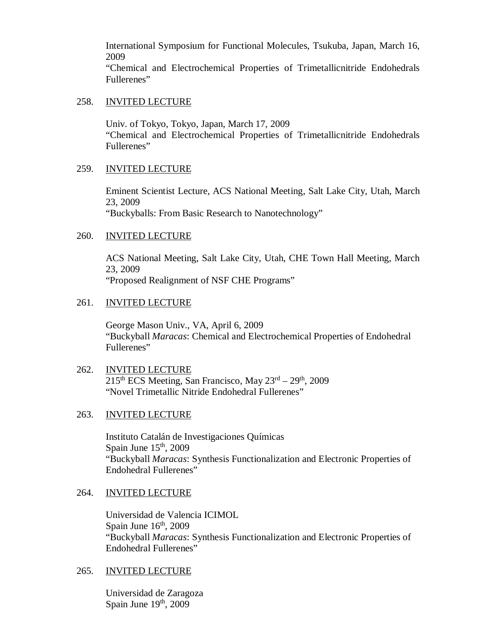International Symposium for Functional Molecules, Tsukuba, Japan, March 16, 2009

"Chemical and Electrochemical Properties of Trimetallicnitride Endohedrals Fullerenes"

#### 258. INVITED LECTURE

Univ. of Tokyo, Tokyo, Japan, March 17, 2009 "Chemical and Electrochemical Properties of Trimetallicnitride Endohedrals Fullerenes"

#### 259. INVITED LECTURE

Eminent Scientist Lecture, ACS National Meeting, Salt Lake City, Utah, March 23, 2009 "Buckyballs: From Basic Research to Nanotechnology"

#### 260. INVITED LECTURE

ACS National Meeting, Salt Lake City, Utah, CHE Town Hall Meeting, March 23, 2009 "Proposed Realignment of NSF CHE Programs"

### 261. INVITED LECTURE

George Mason Univ., VA, April 6, 2009 "Buckyball *Maracas*: Chemical and Electrochemical Properties of Endohedral Fullerenes"

### 262. INVITED LECTURE  $215<sup>th</sup> ECS Meeting, San Francisco, May  $23<sup>rd</sup> – 29<sup>th</sup>, 2009$$ "Novel Trimetallic Nitride Endohedral Fullerenes"

#### 263. INVITED LECTURE

Instituto Catalán de Investigaciones Químicas Spain June  $15<sup>th</sup>$ , 2009 "Buckyball *Maracas*: Synthesis Functionalization and Electronic Properties of Endohedral Fullerenes"

#### 264. INVITED LECTURE

Universidad de Valencia ICIMOL Spain June  $16<sup>th</sup>$ , 2009 "Buckyball *Maracas*: Synthesis Functionalization and Electronic Properties of Endohedral Fullerenes"

#### 265. INVITED LECTURE

Universidad de Zaragoza Spain June 19th, 2009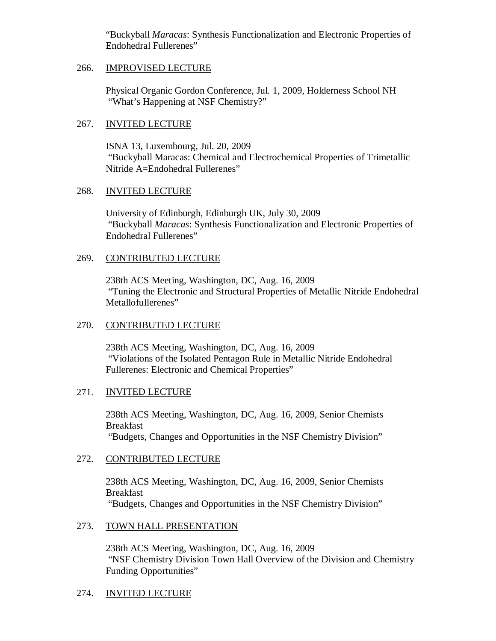"Buckyball *Maracas*: Synthesis Functionalization and Electronic Properties of Endohedral Fullerenes"

### 266. IMPROVISED LECTURE

Physical Organic Gordon Conference, Jul. 1, 2009, Holderness School NH "What's Happening at NSF Chemistry?"

### 267. INVITED LECTURE

ISNA 13, Luxembourg, Jul. 20, 2009 "Buckyball Maracas: Chemical and Electrochemical Properties of Trimetallic Nitride A=Endohedral Fullerenes"

### 268. INVITED LECTURE

University of Edinburgh, Edinburgh UK, July 30, 2009 "Buckyball *Maracas*: Synthesis Functionalization and Electronic Properties of Endohedral Fullerenes"

### 269. CONTRIBUTED LECTURE

238th ACS Meeting, Washington, DC, Aug. 16, 2009 "Tuning the Electronic and Structural Properties of Metallic Nitride Endohedral Metallofullerenes"

### 270. CONTRIBUTED LECTURE

238th ACS Meeting, Washington, DC, Aug. 16, 2009 "Violations of the Isolated Pentagon Rule in Metallic Nitride Endohedral Fullerenes: Electronic and Chemical Properties"

### 271. INVITED LECTURE

238th ACS Meeting, Washington, DC, Aug. 16, 2009, Senior Chemists Breakfast "Budgets, Changes and Opportunities in the NSF Chemistry Division"

### 272. CONTRIBUTED LECTURE

238th ACS Meeting, Washington, DC, Aug. 16, 2009, Senior Chemists Breakfast "Budgets, Changes and Opportunities in the NSF Chemistry Division"

### 273. TOWN HALL PRESENTATION

238th ACS Meeting, Washington, DC, Aug. 16, 2009 "NSF Chemistry Division Town Hall Overview of the Division and Chemistry Funding Opportunities"

### 274. INVITED LECTURE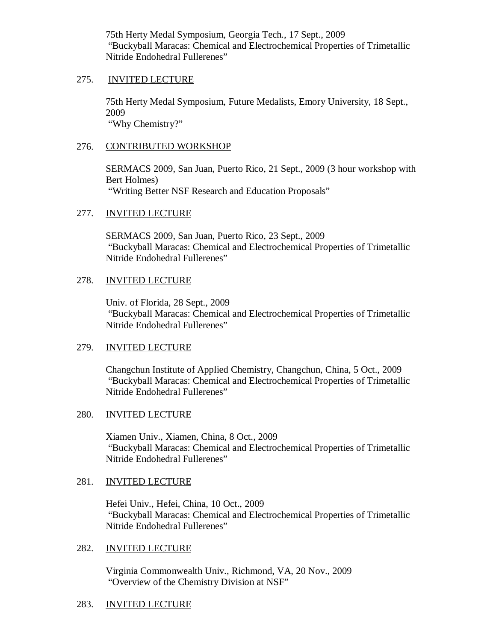75th Herty Medal Symposium, Georgia Tech., 17 Sept., 2009 "Buckyball Maracas: Chemical and Electrochemical Properties of Trimetallic Nitride Endohedral Fullerenes"

### 275. INVITED LECTURE

75th Herty Medal Symposium, Future Medalists, Emory University, 18 Sept., 2009 "Why Chemistry?"

### 276. CONTRIBUTED WORKSHOP

SERMACS 2009, San Juan, Puerto Rico, 21 Sept., 2009 (3 hour workshop with Bert Holmes) "Writing Better NSF Research and Education Proposals"

### 277. INVITED LECTURE

SERMACS 2009, San Juan, Puerto Rico, 23 Sept., 2009 "Buckyball Maracas: Chemical and Electrochemical Properties of Trimetallic Nitride Endohedral Fullerenes"

### 278. INVITED LECTURE

Univ. of Florida, 28 Sept., 2009 "Buckyball Maracas: Chemical and Electrochemical Properties of Trimetallic Nitride Endohedral Fullerenes"

### 279. INVITED LECTURE

Changchun Institute of Applied Chemistry, Changchun, China, 5 Oct., 2009 "Buckyball Maracas: Chemical and Electrochemical Properties of Trimetallic Nitride Endohedral Fullerenes"

### 280. INVITED LECTURE

Xiamen Univ., Xiamen, China, 8 Oct., 2009 "Buckyball Maracas: Chemical and Electrochemical Properties of Trimetallic Nitride Endohedral Fullerenes"

### 281. INVITED LECTURE

Hefei Univ., Hefei, China, 10 Oct., 2009 "Buckyball Maracas: Chemical and Electrochemical Properties of Trimetallic Nitride Endohedral Fullerenes"

#### 282. INVITED LECTURE

Virginia Commonwealth Univ., Richmond, VA, 20 Nov., 2009 "Overview of the Chemistry Division at NSF"

### 283. INVITED LECTURE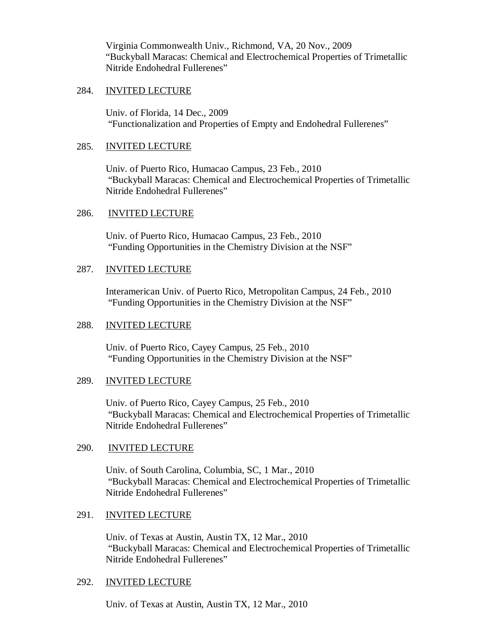Virginia Commonwealth Univ., Richmond, VA, 20 Nov., 2009 "Buckyball Maracas: Chemical and Electrochemical Properties of Trimetallic Nitride Endohedral Fullerenes"

### 284. INVITED LECTURE

Univ. of Florida, 14 Dec., 2009 "Functionalization and Properties of Empty and Endohedral Fullerenes"

### 285. INVITED LECTURE

Univ. of Puerto Rico, Humacao Campus, 23 Feb., 2010 "Buckyball Maracas: Chemical and Electrochemical Properties of Trimetallic Nitride Endohedral Fullerenes"

### 286. INVITED LECTURE

Univ. of Puerto Rico, Humacao Campus, 23 Feb., 2010 "Funding Opportunities in the Chemistry Division at the NSF"

### 287. INVITED LECTURE

Interamerican Univ. of Puerto Rico, Metropolitan Campus, 24 Feb., 2010 "Funding Opportunities in the Chemistry Division at the NSF"

### 288. INVITED LECTURE

Univ. of Puerto Rico, Cayey Campus, 25 Feb., 2010 "Funding Opportunities in the Chemistry Division at the NSF"

### 289. INVITED LECTURE

Univ. of Puerto Rico, Cayey Campus, 25 Feb., 2010 "Buckyball Maracas: Chemical and Electrochemical Properties of Trimetallic Nitride Endohedral Fullerenes"

### 290. INVITED LECTURE

Univ. of South Carolina, Columbia, SC, 1 Mar., 2010 "Buckyball Maracas: Chemical and Electrochemical Properties of Trimetallic Nitride Endohedral Fullerenes"

### 291. INVITED LECTURE

Univ. of Texas at Austin, Austin TX, 12 Mar., 2010 "Buckyball Maracas: Chemical and Electrochemical Properties of Trimetallic Nitride Endohedral Fullerenes"

### 292. INVITED LECTURE

Univ. of Texas at Austin, Austin TX, 12 Mar., 2010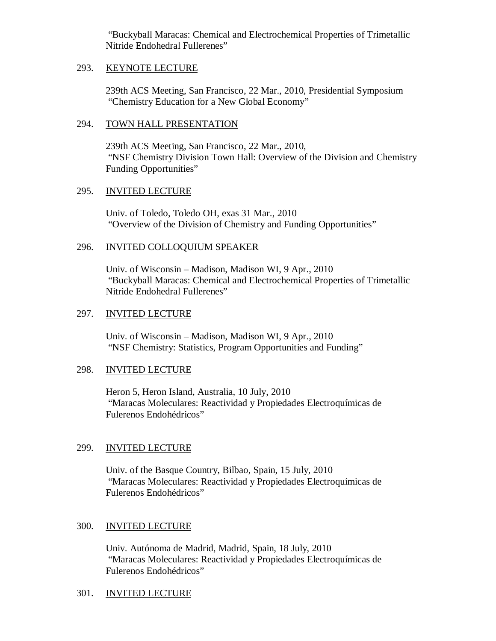"Buckyball Maracas: Chemical and Electrochemical Properties of Trimetallic Nitride Endohedral Fullerenes"

### 293. KEYNOTE LECTURE

239th ACS Meeting, San Francisco, 22 Mar., 2010, Presidential Symposium "Chemistry Education for a New Global Economy"

### 294. TOWN HALL PRESENTATION

239th ACS Meeting, San Francisco, 22 Mar., 2010, "NSF Chemistry Division Town Hall: Overview of the Division and Chemistry Funding Opportunities"

### 295. INVITED LECTURE

Univ. of Toledo, Toledo OH, exas 31 Mar., 2010 "Overview of the Division of Chemistry and Funding Opportunities"

### 296. INVITED COLLOQUIUM SPEAKER

Univ. of Wisconsin – Madison, Madison WI, 9 Apr., 2010 "Buckyball Maracas: Chemical and Electrochemical Properties of Trimetallic Nitride Endohedral Fullerenes"

### 297. INVITED LECTURE

Univ. of Wisconsin – Madison, Madison WI, 9 Apr., 2010 "NSF Chemistry: Statistics, Program Opportunities and Funding"

### 298. INVITED LECTURE

Heron 5, Heron Island, Australia, 10 July, 2010 "Maracas Moleculares: Reactividad y Propiedades Electroquímicas de Fulerenos Endohédricos"

### 299. INVITED LECTURE

Univ. of the Basque Country, Bilbao, Spain, 15 July, 2010 "Maracas Moleculares: Reactividad y Propiedades Electroquímicas de Fulerenos Endohédricos"

### 300. INVITED LECTURE

Univ. Autónoma de Madrid, Madrid, Spain, 18 July, 2010 "Maracas Moleculares: Reactividad y Propiedades Electroquímicas de Fulerenos Endohédricos"

### 301. INVITED LECTURE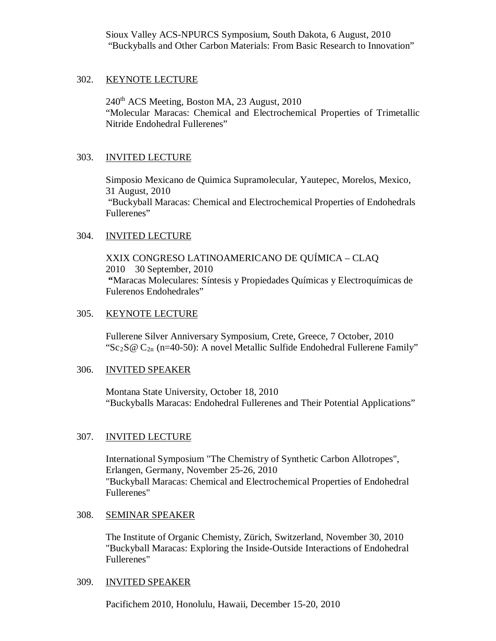Sioux Valley ACS-NPURCS Symposium, South Dakota, 6 August, 2010 "Buckyballs and Other Carbon Materials: From Basic Research to Innovation"

### 302. KEYNOTE LECTURE

 $240<sup>th</sup>$  ACS Meeting, Boston MA, 23 August, 2010 "Molecular Maracas: Chemical and Electrochemical Properties of Trimetallic Nitride Endohedral Fullerenes"

### 303. INVITED LECTURE

Simposio Mexicano de Quimica Supramolecular, Yautepec, Morelos, Mexico, 31 August, 2010 "Buckyball Maracas: Chemical and Electrochemical Properties of Endohedrals Fullerenes"

### 304. INVITED LECTURE

XXIX CONGRESO LATINOAMERICANO DE QUÍMICA – CLAQ 2010 30 September, 2010 **"**Maracas Moleculares: Síntesis y Propiedades Químicas y Electroquímicas de Fulerenos Endohedrales"

### 305. KEYNOTE LECTURE

Fullerene Silver Anniversary Symposium, Crete, Greece, 7 October, 2010 "Sc<sub>2</sub>S@ C<sub>2n</sub> (n=40-50): A novel Metallic Sulfide Endohedral Fullerene Family"

#### 306. INVITED SPEAKER

Montana State University, October 18, 2010 "Buckyballs Maracas: Endohedral Fullerenes and Their Potential Applications"

### 307. INVITED LECTURE

International Symposium "The Chemistry of Synthetic Carbon Allotropes", Erlangen, Germany, November 25-26, 2010 "Buckyball Maracas: Chemical and Electrochemical Properties of Endohedral Fullerenes"

### 308. SEMINAR SPEAKER

The Institute of Organic Chemisty, Zürich, Switzerland, November 30, 2010 "Buckyball Maracas: Exploring the Inside-Outside Interactions of Endohedral Fullerenes"

#### 309. INVITED SPEAKER

Pacifichem 2010, Honolulu, Hawaii, December 15-20, 2010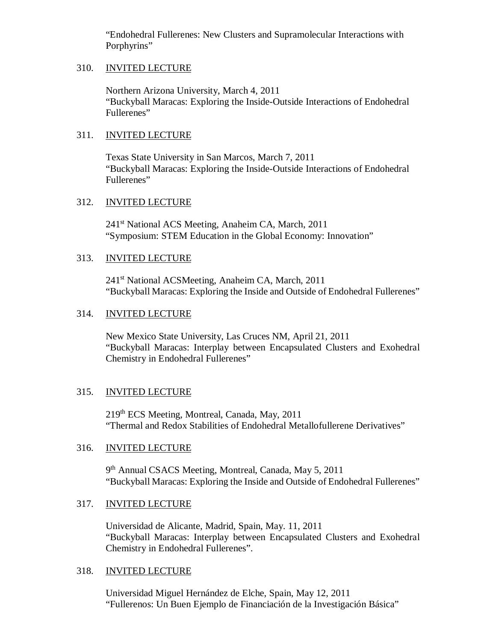"Endohedral Fullerenes: New Clusters and Supramolecular Interactions with Porphyrins"

## 310. INVITED LECTURE

Northern Arizona University, March 4, 2011 "Buckyball Maracas: Exploring the Inside-Outside Interactions of Endohedral Fullerenes"

# 311. INVITED LECTURE

Texas State University in San Marcos, March 7, 2011 "Buckyball Maracas: Exploring the Inside-Outside Interactions of Endohedral Fullerenes"

# 312. INVITED LECTURE

241<sup>st</sup> National ACS Meeting, Anaheim CA, March, 2011 "Symposium: STEM Education in the Global Economy: Innovation"

# 313. INVITED LECTURE

241<sup>st</sup> National ACSMeeting, Anaheim CA, March, 2011 "Buckyball Maracas: Exploring the Inside and Outside of Endohedral Fullerenes"

## 314. INVITED LECTURE

New Mexico State University, Las Cruces NM, April 21, 2011 "Buckyball Maracas: Interplay between Encapsulated Clusters and Exohedral Chemistry in Endohedral Fullerenes"

# 315. INVITED LECTURE

219th ECS Meeting, Montreal, Canada, May, 2011 "Thermal and Redox Stabilities of Endohedral Metallofullerene Derivatives"

# 316. INVITED LECTURE

9<sup>th</sup> Annual CSACS Meeting, Montreal, Canada, May 5, 2011 "Buckyball Maracas: Exploring the Inside and Outside of Endohedral Fullerenes"

# 317. INVITED LECTURE

Universidad de Alicante, Madrid, Spain, May. 11, 2011 "Buckyball Maracas: Interplay between Encapsulated Clusters and Exohedral Chemistry in Endohedral Fullerenes".

### 318. INVITED LECTURE

Universidad Miguel Hernández de Elche, Spain, May 12, 2011 "Fullerenos: Un Buen Ejemplo de Financiación de la Investigación Básica"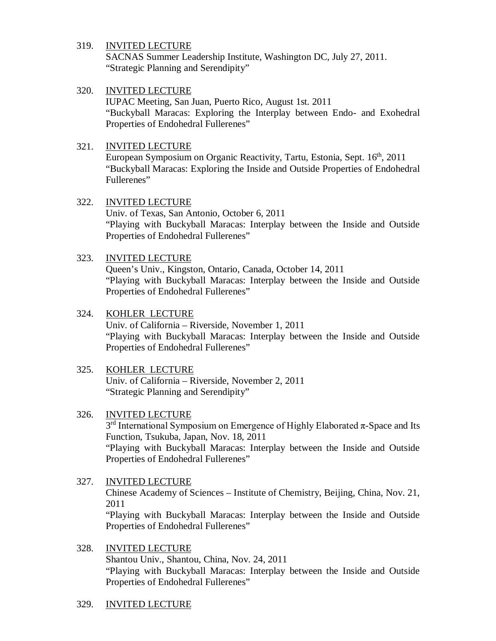SACNAS Summer Leadership Institute, Washington DC, July 27, 2011. "Strategic Planning and Serendipity"

### 320. INVITED LECTURE

IUPAC Meeting, San Juan, Puerto Rico, August 1st. 2011 "Buckyball Maracas: Exploring the Interplay between Endo- and Exohedral Properties of Endohedral Fullerenes"

### 321. INVITED LECTURE

European Symposium on Organic Reactivity, Tartu, Estonia, Sept. 16<sup>th</sup>, 2011 "Buckyball Maracas: Exploring the Inside and Outside Properties of Endohedral Fullerenes"

### 322. INVITED LECTURE

Univ. of Texas, San Antonio, October 6, 2011 "Playing with Buckyball Maracas: Interplay between the Inside and Outside Properties of Endohedral Fullerenes"

### 323. INVITED LECTURE

Queen's Univ., Kingston, Ontario, Canada, October 14, 2011 "Playing with Buckyball Maracas: Interplay between the Inside and Outside Properties of Endohedral Fullerenes"

## 324. KOHLER LECTURE

Univ. of California – Riverside, November 1, 2011 "Playing with Buckyball Maracas: Interplay between the Inside and Outside Properties of Endohedral Fullerenes"

# 325. KOHLER LECTURE

Univ. of California – Riverside, November 2, 2011 "Strategic Planning and Serendipity"

### 326. INVITED LECTURE

 $3<sup>rd</sup>$  International Symposium on Emergence of Highly Elaborated  $\pi$ -Space and Its Function, Tsukuba, Japan, Nov. 18, 2011 "Playing with Buckyball Maracas: Interplay between the Inside and Outside Properties of Endohedral Fullerenes"

- 327. INVITED LECTURE Chinese Academy of Sciences – Institute of Chemistry, Beijing, China, Nov. 21, 2011 "Playing with Buckyball Maracas: Interplay between the Inside and Outside Properties of Endohedral Fullerenes"
- 328. INVITED LECTURE Shantou Univ., Shantou, China, Nov. 24, 2011 "Playing with Buckyball Maracas: Interplay between the Inside and Outside Properties of Endohedral Fullerenes"
- 329. INVITED LECTURE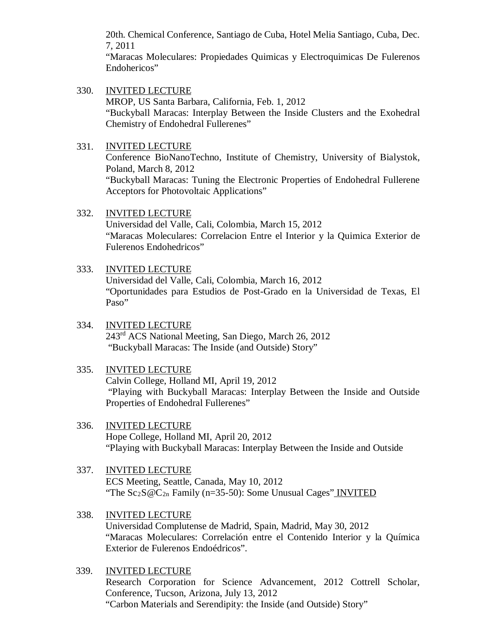20th. Chemical Conference, Santiago de Cuba, Hotel Melia Santiago, Cuba, Dec. 7, 2011

"Maracas Moleculares: Propiedades Quimicas y Electroquimicas De Fulerenos Endohericos"

330. INVITED LECTURE MROP, US Santa Barbara, California, Feb. 1, 2012 "Buckyball Maracas: Interplay Between the Inside Clusters and the Exohedral Chemistry of Endohedral Fullerenes"

## 331. INVITED LECTURE

Conference BioNanoTechno, Institute of Chemistry, University of Bialystok, Poland, March 8, 2012

"Buckyball Maracas: Tuning the Electronic Properties of Endohedral Fullerene Acceptors for Photovoltaic Applications"

# 332. INVITED LECTURE

[Universidad del Valle, Cali, Colombia,](http://www.univalle.edu.co/english/) March 15, 2012 "Maracas Moleculares: Correlacion Entre el Interior y la Quimica Exterior de Fulerenos Endohedricos"

## 333. INVITED LECTURE

[Universidad del Valle, Cali, Colombia,](http://www.univalle.edu.co/english/) March 16, 2012 "Oportunidades para Estudios de Post-Grado en la Universidad de Texas, El Paso"

334. INVITED LECTURE 243rd ACS National Meeting, San Diego, March 26, 2012 "Buckyball Maracas: The Inside (and Outside) Story"

# 335. INVITED LECTURE

Calvin College, Holland MI, April 19, 2012 "Playing with Buckyball Maracas: Interplay Between the Inside and Outside Properties of Endohedral Fullerenes"

- 336. INVITED LECTURE Hope College, Holland MI, April 20, 2012 "Playing with Buckyball Maracas: Interplay Between the Inside and Outside
- 337. INVITED LECTURE ECS Meeting, Seattle, Canada, May 10, 2012 "The  $Sc_2S@C_{2n}$  Family (n=35-50): Some Unusual Cages" INVITED
- 338. INVITED LECTURE Universidad Complutense de Madrid, Spain, Madrid, May 30, 2012 "Maracas Moleculares: Correlación entre el Contenido Interior y la Química Exterior de Fulerenos Endoédricos".
- 339. INVITED LECTURE Research Corporation for Science Advancement, 2012 Cottrell Scholar, Conference, Tucson, Arizona, July 13, 2012 "Carbon Materials and Serendipity: the Inside (and Outside) Story"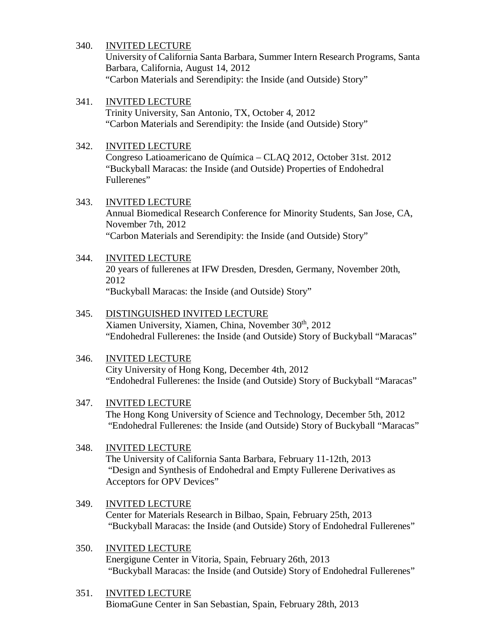University of California Santa Barbara, Summer Intern Research Programs, Santa Barbara, California, August 14, 2012 "Carbon Materials and Serendipity: the Inside (and Outside) Story"

### 341. INVITED LECTURE

Trinity University, San Antonio, TX, October 4, 2012 "Carbon Materials and Serendipity: the Inside (and Outside) Story"

### 342. INVITED LECTURE

Congreso Latioamericano de Química – CLAQ 2012, October 31st. 2012 "Buckyball Maracas: the Inside (and Outside) Properties of Endohedral Fullerenes"

#### 343. INVITED LECTURE

Annual Biomedical Research Conference for Minority Students, San Jose, CA, November 7th, 2012 "Carbon Materials and Serendipity: the Inside (and Outside) Story"

### 344. INVITED LECTURE

20 years of fullerenes at IFW Dresden, Dresden, Germany, November 20th, 2012 "Buckyball Maracas: the Inside (and Outside) Story"

#### 345. DISTINGUISHED INVITED LECTURE Xiamen University, Xiamen, China, November 30<sup>th</sup>, 2012

"Endohedral Fullerenes: the Inside (and Outside) Story of Buckyball "Maracas"

### 346. INVITED LECTURE

City University of Hong Kong, December 4th, 2012 "Endohedral Fullerenes: the Inside (and Outside) Story of Buckyball "Maracas"

### 347. INVITED LECTURE

The Hong Kong University of Science and Technology, December 5th, 2012 "Endohedral Fullerenes: the Inside (and Outside) Story of Buckyball "Maracas"

### 348. INVITED LECTURE

The University of California Santa Barbara, February 11-12th, 2013 "Design and Synthesis of Endohedral and Empty Fullerene Derivatives as Acceptors for OPV Devices"

### 349. INVITED LECTURE

Center for Materials Research in Bilbao, Spain, February 25th, 2013 "Buckyball Maracas: the Inside (and Outside) Story of Endohedral Fullerenes"

### 350. INVITED LECTURE Energigune Center in Vitoria, Spain, February 26th, 2013 "Buckyball Maracas: the Inside (and Outside) Story of Endohedral Fullerenes"

351. INVITED LECTURE BiomaGune Center in San Sebastian, Spain, February 28th, 2013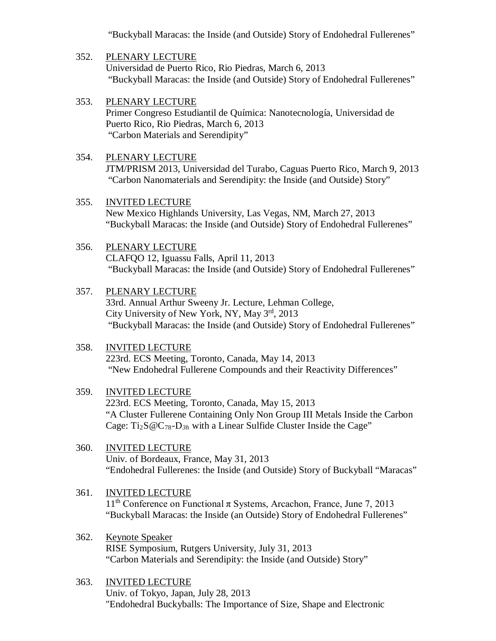"Buckyball Maracas: the Inside (and Outside) Story of Endohedral Fullerenes"

# 352. PLENARY LECTURE

Universidad de Puerto Rico, Rio Piedras, March 6, 2013 "Buckyball Maracas: the Inside (and Outside) Story of Endohedral Fullerenes"

353. PLENARY LECTURE Primer Congreso Estudiantil de Química: Nanotecnología, Universidad de Puerto Rico, Rio Piedras, March 6, 2013 "Carbon Materials and Serendipity"

# 354. PLENARY LECTURE JTM/PRISM 2013, Universidad del Turabo, Caguas Puerto Rico, March 9, 2013 "Carbon Nanomaterials and Serendipity: the Inside (and Outside) Story"

# 355. INVITED LECTURE

New Mexico Highlands University, Las Vegas, NM, March 27, 2013 "Buckyball Maracas: the Inside (and Outside) Story of Endohedral Fullerenes"

### 356. PLENARY LECTURE

CLAFQO 12, Iguassu Falls, April 11, 2013 "Buckyball Maracas: the Inside (and Outside) Story of Endohedral Fullerenes"

### 357. PLENARY LECTURE

33rd. Annual Arthur Sweeny Jr. Lecture, Lehman College, City University of New York, NY, May 3rd, 2013 "Buckyball Maracas: the Inside (and Outside) Story of Endohedral Fullerenes"

### 358. INVITED LECTURE

223rd. ECS Meeting, Toronto, Canada, May 14, 2013 "New Endohedral Fullerene Compounds and their Reactivity Differences"

### 359. INVITED LECTURE

223rd. ECS Meeting, Toronto, Canada, May 15, 2013 "A Cluster Fullerene Containing Only Non Group III Metals Inside the Carbon Cage: Ti<sub>2</sub>S @C<sub>78</sub>-D<sub>3h</sub> with a Linear Sulfide Cluster Inside the Cage"

### 360. INVITED LECTURE

Univ. of Bordeaux, France, May 31, 2013 "Endohedral Fullerenes: the Inside (and Outside) Story of Buckyball "Maracas"

#### 361. INVITED LECTURE

 $11<sup>th</sup>$  Conference on Functional π Systems, Arcachon, France, June 7, 2013 "Buckyball Maracas: the Inside (an Outside) Story of Endohedral Fullerenes"

# 362. Keynote Speaker

RISE Symposium, Rutgers University, July 31, 2013 "Carbon Materials and Serendipity: the Inside (and Outside) Story"

### 363. INVITED LECTURE

Univ. of Tokyo, Japan, July 28, 2013 "Endohedral Buckyballs: The Importance of Size, Shape and Electronic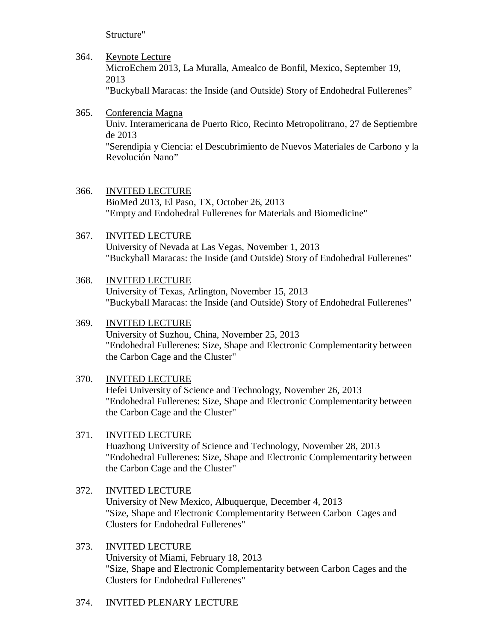Structure"

364. Keynote Lecture

MicroEchem 2013, La Muralla, Amealco de Bonfil, Mexico, September 19, 2013

"Buckyball Maracas: the Inside (and Outside) Story of Endohedral Fullerenes"

# 365. Conferencia Magna

Univ. Interamericana de Puerto Rico, Recinto Metropolitrano, 27 de Septiembre de 2013

"Serendipia y Ciencia: el Descubrimiento de Nuevos Materiales de Carbono y la Revolución Nano"

- 366. INVITED LECTURE BioMed 2013, El Paso, TX, October 26, 2013 "Empty and Endohedral Fullerenes for Materials and Biomedicine"
- 367. INVITED LECTURE University of Nevada at Las Vegas, November 1, 2013 "Buckyball Maracas: the Inside (and Outside) Story of Endohedral Fullerenes"

# 368. INVITED LECTURE

University of Texas, Arlington, November 15, 2013 "Buckyball Maracas: the Inside (and Outside) Story of Endohedral Fullerenes"

# 369. INVITED LECTURE

University of Suzhou, China, November 25, 2013 "Endohedral Fullerenes: Size, Shape and Electronic Complementarity between the Carbon Cage and the Cluster"

# 370. INVITED LECTURE

Hefei University of Science and Technology, November 26, 2013 "Endohedral Fullerenes: Size, Shape and Electronic Complementarity between the Carbon Cage and the Cluster"

# 371. INVITED LECTURE

Huazhong University of Science and Technology, November 28, 2013 "Endohedral Fullerenes: Size, Shape and Electronic Complementarity between the Carbon Cage and the Cluster"

- 372. INVITED LECTURE University of New Mexico, Albuquerque, December 4, 2013 "Size, Shape and Electronic Complementarity Between Carbon Cages and Clusters for Endohedral Fullerenes"
- 373. INVITED LECTURE University of Miami, February 18, 2013 "Size, Shape and Electronic Complementarity between Carbon Cages and the Clusters for Endohedral Fullerenes"

# 374. INVITED PLENARY LECTURE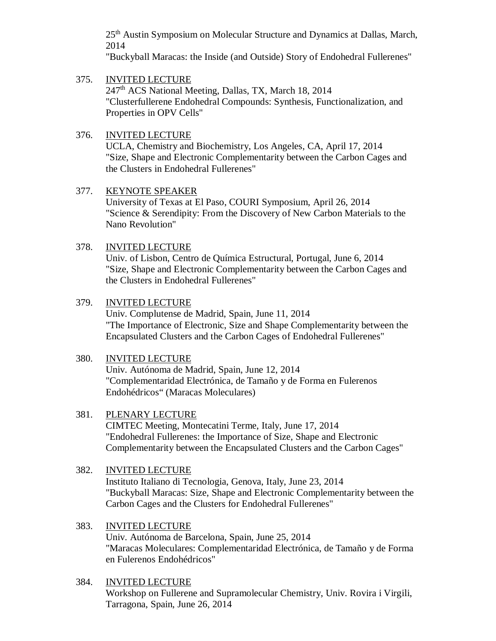25<sup>th</sup> Austin Symposium on Molecular Structure and Dynamics at Dallas, March, 2014

"Buckyball Maracas: the Inside (and Outside) Story of Endohedral Fullerenes"

# 375. INVITED LECTURE 247th ACS National Meeting, Dallas, TX, March 18, 2014 "Clusterfullerene Endohedral Compounds: Synthesis, Functionalization, and Properties in OPV Cells"

# 376. INVITED LECTURE

UCLA, Chemistry and Biochemistry, Los Angeles, CA, April 17, 2014 "Size, Shape and Electronic Complementarity between the Carbon Cages and the Clusters in Endohedral Fullerenes"

# 377. KEYNOTE SPEAKER

University of Texas at El Paso, COURI Symposium, April 26, 2014 "Science & Serendipity: From the Discovery of New Carbon Materials to the Nano Revolution"

# 378. INVITED LECTURE

Univ. of Lisbon, Centro de Química Estructural, Portugal, June 6, 2014 "Size, Shape and Electronic Complementarity between the Carbon Cages and the Clusters in Endohedral Fullerenes"

# 379. INVITED LECTURE

Univ. Complutense de Madrid, Spain, June 11, 2014 "The Importance of Electronic, Size and Shape Complementarity between the Encapsulated Clusters and the Carbon Cages of Endohedral Fullerenes"

# 380. INVITED LECTURE

Univ. Autónoma de Madrid, Spain, June 12, 2014 "Complementaridad Electrónica, de Tamaño y de Forma en Fulerenos Endohédricos" (Maracas Moleculares)

# 381. PLENARY LECTURE

CIMTEC Meeting, Montecatini Terme, Italy, June 17, 2014 "Endohedral Fullerenes: the Importance of Size, Shape and Electronic Complementarity between the Encapsulated Clusters and the Carbon Cages"

# 382. INVITED LECTURE

Instituto Italiano di Tecnologia, Genova, Italy, June 23, 2014 "Buckyball Maracas: Size, Shape and Electronic Complementarity between the Carbon Cages and the Clusters for Endohedral Fullerenes"

### 383. INVITED LECTURE Univ. Autónoma de Barcelona, Spain, June 25, 2014 "Maracas Moleculares: Complementaridad Electrónica, de Tamaño y de Forma en Fulerenos Endohédricos"

384. INVITED LECTURE Workshop on Fullerene and Supramolecular Chemistry, Univ. Rovira i Virgili, Tarragona, Spain, June 26, 2014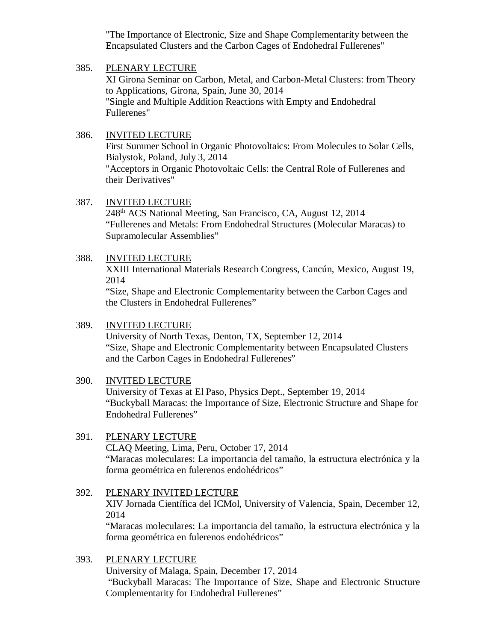"The Importance of Electronic, Size and Shape Complementarity between the Encapsulated Clusters and the Carbon Cages of Endohedral Fullerenes"

### 385. PLENARY LECTURE

XI Girona Seminar on Carbon, Metal, and Carbon-Metal Clusters: from Theory to Applications, Girona, Spain, June 30, 2014 "Single and Multiple Addition Reactions with Empty and Endohedral Fullerenes"

### 386. INVITED LECTURE

First Summer School in Organic Photovoltaics: From Molecules to Solar Cells, Bialystok, Poland, July 3, 2014 "Acceptors in Organic Photovoltaic Cells: the Central Role of Fullerenes and their Derivatives"

### 387. INVITED LECTURE

248<sup>th</sup> ACS National Meeting, San Francisco, CA, August 12, 2014 "Fullerenes and Metals: From Endohedral Structures (Molecular Maracas) to Supramolecular Assemblies"

### 388. INVITED LECTURE

XXIII International Materials Research Congress, Cancún, Mexico, August 19, 2014

"Size, Shape and Electronic Complementarity between the Carbon Cages and the Clusters in Endohedral Fullerenes"

### 389. INVITED LECTURE

University of North Texas, Denton, TX, September 12, 2014 "Size, Shape and Electronic Complementarity between Encapsulated Clusters and the Carbon Cages in Endohedral Fullerenes"

### 390. INVITED LECTURE

University of Texas at El Paso, Physics Dept., September 19, 2014 "Buckyball Maracas: the Importance of Size, Electronic Structure and Shape for Endohedral Fullerenes"

### 391. PLENARY LECTURE

CLAQ Meeting, Lima, Peru, October 17, 2014 "Maracas moleculares: La importancia del tamaño, la estructura electrónica y la forma geométrica en fulerenos endohédricos"

# 392. PLENARY INVITED LECTURE XIV Jornada Científica del ICMol, University of Valencia, Spain, December 12, 2014 "Maracas moleculares: La importancia del tamaño, la estructura electrónica y la

forma geométrica en fulerenos endohédricos"

### 393. PLENARY LECTURE University of Malaga, Spain, December 17, 2014 "Buckyball Maracas: The Importance of Size, Shape and Electronic Structure Complementarity for Endohedral Fullerenes"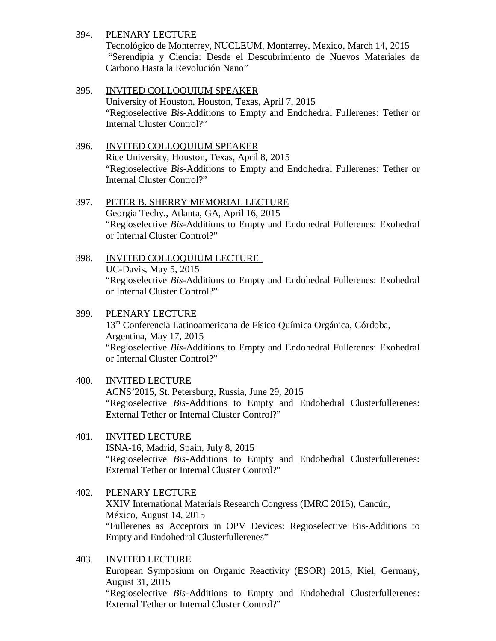## 394. PLENARY LECTURE

Tecnológico de Monterrey, NUCLEUM, Monterrey, Mexico, March 14, 2015 "Serendipia y Ciencia: Desde el Descubrimiento de Nuevos Materiales de Carbono Hasta la Revolución Nano"

# 395. INVITED COLLOQUIUM SPEAKER

University of Houston, Houston, Texas, April 7, 2015 "Regioselective *Bis*-Additions to Empty and Endohedral Fullerenes: Tether or Internal Cluster Control?"

# 396. INVITED COLLOQUIUM SPEAKER

Rice University, Houston, Texas, April 8, 2015 "Regioselective *Bis*-Additions to Empty and Endohedral Fullerenes: Tether or Internal Cluster Control?"

# 397. PETER B. SHERRY MEMORIAL LECTURE

Georgia Techy., Atlanta, GA, April 16, 2015 "Regioselective *Bis*-Additions to Empty and Endohedral Fullerenes: Exohedral or Internal Cluster Control?"

# 398. INVITED COLLOQUIUM LECTURE UC-Davis, May 5, 2015 "Regioselective *Bis*-Additions to Empty and Endohedral Fullerenes: Exohedral or Internal Cluster Control?"

# 399. PLENARY LECTURE 13ra Conferencia Latinoamericana de Físico Química Orgánica, Córdoba, Argentina, May 17, 2015 "Regioselective *Bis*-Additions to Empty and Endohedral Fullerenes: Exohedral or Internal Cluster Control?"

# 400. INVITED LECTURE ACNS'2015, St. Petersburg, Russia, June 29, 2015 "Regioselective *Bis*-Additions to Empty and Endohedral Clusterfullerenes: External Tether or Internal Cluster Control?"

# 401. INVITED LECTURE ISNA-16, Madrid, Spain, July 8, 2015 "Regioselective *Bis*-Additions to Empty and Endohedral Clusterfullerenes: External Tether or Internal Cluster Control?"

# 402. PLENARY LECTURE XXIV International Materials Research Congress (IMRC 2015), Cancún, México, August 14, 2015 "Fullerenes as Acceptors in OPV Devices: Regioselective Bis-Additions to Empty and Endohedral Clusterfullerenes"

# 403. INVITED LECTURE European Symposium on Organic Reactivity (ESOR) 2015, Kiel, Germany, August 31, 2015 "Regioselective *Bis*-Additions to Empty and Endohedral Clusterfullerenes: External Tether or Internal Cluster Control?"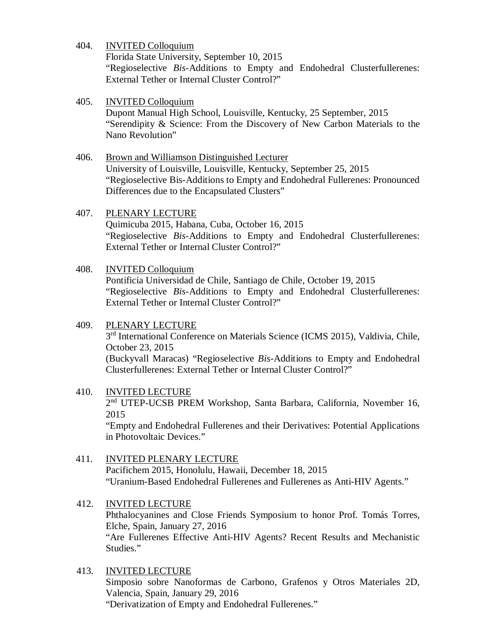404. INVITED Colloquium

Florida State University, September 10, 2015 "Regioselective *Bis*-Additions to Empty and Endohedral Clusterfullerenes: External Tether or Internal Cluster Control?"

## 405. INVITED Colloquium Dupont Manual High School, Louisville, Kentucky, 25 September, 2015 "Serendipity & Science: From the Discovery of New Carbon Materials to the Nano Revolution"

- 406. Brown and Williamson Distinguished Lecturer University of Louisville, Louisville, Kentucky, September 25, 2015 "Regioselective Bis-Additions to Empty and Endohedral Fullerenes: Pronounced Differences due to the Encapsulated Clusters"
- 407. PLENARY LECTURE Quimicuba 2015, Habana, Cuba, October 16, 2015 "Regioselective *Bis*-Additions to Empty and Endohedral Clusterfullerenes: External Tether or Internal Cluster Control?"

### 408. INVITED Colloquium

Pontificia Universidad de Chile, Santiago de Chile, October 19, 2015 "Regioselective *Bis*-Additions to Empty and Endohedral Clusterfullerenes: External Tether or Internal Cluster Control?"

409. PLENARY LECTURE 3rd International Conference on Materials Science (ICMS 2015), Valdivia, Chile, October 23, 2015

(Buckyvall Maracas) "Regioselective *Bis*-Additions to Empty and Endohedral Clusterfullerenes: External Tether or Internal Cluster Control?"

### 410. INVITED LECTURE

2nd UTEP-UCSB PREM Workshop, Santa Barbara, California, November 16, 2015

"Empty and Endohedral Fullerenes and their Derivatives: Potential Applications in Photovoltaic Devices."

- 411. INVITED PLENARY LECTURE Pacifichem 2015, Honolulu, Hawaii, December 18, 2015 "Uranium-Based Endohedral Fullerenes and Fullerenes as Anti-HIV Agents."
- 412. INVITED LECTURE Phthalocyanines and Close Friends Symposium to honor Prof. Tomás Torres, Elche, Spain, January 27, 2016 "Are Fullerenes Effective Anti-HIV Agents? Recent Results and Mechanistic Studies."
- 413. INVITED LECTURE Simposio sobre Nanoformas de Carbono, Grafenos y Otros Materiales 2D, Valencia, Spain, January 29, 2016 "Derivatization of Empty and Endohedral Fullerenes."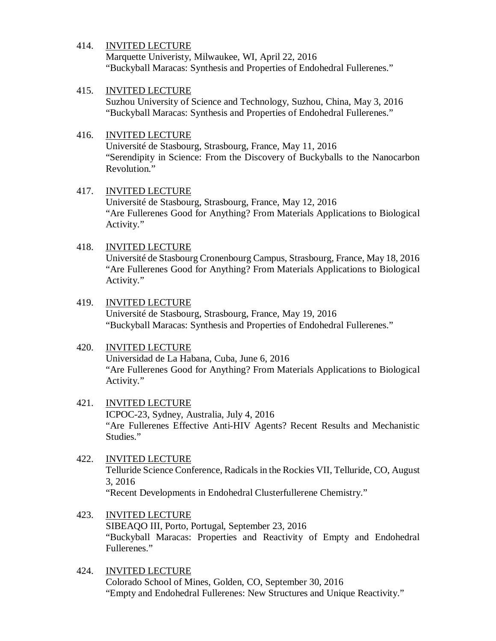Marquette Univeristy, Milwaukee, WI, April 22, 2016 "Buckyball Maracas: Synthesis and Properties of Endohedral Fullerenes."

### 415. INVITED LECTURE

Suzhou University of Science and Technology, Suzhou, China, May 3, 2016 "Buckyball Maracas: Synthesis and Properties of Endohedral Fullerenes."

## 416. INVITED LECTURE

Université de Stasbourg, Strasbourg, France, May 11, 2016 "Serendipity in Science: From the Discovery of Buckyballs to the Nanocarbon Revolution."

### 417. INVITED LECTURE

Université de Stasbourg, Strasbourg, France, May 12, 2016 "Are Fullerenes Good for Anything? From Materials Applications to Biological Activity."

## 418. INVITED LECTURE

Université de Stasbourg Cronenbourg Campus, Strasbourg, France, May 18, 2016 "Are Fullerenes Good for Anything? From Materials Applications to Biological Activity."

## 419. INVITED LECTURE

Université de Stasbourg, Strasbourg, France, May 19, 2016 "Buckyball Maracas: Synthesis and Properties of Endohedral Fullerenes."

# 420. INVITED LECTURE

Universidad de La Habana, Cuba, June 6, 2016 "Are Fullerenes Good for Anything? From Materials Applications to Biological Activity."

# 421. INVITED LECTURE

ICPOC-23, Sydney, Australia, July 4, 2016 "Are Fullerenes Effective Anti-HIV Agents? Recent Results and Mechanistic Studies."

# 422. INVITED LECTURE

Telluride Science Conference, Radicals in the Rockies VII, Telluride, CO, August 3, 2016

"Recent Developments in Endohedral Clusterfullerene Chemistry."

423. INVITED LECTURE

SIBEAQO III, Porto, Portugal, September 23, 2016 "Buckyball Maracas: Properties and Reactivity of Empty and Endohedral Fullerenes."

### 424. INVITED LECTURE Colorado School of Mines, Golden, CO, September 30, 2016 "Empty and Endohedral Fullerenes: New Structures and Unique Reactivity."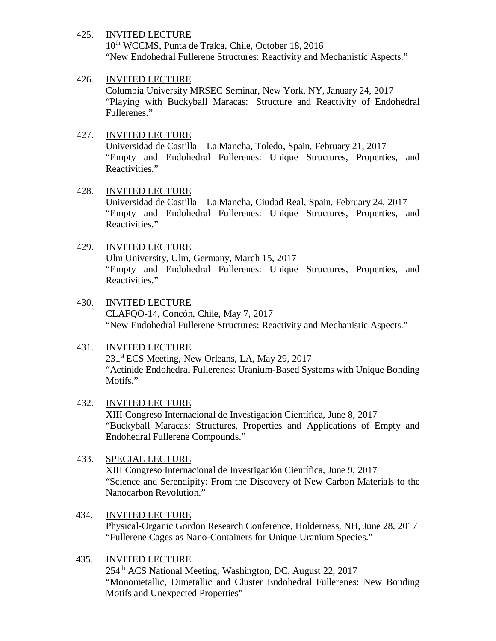10th WCCMS, Punta de Tralca, Chile, October 18, 2016 "New Endohedral Fullerene Structures: Reactivity and Mechanistic Aspects."

### 426. INVITED LECTURE

Columbia University MRSEC Seminar, New York, NY, January 24, 2017 "Playing with Buckyball Maracas: Structure and Reactivity of Endohedral Fullerenes."

## 427. INVITED LECTURE

Universidad de Castilla – La Mancha, Toledo, Spain, February 21, 2017 "Empty and Endohedral Fullerenes: Unique Structures, Properties, and Reactivities."

# 428. INVITED LECTURE

Universidad de Castilla – La Mancha, Ciudad Real, Spain, February 24, 2017 "Empty and Endohedral Fullerenes: Unique Structures, Properties, and Reactivities."

# 429. INVITED LECTURE

Ulm University, Ulm, Germany, March 15, 2017 "Empty and Endohedral Fullerenes: Unique Structures, Properties, and Reactivities."

430. INVITED LECTURE CLAFQO-14, Concón, Chile, May 7, 2017 "New Endohedral Fullerene Structures: Reactivity and Mechanistic Aspects."

# 431. INVITED LECTURE

231<sup>st</sup> ECS Meeting, New Orleans, LA, May 29, 2017 "Actinide Endohedral Fullerenes: Uranium-Based Systems with Unique Bonding Motifs."

### 432. INVITED LECTURE

XIII Congreso Internacional de Investigación Científica, June 8, 2017 "Buckyball Maracas: Structures, Properties and Applications of Empty and Endohedral Fullerene Compounds."

# 433. SPECIAL LECTURE

XIII Congreso Internacional de Investigación Científica, June 9, 2017 "Science and Serendipity: From the Discovery of New Carbon Materials to the Nanocarbon Revolution."

# 434. INVITED LECTURE

Physical-Organic Gordon Research Conference, Holderness, NH, June 28, 2017 "Fullerene Cages as Nano-Containers for Unique Uranium Species."

### 435. INVITED LECTURE

254<sup>th</sup> ACS National Meeting, Washington, DC, August 22, 2017 "Monometallic, Dimetallic and Cluster Endohedral Fullerenes: New Bonding Motifs and Unexpected Properties"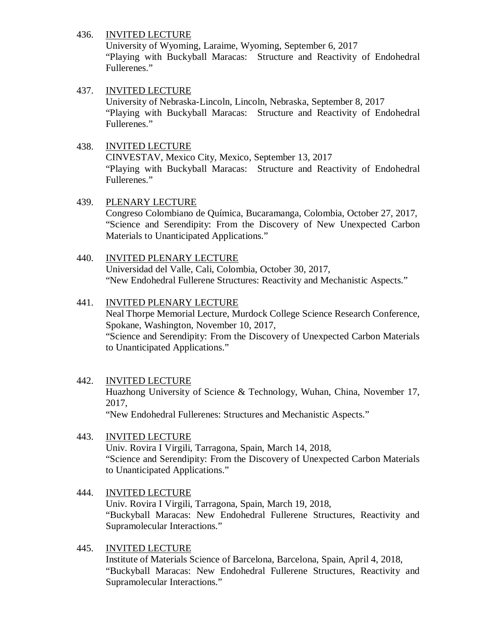University of Wyoming, Laraime, Wyoming, September 6, 2017 "Playing with Buckyball Maracas: Structure and Reactivity of Endohedral Fullerenes."

# 437. INVITED LECTURE

University of Nebraska-Lincoln, Lincoln, Nebraska, September 8, 2017 "Playing with Buckyball Maracas: Structure and Reactivity of Endohedral Fullerenes."

## 438. INVITED LECTURE

CINVESTAV, Mexico City, Mexico, September 13, 2017 "Playing with Buckyball Maracas: Structure and Reactivity of Endohedral Fullerenes."

### 439. PLENARY LECTURE

Congreso Colombiano de Química, Bucaramanga, Colombia, October 27, 2017, "Science and Serendipity: From the Discovery of New Unexpected Carbon Materials to Unanticipated Applications."

## 440. INVITED PLENARY LECTURE

Universidad del Valle, Cali, Colombia, October 30, 2017, "New Endohedral Fullerene Structures: Reactivity and Mechanistic Aspects."

## 441. INVITED PLENARY LECTURE

Neal Thorpe Memorial Lecture, Murdock College Science Research Conference, Spokane, Washington, November 10, 2017, "Science and Serendipity: From the Discovery of Unexpected Carbon Materials to Unanticipated Applications."

# 442. INVITED LECTURE

Huazhong University of Science & Technology, Wuhan, China, November 17, 2017,

"New Endohedral Fullerenes: Structures and Mechanistic Aspects."

# 443. INVITED LECTURE

Univ. Rovira I Virgili, Tarragona, Spain, March 14, 2018, "Science and Serendipity: From the Discovery of Unexpected Carbon Materials to Unanticipated Applications."

### 444. INVITED LECTURE Univ. Rovira I Virgili, Tarragona, Spain, March 19, 2018, "Buckyball Maracas: New Endohedral Fullerene Structures, Reactivity and Supramolecular Interactions."

### 445. INVITED LECTURE

Institute of Materials Science of Barcelona, Barcelona, Spain, April 4, 2018, "Buckyball Maracas: New Endohedral Fullerene Structures, Reactivity and Supramolecular Interactions."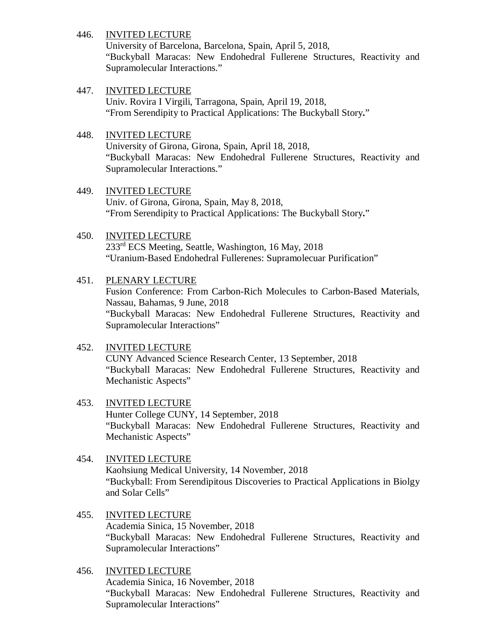University of Barcelona, Barcelona, Spain, April 5, 2018, "Buckyball Maracas: New Endohedral Fullerene Structures, Reactivity and Supramolecular Interactions."

### 447. INVITED LECTURE

Univ. Rovira I Virgili, Tarragona, Spain, April 19, 2018, "From Serendipity to Practical Applications: The Buckyball Story**.**"

### 448. INVITED LECTURE

University of Girona, Girona, Spain, April 18, 2018, "Buckyball Maracas: New Endohedral Fullerene Structures, Reactivity and Supramolecular Interactions."

# 449. INVITED LECTURE

Univ. of Girona, Girona, Spain, May 8, 2018, "From Serendipity to Practical Applications: The Buckyball Story**.**"

# 450. INVITED LECTURE

233rd ECS Meeting, Seattle, Washington, 16 May, 2018 "Uranium-Based Endohedral Fullerenes: Supramolecuar Purification"

## 451. PLENARY LECTURE

Fusion Conference: From Carbon-Rich Molecules to Carbon-Based Materials, Nassau, Bahamas, 9 June, 2018 "Buckyball Maracas: New Endohedral Fullerene Structures, Reactivity and Supramolecular Interactions"

### 452. INVITED LECTURE

CUNY Advanced Science Research Center, 13 September, 2018 "Buckyball Maracas: New Endohedral Fullerene Structures, Reactivity and Mechanistic Aspects"

# 453. INVITED LECTURE

Hunter College CUNY, 14 September, 2018 "Buckyball Maracas: New Endohedral Fullerene Structures, Reactivity and Mechanistic Aspects"

### 454. INVITED LECTURE

Kaohsiung Medical University, 14 November, 2018 "Buckyball: From Serendipitous Discoveries to Practical Applications in Biolgy and Solar Cells"

### 455. INVITED LECTURE Academia Sinica, 15 November, 2018

"Buckyball Maracas: New Endohedral Fullerene Structures, Reactivity and Supramolecular Interactions"

# 456. INVITED LECTURE

Academia Sinica, 16 November, 2018 "Buckyball Maracas: New Endohedral Fullerene Structures, Reactivity and Supramolecular Interactions"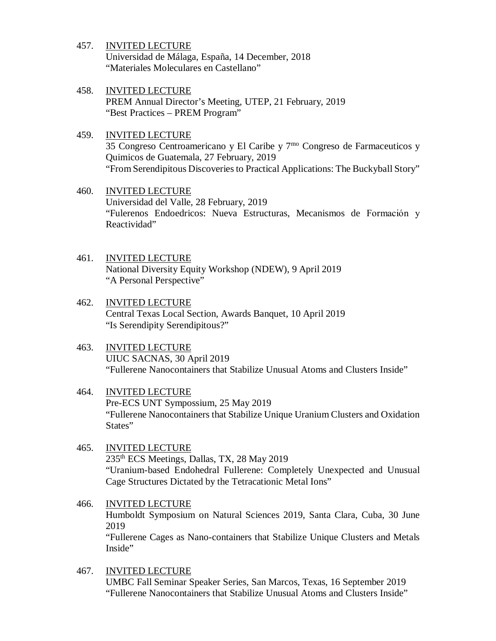Universidad de Málaga, España, 14 December, 2018 "Materiales Moleculares en Castellano"

- 458. INVITED LECTURE PREM Annual Director's Meeting, UTEP, 21 February, 2019 "Best Practices – PREM Program"
- 459. INVITED LECTURE 35 Congreso Centroamericano y El Caribe y  $7<sup>mo</sup>$  Congreso de Farmaceuticos y Quimicos de Guatemala, 27 February, 2019 "From Serendipitous Discoveries to Practical Applications: The Buckyball Story"
- 460. INVITED LECTURE Universidad del Valle, 28 February, 2019 "Fulerenos Endoedricos: Nueva Estructuras, Mecanismos de Formaciόn y Reactividad"
- 461. INVITED LECTURE National Diversity Equity Workshop (NDEW), 9 April 2019 "A Personal Perspective"
- 462. INVITED LECTURE Central Texas Local Section, Awards Banquet, 10 April 2019 "Is Serendipity Serendipitous?"
- 463. INVITED LECTURE UIUC SACNAS, 30 April 2019 "Fullerene Nanocontainers that Stabilize Unusual Atoms and Clusters Inside"
- 464. INVITED LECTURE Pre-ECS UNT Sympossium, 25 May 2019 "Fullerene Nanocontainers that Stabilize Unique Uranium Clusters and Oxidation States"
- 465. INVITED LECTURE 235th ECS Meetings, Dallas, TX, 28 May 2019 "Uranium-based Endohedral Fullerene: Completely Unexpected and Unusual Cage Structures Dictated by the Tetracationic Metal Ions"
- 466. INVITED LECTURE Humboldt Symposium on Natural Sciences 2019, Santa Clara, Cuba, 30 June 2019 "Fullerene Cages as Nano-containers that Stabilize Unique Clusters and Metals Inside"
- 467. INVITED LECTURE UMBC Fall Seminar Speaker Series, San Marcos, Texas, 16 September 2019 "Fullerene Nanocontainers that Stabilize Unusual Atoms and Clusters Inside"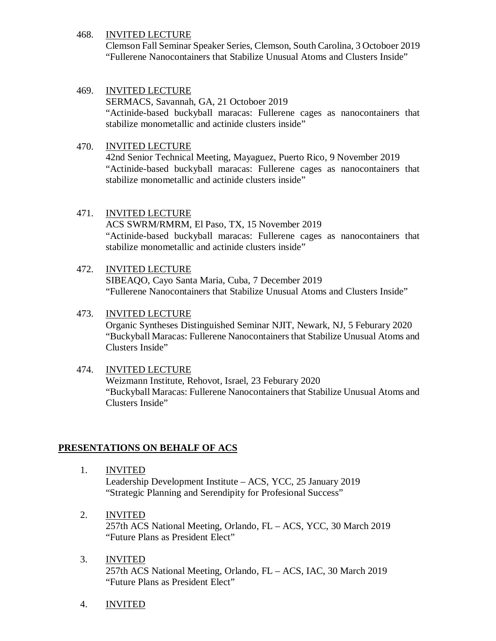Clemson Fall Seminar Speaker Series, Clemson, South Carolina, 3 Octoboer 2019 "Fullerene Nanocontainers that Stabilize Unusual Atoms and Clusters Inside"

## 469. INVITED LECTURE

SERMACS, Savannah, GA, 21 Octoboer 2019 "Actinide-based buckyball maracas: Fullerene cages as nanocontainers that stabilize monometallic and actinide clusters inside"

## 470. INVITED LECTURE

42nd Senior Technical Meeting, Mayaguez, Puerto Rico, 9 November 2019 "Actinide-based buckyball maracas: Fullerene cages as nanocontainers that stabilize monometallic and actinide clusters inside"

## 471. INVITED LECTURE

ACS SWRM/RMRM, El Paso, TX, 15 November 2019 "Actinide-based buckyball maracas: Fullerene cages as nanocontainers that stabilize monometallic and actinide clusters inside"

### 472. INVITED LECTURE

SIBEAQO, Cayo Santa Maria, Cuba, 7 December 2019 "Fullerene Nanocontainers that Stabilize Unusual Atoms and Clusters Inside"

## 473. INVITED LECTURE

Organic Syntheses Distinguished Seminar NJIT, Newark, NJ, 5 Feburary 2020 "Buckyball Maracas: Fullerene Nanocontainers that Stabilize Unusual Atoms and Clusters Inside"

# 474. INVITED LECTURE

Weizmann Institute, Rehovot, Israel, 23 Feburary 2020 "Buckyball Maracas: Fullerene Nanocontainers that Stabilize Unusual Atoms and Clusters Inside"

# **PRESENTATIONS ON BEHALF OF ACS**

1. INVITED

Leadership Development Institute – ACS, YCC, 25 January 2019 "Strategic Planning and Serendipity for Profesional Success"

- 2. INVITED 257th ACS National Meeting, Orlando, FL – ACS, YCC, 30 March 2019 "Future Plans as President Elect"
- 3. INVITED 257th ACS National Meeting, Orlando, FL – ACS, IAC, 30 March 2019 "Future Plans as President Elect"
- 4. INVITED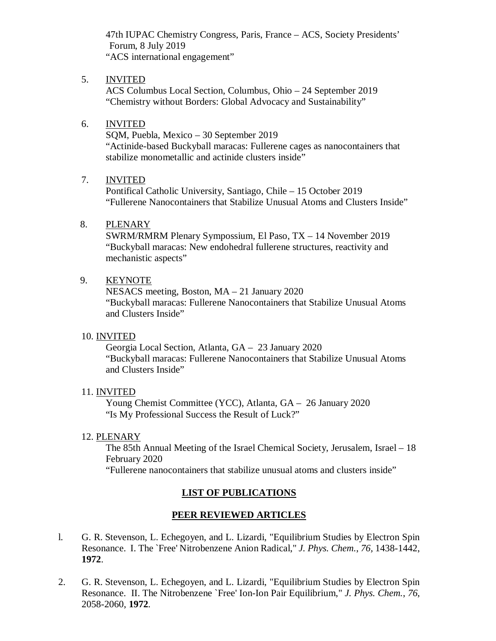47th IUPAC Chemistry Congress, Paris, France – ACS, Society Presidents' Forum, 8 July 2019 "ACS international engagement"

### 5. INVITED

ACS Columbus Local Section, Columbus, Ohio – 24 September 2019 "Chemistry without Borders: Global Advocacy and Sustainability"

### 6. INVITED

SQM, Puebla, Mexico – 30 September 2019 "Actinide-based Buckyball maracas: Fullerene cages as nanocontainers that stabilize monometallic and actinide clusters inside"

# 7. INVITED

Pontifical Catholic University, Santiago, Chile – 15 October 2019 "Fullerene Nanocontainers that Stabilize Unusual Atoms and Clusters Inside"

## 8. PLENARY

SWRM/RMRM Plenary Sympossium, El Paso, TX – 14 November 2019 "Buckyball maracas: New endohedral fullerene structures, reactivity and mechanistic aspects"

# 9. KEYNOTE

NESACS meeting, Boston, MA – 21 January 2020 "Buckyball maracas: Fullerene Nanocontainers that Stabilize Unusual Atoms and Clusters Inside"

### 10. INVITED

Georgia Local Section, Atlanta, GA – 23 January 2020 "Buckyball maracas: Fullerene Nanocontainers that Stabilize Unusual Atoms and Clusters Inside"

### 11. INVITED

Young Chemist Committee (YCC), Atlanta, GA – 26 January 2020 "Is My Professional Success the Result of Luck?"

### 12. PLENARY

The 85th Annual Meeting of the Israel Chemical Society, Jerusalem, Israel – 18 February 2020

"Fullerene nanocontainers that stabilize unusual atoms and clusters inside"

# **LIST OF PUBLICATIONS**

# **PEER REVIEWED ARTICLES**

- l. G. R. Stevenson, L. Echegoyen, and L. Lizardi, "Equilibrium Studies by Electron Spin Resonance. I. The `Free' Nitrobenzene Anion Radical," *J. Phys. Chem.*, *76,* 1438-1442, **1972**.
- 2. G. R. Stevenson, L. Echegoyen, and L. Lizardi, "Equilibrium Studies by Electron Spin Resonance. II. The Nitrobenzene `Free' Ion-Ion Pair Equilibrium," *J. Phys. Chem.*, *76*, 2058-2060, **1972**.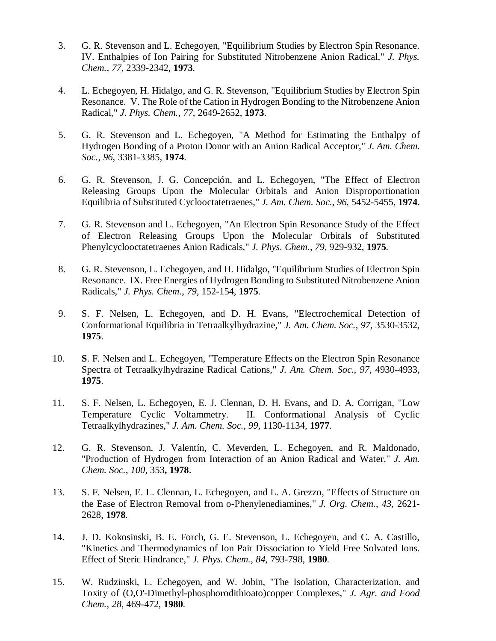- 3. G. R. Stevenson and L. Echegoyen, "Equilibrium Studies by Electron Spin Resonance. IV. Enthalpies of Ion Pairing for Substituted Nitrobenzene Anion Radical," *J. Phys. Chem.*, *77*, 2339-2342, **1973**.
- 4. L. Echegoyen, H. Hidalgo, and G. R. Stevenson, "Equilibrium Studies by Electron Spin Resonance. V. The Role of the Cation in Hydrogen Bonding to the Nitrobenzene Anion Radical," *J. Phys. Chem.*, *77*, 2649-2652, **1973**.
- 5. G. R. Stevenson and L. Echegoyen, "A Method for Estimating the Enthalpy of Hydrogen Bonding of a Proton Donor with an Anion Radical Acceptor," *J. Am. Chem. Soc.*, *96*, 3381-3385, **1974**.
- 6. G. R. Stevenson, J. G. Concepción, and L. Echegoyen, "The Effect of Electron Releasing Groups Upon the Molecular Orbitals and Anion Disproportionation Equilibria of Substituted Cyclooctatetraenes," *J. Am. Chem. Soc.*, *96*, 5452-5455, **1974**.
- 7. G. R. Stevenson and L. Echegoyen, "An Electron Spin Resonance Study of the Effect of Electron Releasing Groups Upon the Molecular Orbitals of Substituted Phenylcyclooctatetraenes Anion Radicals," *J. Phys. Chem.*, *79*, 929-932, **1975**.
- 8. G. R. Stevenson, L. Echegoyen, and H. Hidalgo, "Equilibrium Studies of Electron Spin Resonance. IX. Free Energies of Hydrogen Bonding to Substituted Nitrobenzene Anion Radicals," *J. Phys. Chem.*, *79*, 152-154, **1975**.
- 9. S. F. Nelsen, L. Echegoyen, and D. H. Evans, "Electrochemical Detection of Conformational Equilibria in Tetraalkylhydrazine," *J. Am. Chem. Soc.*, *97*, 3530-3532, **1975**.
- 10. **S**. F. Nelsen and L. Echegoyen, "Temperature Effects on the Electron Spin Resonance Spectra of Tetraalkylhydrazine Radical Cations," *J. Am. Chem. Soc.*, *97*, 4930-4933, **1975**.
- 11. S. F. Nelsen, L. Echegoyen, E. J. Clennan, D. H. Evans, and D. A. Corrigan, "Low Temperature Cyclic Voltammetry. II. Conformational Analysis of Cyclic Tetraalkylhydrazines," *J. Am. Chem. Soc.*, *99*, 1130-1134, **1977**.
- 12. G. R. Stevenson, J. Valentín, C. Meverden, L. Echegoyen, and R. Maldonado, "Production of Hydrogen from Interaction of an Anion Radical and Water," *J. Am. Chem. Soc.*, *100*, 353**, 1978**.
- 13. S. F. Nelsen, E. L. Clennan, L. Echegoyen, and L. A. Grezzo, "Effects of Structure on the Ease of Electron Removal from o-Phenylenediamines," *J. Org. Chem.*, *43*, 2621- 2628, **1978**.
- 14. J. D. Kokosinski, B. E. Forch, G. E. Stevenson, L. Echegoyen, and C. A. Castillo, "Kinetics and Thermodynamics of Ion Pair Dissociation to Yield Free Solvated Ions. Effect of Steric Hindrance," *J. Phys. Chem.*, *84*, 793-798, **1980**.
- 15. W. Rudzinski, L. Echegoyen, and W. Jobin, "The Isolation, Characterization, and Toxity of (O,O'-Dimethyl-phosphorodithioato)copper Complexes," *J. Agr. and Food Chem.*, *28*, 469-472, **1980**.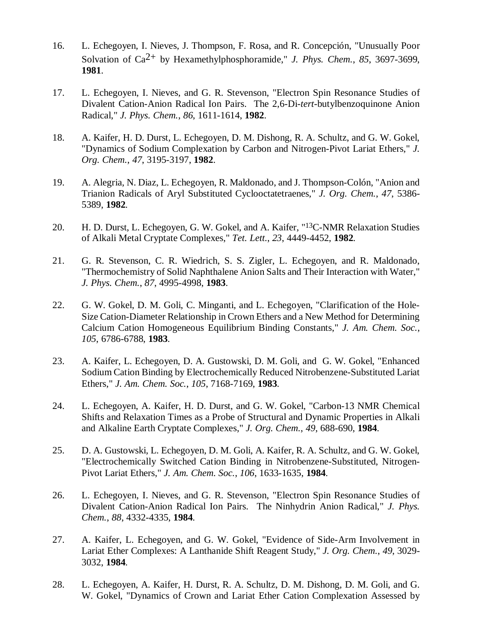- 16. L. Echegoyen, I. Nieves, J. Thompson, F. Rosa, and R. Concepción, "Unusually Poor Solvation of Ca2+ by Hexamethylphosphoramide," *J. Phys. Chem.*, *85*, 3697-3699, **1981**.
- 17. L. Echegoyen, I. Nieves, and G. R. Stevenson, "Electron Spin Resonance Studies of Divalent Cation-Anion Radical Ion Pairs. The 2,6-Di-*tert*-butylbenzoquinone Anion Radical," *J. Phys. Chem.*, *86*, 1611-1614, **1982**.
- 18. A. Kaifer, H. D. Durst, L. Echegoyen, D. M. Dishong, R. A. Schultz, and G. W. Gokel, "Dynamics of Sodium Complexation by Carbon and Nitrogen-Pivot Lariat Ethers," *J. Org. Chem.*, *47*, 3195-3197, **1982**.
- 19. A. Alegria, N. Diaz, L. Echegoyen, R. Maldonado, and J. Thompson-Colón, "Anion and Trianion Radicals of Aryl Substituted Cyclooctatetraenes," *J. Org. Chem.*, *47*, 5386- 5389, **1982**.
- 20. H. D. Durst, L. Echegoyen, G. W. Gokel, and A. Kaifer, "13C-NMR Relaxation Studies of Alkali Metal Cryptate Complexes," *Tet. Lett.*, *23*, 4449-4452, **1982**.
- 21. G. R. Stevenson, C. R. Wiedrich, S. S. Zigler, L. Echegoyen, and R. Maldonado, "Thermochemistry of Solid Naphthalene Anion Salts and Their Interaction with Water," *J. Phys. Chem.*, *87*, 4995-4998, **1983**.
- 22. G. W. Gokel, D. M. Goli, C. Minganti, and L. Echegoyen, "Clarification of the Hole-Size Cation-Diameter Relationship in Crown Ethers and a New Method for Determining Calcium Cation Homogeneous Equilibrium Binding Constants," *J. Am. Chem. Soc.*, *105*, 6786-6788, **1983**.
- 23. A. Kaifer, L. Echegoyen, D. A. Gustowski, D. M. Goli, and G. W. Gokel, "Enhanced Sodium Cation Binding by Electrochemically Reduced Nitrobenzene-Substituted Lariat Ethers," *J. Am. Chem. Soc.*, *105*, 7168-7169, **1983**.
- 24. L. Echegoyen, A. Kaifer, H. D. Durst, and G. W. Gokel, "Carbon-13 NMR Chemical Shifts and Relaxation Times as a Probe of Structural and Dynamic Properties in Alkali and Alkaline Earth Cryptate Complexes," *J. Org. Chem.*, *49*, 688-690, **1984**.
- 25. D. A. Gustowski, L. Echegoyen, D. M. Goli, A. Kaifer, R. A. Schultz, and G. W. Gokel, "Electrochemically Switched Cation Binding in Nitrobenzene-Substituted, Nitrogen-Pivot Lariat Ethers," *J. Am. Chem. Soc.*, *106*, 1633-1635, **1984**.
- 26. L. Echegoyen, I. Nieves, and G. R. Stevenson, "Electron Spin Resonance Studies of Divalent Cation-Anion Radical Ion Pairs. The Ninhydrin Anion Radical," *J. Phys. Chem.*, *88*, 4332-4335, **1984**.
- 27. A. Kaifer, L. Echegoyen, and G. W. Gokel, "Evidence of Side-Arm Involvement in Lariat Ether Complexes: A Lanthanide Shift Reagent Study," *J. Org. Chem.*, *49*, 3029- 3032, **1984**.
- 28. L. Echegoyen, A. Kaifer, H. Durst, R. A. Schultz, D. M. Dishong, D. M. Goli, and G. W. Gokel, "Dynamics of Crown and Lariat Ether Cation Complexation Assessed by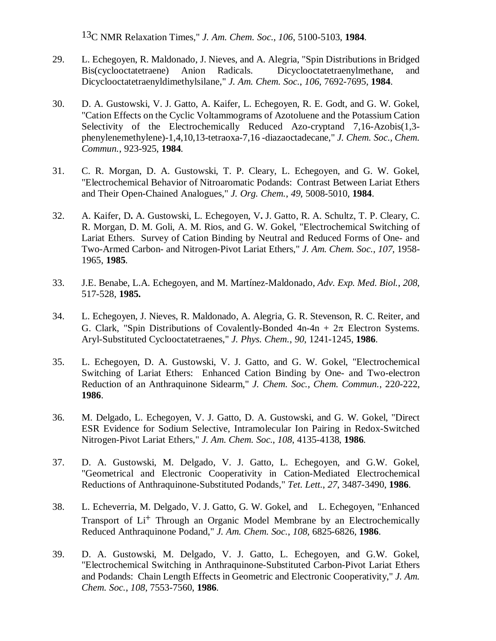13C NMR Relaxation Times," *J. Am. Chem. Soc.*, *106*, 5100-5103, **1984**.

- 29. L. Echegoyen, R. Maldonado, J. Nieves, and A. Alegria, "Spin Distributions in Bridged Bis(cyclooctatetraene) Anion Radicals. Dicyclooctatetraenylmethane, and Dicyclooctatetraenyldimethylsilane," *J. Am. Chem. Soc.*, *106*, 7692-7695, **1984**.
- 30. D. A. Gustowski, V. J. Gatto, A. Kaifer, L. Echegoyen, R. E. Godt, and G. W. Gokel, "Cation Effects on the Cyclic Voltammograms of Azotoluene and the Potassium Cation Selectivity of the Electrochemically Reduced Azo-cryptand 7,16-Azobis(1,3 phenylenemethylene)-1,4,10,13-tetraoxa-7,16 -diazaoctadecane," *J. Chem. Soc., Chem. Commun.*, 923-925, **1984**.
- 31. C. R. Morgan, D. A. Gustowski, T. P. Cleary, L. Echegoyen, and G. W. Gokel, "Electrochemical Behavior of Nitroaromatic Podands: Contrast Between Lariat Ethers and Their Open-Chained Analogues," *J. Org. Chem.*, *49*, 5008-5010, **1984**.
- 32. A. Kaifer, D**.** A. Gustowski, L. Echegoyen, V**.** J. Gatto, R. A. Schultz, T. P. Cleary, C. R. Morgan, D. M. Goli, A. M. Rios, and G. W. Gokel, "Electrochemical Switching of Lariat Ethers. Survey of Cation Binding by Neutral and Reduced Forms of One- and Two-Armed Carbon- and Nitrogen-Pivot Lariat Ethers," *J. Am. Chem. Soc.*, *107*, 1958- 1965, **1985**.
- 33. J.E. Benabe, L.A. Echegoyen, and M. Martínez-Maldonado, *Adv. Exp. Med. Biol.*, *208*, 517-528, **1985.**
- 34. L. Echegoyen, J. Nieves, R. Maldonado, A. Alegria, G. R. Stevenson, R. C. Reiter, and G. Clark, "Spin Distributions of Covalently-Bonded  $4n-4n + 2\pi$  Electron Systems. Aryl-Substituted Cyclooctatetraenes," *J. Phys. Chem.*, *90*, 1241-1245, **1986**.
- 35. L. Echegoyen, D. A. Gustowski, V. J. Gatto, and G. W. Gokel, "Electrochemical Switching of Lariat Ethers: Enhanced Cation Binding by One- and Two-electron Reduction of an Anthraquinone Sidearm," *J. Chem. Soc., Chem. Commun.*, 22*0*-222, **1986**.
- 36. M. Delgado, L. Echegoyen, V. J. Gatto, D. A. Gustowski, and G. W. Gokel, "Direct ESR Evidence for Sodium Selective, Intramolecular Ion Pairing in Redox-Switched Nitrogen-Pivot Lariat Ethers," *J. Am. Chem. Soc.*, *108*, 4135-4138, **1986**.
- 37. D. A. Gustowski, M. Delgado, V. J. Gatto, L. Echegoyen, and G.W. Gokel, "Geometrical and Electronic Cooperativity in Cation-Mediated Electrochemical Reductions of Anthraquinone-Substituted Podands," *Tet. Lett.*, *27*, 3487-3490, **1986**.
- 38. L. Echeverria, M. Delgado, V. J. Gatto, G. W. Gokel, and L. Echegoyen, "Enhanced Transport of Li<sup>+</sup> Through an Organic Model Membrane by an Electrochemically Reduced Anthraquinone Podand," *J. Am. Chem. Soc.*, *108*, 6825-6826, **1986**.
- 39. D. A. Gustowski, M. Delgado, V. J. Gatto, L. Echegoyen, and G.W. Gokel, "Electrochemical Switching in Anthraquinone-Substituted Carbon-Pivot Lariat Ethers and Podands: Chain Length Effects in Geometric and Electronic Cooperativity," *J. Am. Chem. Soc.*, *108*, 7553-7560, **1986**.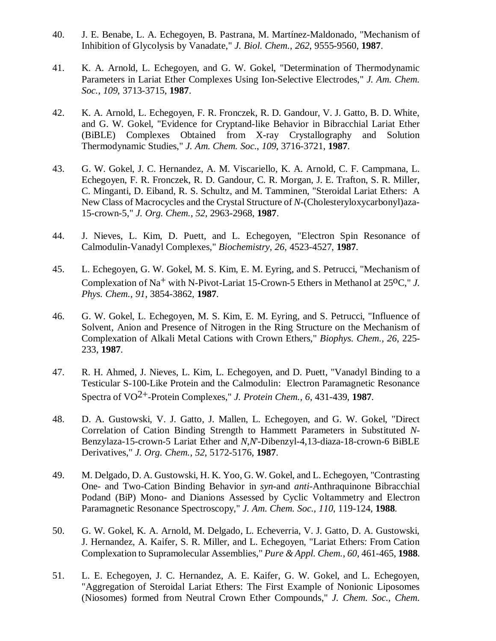- 40. J. E. Benabe, L. A. Echegoyen, B. Pastrana, M. Martínez-Maldonado, "Mechanism of Inhibition of Glycolysis by Vanadate," *J. Biol. Chem.*, *262*, 9555-9560, **1987**.
- 41. K. A. Arnold, L. Echegoyen, and G. W. Gokel, "Determination of Thermodynamic Parameters in Lariat Ether Complexes Using Ion-Selective Electrodes," *J. Am. Chem. Soc.*, *109*, 3713-3715, **1987**.
- 42. K. A. Arnold, L. Echegoyen, F. R. Fronczek, R. D. Gandour, V. J. Gatto, B. D. White, and G. W. Gokel, "Evidence for Cryptand-like Behavior in Bibracchial Lariat Ether (BiBLE) Complexes Obtained from X-ray Crystallography and Solution Thermodynamic Studies," *J. Am. Chem. Soc.*, *109*, 3716-3721, **1987**.
- 43. G. W. Gokel, J. C. Hernandez, A. M. Viscariello, K. A. Arnold, C. F. Campmana, L. Echegoyen, F. R. Fronczek, R. D. Gandour, C. R. Morgan, J. E. Trafton, S. R. Miller, C. Minganti, D. Eiband, R. S. Schultz, and M. Tamminen, "Steroidal Lariat Ethers: A New Class of Macrocycles and the Crystal Structure of *N*-(Cholesteryloxycarbonyl)aza-15-crown-5," *J. Org. Chem.*, *52*, 2963-2968, **1987**.
- 44. J. Nieves, L. Kim, D. Puett, and L. Echegoyen, "Electron Spin Resonance of Calmodulin-Vanadyl Complexes," *Biochemistry*, *26*, 4523-4527, **1987**.
- 45. L. Echegoyen, G. W. Gokel, M. S. Kim, E. M. Eyring, and S. Petrucci, "Mechanism of Complexation of Na<sup>+</sup> with N-Pivot-Lariat 15-Crown-5 Ethers in Methanol at 25<sup>o</sup>C," *J. Phys. Chem.*, *91*, 3854-3862, **1987**.
- 46. G. W. Gokel, L. Echegoyen, M. S. Kim, E. M. Eyring, and S. Petrucci, "Influence of Solvent, Anion and Presence of Nitrogen in the Ring Structure on the Mechanism of Complexation of Alkali Metal Cations with Crown Ethers," *Biophys. Chem.*, *26*, 225- 233, **1987**.
- 47. R. H. Ahmed, J. Nieves, L. Kim, L. Echegoyen, and D. Puett, "Vanadyl Binding to a Testicular S-100-Like Protein and the Calmodulin: Electron Paramagnetic Resonance Spectra of VO2+-Protein Complexes," *J. Protein Chem.*, *6*, 431-439, **1987**.
- 48. D. A. Gustowski, V. J. Gatto, J. Mallen, L. Echegoyen, and G. W. Gokel, "Direct Correlation of Cation Binding Strength to Hammett Parameters in Substituted *N-*Benzylaza-15-crown-5 Lariat Ether and *N*,*N*'-Dibenzyl-4,13-diaza-18-crown-6 BiBLE Derivatives," *J. Org. Chem.*, *52*, 5172-5176, **1987**.
- 49. M. Delgado, D. A. Gustowski, H. K. Yoo, G. W. Gokel, and L. Echegoyen, "Contrasting One- and Two-Cation Binding Behavior in *syn-*and *anti-*Anthraquinone Bibracchial Podand (BiP) Mono- and Dianions Assessed by Cyclic Voltammetry and Electron Paramagnetic Resonance Spectroscopy," *J. Am. Chem. Soc.*, *110*, 119-124, **1988**.
- 50. G. W. Gokel, K. A. Arnold, M. Delgado, L. Echeverria, V. J. Gatto, D. A. Gustowski, J. Hernandez, A. Kaifer, S. R. Miller, and L. Echegoyen, "Lariat Ethers: From Cation Complexation to Supramolecular Assemblies," *Pure & Appl. Chem.*, *60*, 461-465, **1988**.
- 51. L. E. Echegoyen, J. C. Hernandez, A. E. Kaifer, G. W. Gokel, and L. Echegoyen, "Aggregation of Steroidal Lariat Ethers: The First Example of Nonionic Liposomes (Niosomes) formed from Neutral Crown Ether Compounds," *J. Chem. Soc., Chem.*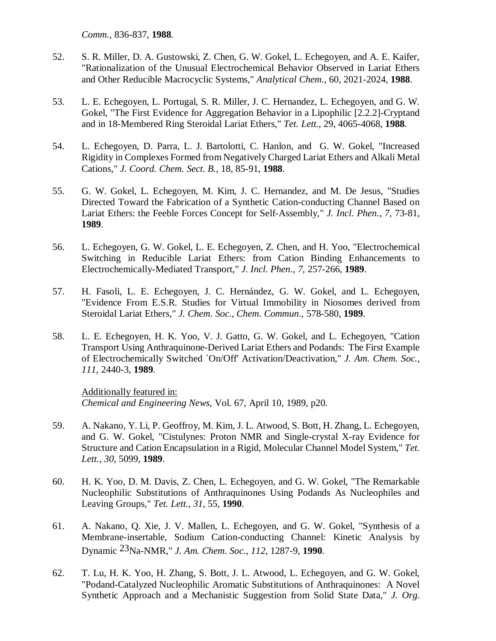*Comm.,* 836-837, **1988**.

- 52. S. R. Miller, D. A. Gustowski, Z. Chen, G. W. Gokel, L. Echegoyen, and A. E. Kaifer, "Rationalization of the Unusual Electrochemical Behavior Observed in Lariat Ethers and Other Reducible Macrocyclic Systems," *Analytical Chem.*, 60, 2021-2024, **1988**.
- 53. L. E. Echegoyen, L. Portugal, S. R. Miller, J. C. Hernandez, L. Echegoyen, and G. W. Gokel, "The First Evidence for Aggregation Behavior in a Lipophilic [2.2.2]-Cryptand and in 18-Membered Ring Steroidal Lariat Ethers," *Tet. Lett.,* 29, 4065-4068, **1988**.
- 54. L. Echegoyen, D. Parra, L. J. Bartolotti, C. Hanlon, and G. W. Gokel, "Increased Rigidity in Complexes Formed from Negatively Charged Lariat Ethers and Alkali Metal Cations," *J. Coord. Chem. Sect. B.*, 18, 85-91, **1988**.
- 55. G. W. Gokel, L. Echegoyen, M. Kim, J. C. Hernandez, and M. De Jesus, "Studies Directed Toward the Fabrication of a Synthetic Cation-conducting Channel Based on Lariat Ethers: the Feeble Forces Concept for Self-Assembly," *J. Incl. Phen.*, *7*, 73-81, **1989**.
- 56. L. Echegoyen, G. W. Gokel, L. E. Echegoyen, Z. Chen, and H. Yoo, "Electrochemical Switching in Reducible Lariat Ethers: from Cation Binding Enhancements to Electrochemically-Mediated Transport," *J. Incl. Phen.*, *7*, 257-266, **1989**.
- 57. H. Fasoli, L. E. Echegoyen, J. C. Hernández, G. W. Gokel, and L. Echegoyen, "Evidence From E.S.R. Studies for Virtual Immobility in Niosomes derived from Steroidal Lariat Ethers," *J. Chem. Soc*., *Chem*. *Commun*., 578-580, **1989**.
- 58. L. E. Echegoyen, H. K. Yoo, V. J. Gatto, G. W. Gokel, and L. Echegoyen, "Cation Transport Using Anthraquinone-Derived Lariat Ethers and Podands: The First Example of Electrochemically Switched `On/Off' Activation/Deactivation," *J. Am. Chem. Soc.*, *111*, 2440-3, **1989**.

Additionally featured in: *Chemical and Engineering News*, Vol. 67, April 10, 1989, p20.

- 59. A. Nakano, Y. Li, P. Geoffroy, M. Kim, J. L. Atwood, S. Bott, H. Zhang, L. Echegoyen, and G. W. Gokel, "Cistulynes: Proton NMR and Single-crystal X-ray Evidence for Structure and Cation Encapsulation in a Rigid, Molecular Channel Model System," *Tet. Lett.*, *30*, 5099, **1989**.
- 60. H. K. Yoo, D. M. Davis, Z. Chen, L. Echegoyen, and G. W. Gokel, "The Remarkable Nucleophilic Substitutions of Anthraquinones Using Podands As Nucleophiles and Leaving Groups," *Tet. Lett.*, *31*, 55, **1990**.
- 61. A. Nakano, Q. Xie, J. V. Mallen, L. Echegoyen, and G. W. Gokel, "Synthesis of a Membrane-insertable, Sodium Cation-conducting Channel: Kinetic Analysis by Dynamic 23Na-NMR," *J. Am. Chem. Soc.*, *112*, 1287-9, **1990**.
- 62. T. Lu, H. K. Yoo, H. Zhang, S. Bott, J. L. Atwood, L. Echegoyen, and G. W. Gokel, "Podand-Catalyzed Nucleophilic Aromatic Substitutions of Anthraquinones: A Novel Synthetic Approach and a Mechanistic Suggestion from Solid State Data," *J. Org.*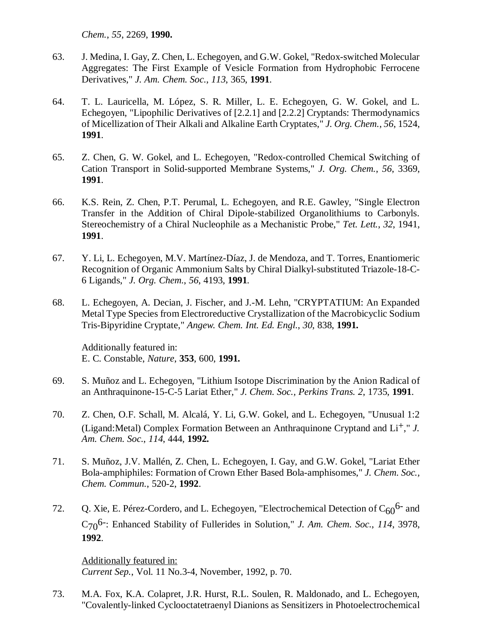*Chem.*, *55*, 2269, **1990.** 

- 63. J. Medina, I. Gay, Z. Chen, L. Echegoyen, and G.W. Gokel, "Redox-switched Molecular Aggregates: The First Example of Vesicle Formation from Hydrophobic Ferrocene Derivatives," *J. Am. Chem. Soc.*, *113*, 365, **1991**.
- 64. T. L. Lauricella, M. López, S. R. Miller, L. E. Echegoyen, G. W. Gokel, and L. Echegoyen, "Lipophilic Derivatives of [2.2.1] and [2.2.2] Cryptands: Thermodynamics of Micellization of Their Alkali and Alkaline Earth Cryptates," *J. Org. Chem.*, *56*, 1524, **1991**.
- 65. Z. Chen, G. W. Gokel, and L. Echegoyen, "Redox-controlled Chemical Switching of Cation Transport in Solid-supported Membrane Systems," *J. Org. Chem.*, *56*, 3369, **1991**.
- 66. K.S. Rein, Z. Chen, P.T. Perumal, L. Echegoyen, and R.E. Gawley, "Single Electron Transfer in the Addition of Chiral Dipole-stabilized Organolithiums to Carbonyls. Stereochemistry of a Chiral Nucleophile as a Mechanistic Probe," *Tet. Lett.*, *32*, 1941, **1991**.
- 67. Y. Li, L. Echegoyen, M.V. Martínez-Díaz, J. de Mendoza, and T. Torres, Enantiomeric Recognition of Organic Ammonium Salts by Chiral Dialkyl-substituted Triazole-18-C-6 Ligands," *J. Org. Chem.*, *56*, 4193, **1991**.
- 68. L. Echegoyen, A. Decian, J. Fischer, and J.-M. Lehn, "CRYPTATIUM: An Expanded Metal Type Species from Electroreductive Crystallization of the Macrobicyclic Sodium Tris-Bipyridine Cryptate," *Angew. Chem. Int. Ed. Engl.*, *30*, 838, **1991.**

Additionally featured in: E. C. Constable, *Nature*, **353**, 600, **1991.** 

- 69. S. Muñoz and L. Echegoyen, "Lithium Isotope Discrimination by the Anion Radical of an Anthraquinone-15-C-5 Lariat Ether," *J. Chem. Soc., Perkins Trans. 2*, 1735, **1991**.
- 70. Z. Chen, O.F. Schall, M. Alcalá, Y. Li, G.W. Gokel, and L. Echegoyen, "Unusual 1:2 (Ligand:Metal) Complex Formation Between an Anthraquinone Cryptand and Li+," *J. Am. Chem. Soc.*, *114*, 444, **1992.**
- 71. S. Muñoz, J.V. Mallén, Z. Chen, L. Echegoyen, I. Gay, and G.W. Gokel, "Lariat Ether Bola-amphiphiles: Formation of Crown Ether Based Bola-amphisomes," *J. Chem. Soc., Chem. Commun.*, 520-2, **1992**.
- 72. Q. Xie, E. Pérez-Cordero, and L. Echegoyen, "Electrochemical Detection of  $C_{60}$ <sup>6-</sup> and C706-: Enhanced Stability of Fullerides in Solution," *J. Am. Chem. Soc.*, *114*, 3978, **1992**.

Additionally featured in: *Current Sep.*, Vol. 11 No.3-4, November, 1992, p. 70.

73. M.A. Fox, K.A. Colapret, J.R. Hurst, R.L. Soulen, R. Maldonado, and L. Echegoyen, "Covalently-linked Cyclooctatetraenyl Dianions as Sensitizers in Photoelectrochemical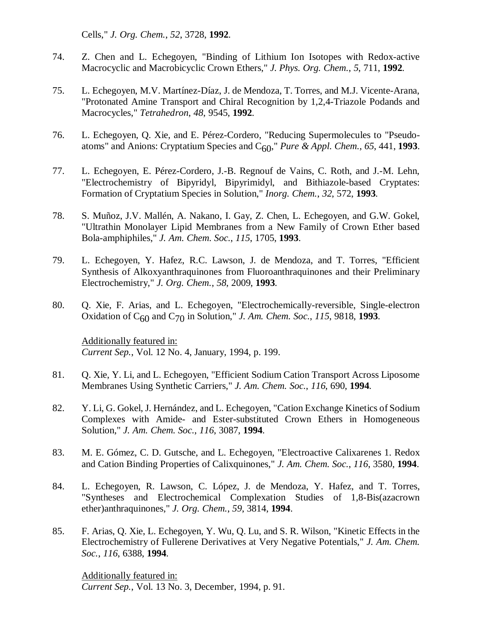Cells," *J. Org. Chem.*, *52*, 3728, **1992**.

- 74. Z. Chen and L. Echegoyen, "Binding of Lithium Ion Isotopes with Redox-active Macrocyclic and Macrobicyclic Crown Ethers," *J. Phys. Org. Chem.*, *5*, 711, **1992**.
- 75. L. Echegoyen, M.V. Martínez-Díaz, J. de Mendoza, T. Torres, and M.J. Vicente-Arana, "Protonated Amine Transport and Chiral Recognition by 1,2,4-Triazole Podands and Macrocycles," *Tetrahedron*, *48*, 9545, **1992**.
- 76. L. Echegoyen, Q. Xie, and E. Pérez-Cordero, "Reducing Supermolecules to "Pseudoatoms" and Anions: Cryptatium Species and  $C_{60}$ ," *Pure & Appl. Chem.*, 65, 441, 1993.
- 77. L. Echegoyen, E. Pérez-Cordero, J.-B. Regnouf de Vains, C. Roth, and J.-M. Lehn, "Electrochemistry of Bipyridyl, Bipyrimidyl, and Bithiazole-based Cryptates: Formation of Cryptatium Species in Solution," *Inorg. Chem.*, *32*, 572, **1993**.
- 78. S. Muñoz, J.V. Mallén, A. Nakano, I. Gay, Z. Chen, L. Echegoyen, and G.W. Gokel, "Ultrathin Monolayer Lipid Membranes from a New Family of Crown Ether based Bola-amphiphiles," *J. Am. Chem. Soc.*, *115*, 1705, **1993**.
- 79. L. Echegoyen, Y. Hafez, R.C. Lawson, J. de Mendoza, and T. Torres, "Efficient Synthesis of Alkoxyanthraquinones from Fluoroanthraquinones and their Preliminary Electrochemistry," *J. Org. Chem.*, *58*, 2009, **1993**.
- 80. Q. Xie, F. Arias, and L. Echegoyen, "Electrochemically-reversible, Single-electron Oxidation of C60 and C70 in Solution," *J. Am. Chem. Soc.*, *115*, 9818, **1993**.

Additionally featured in: *Current Sep.*, Vol. 12 No. 4, January, 1994, p. 199.

- 81. Q. Xie, Y. Li, and L. Echegoyen, "Efficient Sodium Cation Transport Across Liposome Membranes Using Synthetic Carriers," *J. Am. Chem. Soc.*, *116*, 690, **1994**.
- 82. Y. Li, G. Gokel, J. Hernández, and L. Echegoyen, "Cation Exchange Kinetics of Sodium Complexes with Amide- and Ester-substituted Crown Ethers in Homogeneous Solution," *J. Am. Chem. Soc.*, *116*, 3087, **1994**.
- 83. M. E. Gómez, C. D. Gutsche, and L. Echegoyen, "Electroactive Calixarenes 1. Redox and Cation Binding Properties of Calixquinones," *J. Am. Chem. Soc.*, *116*, 3580, **1994**.
- 84. L. Echegoyen, R. Lawson, C. López, J. de Mendoza, Y. Hafez, and T. Torres, "Syntheses and Electrochemical Complexation Studies of 1,8-Bis(azacrown ether)anthraquinones," *J. Org. Chem.*, *59*, 3814, **1994**.
- 85. F. Arias, Q. Xie, L. Echegoyen, Y. Wu, Q. Lu, and S. R. Wilson, "Kinetic Effects in the Electrochemistry of Fullerene Derivatives at Very Negative Potentials," *J. Am. Chem. Soc.*, *116*, 6388, **1994**.

Additionally featured in: *Current Sep.*, Vol. 13 No. 3, December, 1994, p. 91.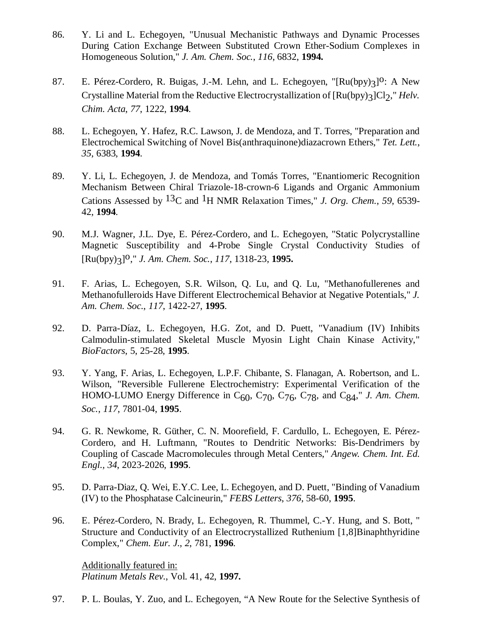- 86. Y. Li and L. Echegoyen, "Unusual Mechanistic Pathways and Dynamic Processes During Cation Exchange Between Substituted Crown Ether-Sodium Complexes in Homogeneous Solution," *J. Am. Chem. Soc.*, *116*, 6832, **1994.**
- 87. E. Pérez-Cordero, R. Buigas, J.-M. Lehn, and L. Echegoyen, "[Ru(bpy)3]<sup>O</sup>: A New Crystalline Material from the Reductive Electrocrystallization of  $\left[\text{Ru(bpy)}_{3}\right]Cl_{2}$ ," *Helv. Chim. Acta*, *77*, 1222, **1994**.
- 88. L. Echegoyen, Y. Hafez, R.C. Lawson, J. de Mendoza, and T. Torres, "Preparation and Electrochemical Switching of Novel Bis(anthraquinone)diazacrown Ethers," *Tet. Lett.*, *35*, 6383, **1994**.
- 89. Y. Li, L. Echegoyen, J. de Mendoza, and Tomás Torres, "Enantiomeric Recognition Mechanism Between Chiral Triazole-18-crown-6 Ligands and Organic Ammonium Cations Assessed by 13C and 1H NMR Relaxation Times," *J. Org. Chem.*, *59*, 6539- 42, **1994**.
- 90. M.J. Wagner, J.L. Dye, E. Pérez-Cordero, and L. Echegoyen, "Static Polycrystalline Magnetic Susceptibility and 4-Probe Single Crystal Conductivity Studies of [Ru(bpy)3]o," *J. Am. Chem. Soc.*, *<sup>117</sup>*, 1318-23, **1995.**
- 91. F. Arias, L. Echegoyen, S.R. Wilson, Q. Lu, and Q. Lu, "Methanofullerenes and Methanofulleroids Have Different Electrochemical Behavior at Negative Potentials," *J. Am. Chem. Soc.*, *117*, 1422-27, **1995**.
- 92. D. Parra-Díaz, L. Echegoyen, H.G. Zot, and D. Puett, "Vanadium (IV) Inhibits Calmodulin-stimulated Skeletal Muscle Myosin Light Chain Kinase Activity," *BioFactors*, 5, 25-28, **1995**.
- 93. Y. Yang, F. Arias, L. Echegoyen, L.P.F. Chibante, S. Flanagan, A. Robertson, and L. Wilson, "Reversible Fullerene Electrochemistry: Experimental Verification of the HOMO-LUMO Energy Difference in  $C_{60}$ ,  $C_{70}$ ,  $C_{76}$ ,  $C_{78}$ , and  $C_{84}$ ," *J. Am. Chem. Soc.*, *117*, 7801-04, **1995**.
- 94. G. R. Newkome, R. Güther, C. N. Moorefield, F. Cardullo, L. Echegoyen, E. Pérez-Cordero, and H. Luftmann, "Routes to Dendritic Networks: Bis-Dendrimers by Coupling of Cascade Macromolecules through Metal Centers," *Angew. Chem. Int. Ed. Engl., 34*, 2023-2026, **1995**.
- 95. D. Parra-Diaz, Q. Wei, E.Y.C. Lee, L. Echegoyen, and D. Puett, "Binding of Vanadium (IV) to the Phosphatase Calcineurin," *FEBS Letters*, *376*, 58-60, **1995**.
- 96. E. Pérez-Cordero, N. Brady, L. Echegoyen, R. Thummel, C.-Y. Hung, and S. Bott, " Structure and Conductivity of an Electrocrystallized Ruthenium [1,8]Binaphthyridine Complex," *Chem. Eur. J.*, *2*, 781, **1996**.

Additionally featured in: *Platinum Metals Rev.*, Vol. 41, 42, **1997.**

97. P. L. Boulas, Y. Zuo, and L. Echegoyen, "A New Route for the Selective Synthesis of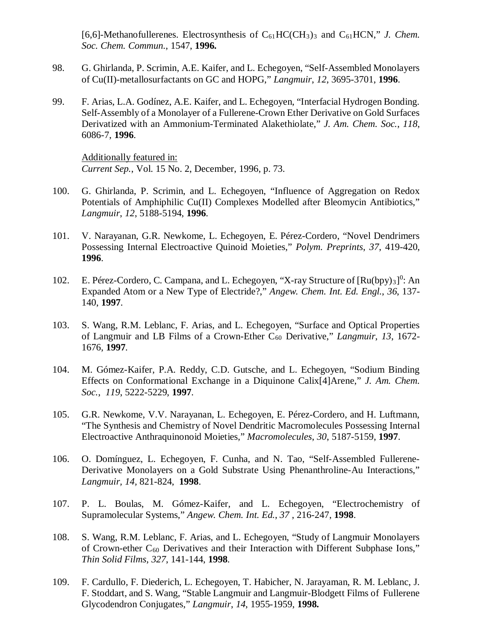[6,6]-Methanofullerenes. Electrosynthesis of C<sub>61</sub>HC(CH<sub>3</sub>)<sub>3</sub> and C<sub>61</sub>HCN," *J. Chem. Soc. Chem. Commun.*, 1547, **1996.**

- 98. G. Ghirlanda, P. Scrimin, A.E. Kaifer, and L. Echegoyen, "Self-Assembled Monolayers of Cu(II)-metallosurfactants on GC and HOPG," *Langmuir*, *12*, 3695-3701, **1996**.
- 99. F. Arias, L.A. Godínez, A.E. Kaifer, and L. Echegoyen, "Interfacial Hydrogen Bonding. Self-Assembly of a Monolayer of a Fullerene-Crown Ether Derivative on Gold Surfaces Derivatized with an Ammonium-Terminated Alakethiolate," *J. Am. Chem. Soc.*, *118*, 6086-7, **1996**.

Additionally featured in: *Current Sep.*, Vol. 15 No. 2, December, 1996, p. 73.

- 100. G. Ghirlanda, P. Scrimin, and L. Echegoyen, "Influence of Aggregation on Redox Potentials of Amphiphilic Cu(II) Complexes Modelled after Bleomycin Antibiotics," *Langmuir*, *12*, 5188-5194, **1996**.
- 101. V. Narayanan, G.R. Newkome, L. Echegoyen, E. Pérez-Cordero, "Novel Dendrimers Possessing Internal Electroactive Quinoid Moieties," *Polym. Preprints*, *37*, 419-420, **1996**.
- 102. E. Pérez-Cordero, C. Campana, and L. Echegoyen, "X-ray Structure of [Ru(bpy)3]<sup>0</sup>: An Expanded Atom or a New Type of Electride?," *Angew. Chem. Int. Ed. Engl.*, *36*, 137- 140, **1997**.
- 103. S. Wang, R.M. Leblanc, F. Arias, and L. Echegoyen, "Surface and Optical Properties of Langmuir and LB Films of a Crown-Ether C60 Derivative," *Langmuir*, *13*, 1672- 1676, **1997**.
- 104. M. Gómez-Kaifer, P.A. Reddy, C.D. Gutsche, and L. Echegoyen, "Sodium Binding Effects on Conformational Exchange in a Diquinone Calix[4]Arene," *J. Am. Chem. Soc.*, *119*, 5222-5229, **1997**.
- 105. G.R. Newkome, V.V. Narayanan, L. Echegoyen, E. Pérez-Cordero, and H. Luftmann, "The Synthesis and Chemistry of Novel Dendritic Macromolecules Possessing Internal Electroactive Anthraquinonoid Moieties," *Macromolecules*, *30*, 5187-5159, **1997**.
- 106. O. Domínguez, L. Echegoyen, F. Cunha, and N. Tao, "Self-Assembled Fullerene-Derivative Monolayers on a Gold Substrate Using Phenanthroline-Au Interactions," *Langmuir, 14,* 821-824, **1998**.
- 107. P. L. Boulas, M. Gómez-Kaifer, and L. Echegoyen, "Electrochemistry of Supramolecular Systems," *Angew. Chem. Int. Ed.*, *37* , 216-247, **1998**.
- 108. S. Wang, R.M. Leblanc, F. Arias, and L. Echegoyen, "Study of Langmuir Monolayers of Crown-ether C60 Derivatives and their Interaction with Different Subphase Ions," *Thin Solid Films*, *327*, 141-144, **1998**.
- 109. F. Cardullo, F. Diederich, L. Echegoyen, T. Habicher, N. Jarayaman, R. M. Leblanc, J. F. Stoddart, and S. Wang, "Stable Langmuir and Langmuir-Blodgett Films of Fullerene Glycodendron Conjugates," *Langmuir*, *14*, 1955-1959, **1998.**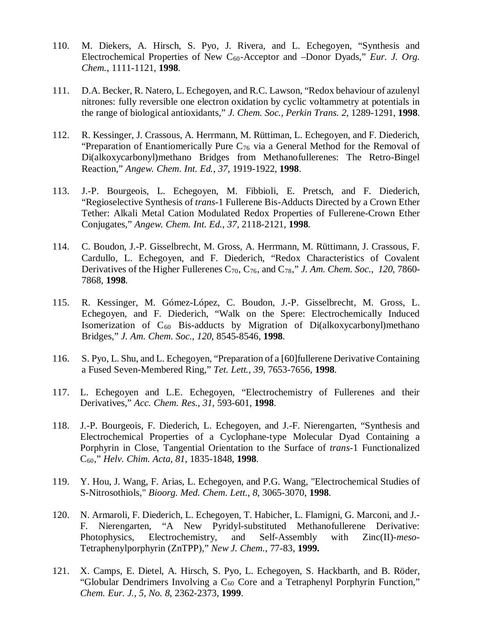- 110. M. Diekers, A. Hirsch, S. Pyo, J. Rivera, and L. Echegoyen, "Synthesis and Electrochemical Properties of New C<sub>60</sub>-Acceptor and –Donor Dyads," *Eur. J. Org. Chem.*, 1111-1121, **1998**.
- 111. D.A. Becker, R. Natero, L. Echegoyen, and R.C. Lawson, "Redox behaviour of azulenyl nitrones: fully reversible one electron oxidation by cyclic voltammetry at potentials in the range of biological antioxidants," *J. Chem. Soc., Perkin Trans. 2*, 1289-1291, **1998**.
- 112. R. Kessinger, J. Crassous, A. Herrmann, M. Rüttiman, L. Echegoyen, and F. Diederich, "Preparation of Enantiomerically Pure  $C_{76}$  via a General Method for the Removal of Di(alkoxycarbonyl)methano Bridges from Methanofullerenes: The Retro-Bingel Reaction," *Angew. Chem. Int. Ed.*, *37*, 1919-1922, **1998**.
- 113. J.-P. Bourgeois, L. Echegoyen, M. Fibbioli, E. Pretsch, and F. Diederich, "Regioselective Synthesis of *trans*-1 Fullerene Bis-Adducts Directed by a Crown Ether Tether: Alkali Metal Cation Modulated Redox Properties of Fullerene-Crown Ether Conjugates," *Angew. Chem. Int. Ed.*, *37,* 2118-2121, **1998**.
- 114. C. Boudon, J.-P. Gisselbrecht, M. Gross, A. Herrmann, M. Rüttimann, J. Crassous, F. Cardullo, L. Echegoyen, and F. Diederich, "Redox Characteristics of Covalent Derivatives of the Higher Fullerenes  $C_{70}$ ,  $C_{76}$ , and  $C_{78}$ ," *J. Am. Chem. Soc.*, 120, 7860-7868, **1998**.
- 115. R. Kessinger, M. Gómez-López, C. Boudon, J.-P. Gisselbrecht, M. Gross, L. Echegoyen, and F. Diederich, "Walk on the Spere: Electrochemically Induced Isomerization of  $C_{60}$  Bis-adducts by Migration of Di(alkoxycarbonyl)methano Bridges," *J. Am. Chem. Soc.*, *120*, 8545-8546, **1998**.
- 116. S. Pyo, L. Shu, and L. Echegoyen, "Preparation of a [60]fullerene Derivative Containing a Fused Seven-Membered Ring," *Tet. Lett.*, *39*, 7653-7656, **1998**.
- 117. L. Echegoyen and L.E. Echegoyen, "Electrochemistry of Fullerenes and their Derivatives," *Acc. Chem. Res.*, *31*, 593-601, **1998**.
- 118. J.-P. Bourgeois, F. Diederich, L. Echegoyen, and J.-F. Nierengarten, "Synthesis and Electrochemical Properties of a Cyclophane-type Molecular Dyad Containing a Porphyrin in Close, Tangential Orientation to the Surface of *trans*-1 Functionalized C60," *Helv. Chim. Acta*, *81*, 1835-1848, **1998**.
- 119. Y. Hou, J. Wang, F. Arias, L. Echegoyen, and P.G. Wang, "Electrochemical Studies of S-Nitrosothiols," *Bioorg. Med. Chem. Lett.*, *8*, 3065-3070, **1998**.
- 120. N. Armaroli, F. Diederich, L. Echegoyen, T. Habicher, L. Flamigni, G. Marconi, and J.- F. Nierengarten, "A New Pyridyl-substituted Methanofullerene Derivative: Photophysics, Electrochemistry, and Self-Assembly with Zinc(II)-*meso*-Tetraphenylporphyrin (ZnTPP)," *New J. Chem.*, 77-83, **1999.**
- 121. X. Camps, E. Dietel, A. Hirsch, S. Pyo, L. Echegoyen, S. Hackbarth, and B. Röder, "Globular Dendrimers Involving a  $C_{60}$  Core and a Tetraphenyl Porphyrin Function," *Chem. Eur. J.*, *5, No. 8*, 2362-2373, **1999**.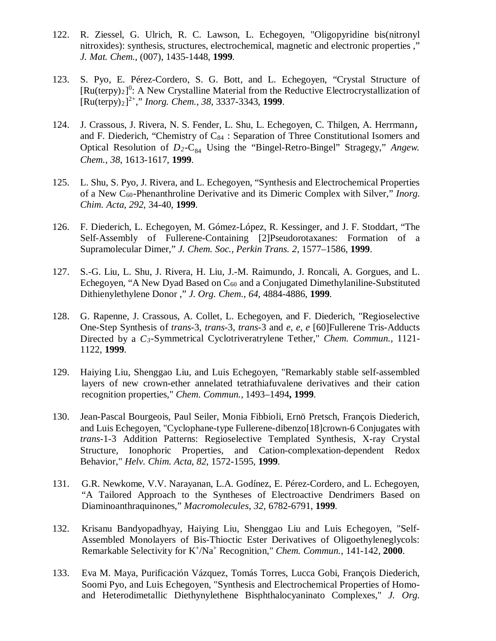- 122. R. Ziessel, G. Ulrich, R. C. Lawson, L. Echegoyen, "Oligopyridine bis(nitronyl nitroxides): synthesis, structures, electrochemical, magnetic and electronic properties ," *J. Mat. Chem.*, (007), 1435-1448, **1999**.
- 123. S. Pyo, E. Pérez-Cordero, S. G. Bott, and L. Echegoyen, "Crystal Structure of  $[Ru(terpy)_2]^0$ : A New Crystalline Material from the Reductive Electrocrystallization of [Ru(terpy)2] 2+," *Inorg. Chem.*, *38*, 3337-3343, **1999**.
- 124. J. Crassous, J. Rivera, N. S. Fender, L. Shu, L. Echegoyen, C. Thilgen, A. Herrmann, and F. Diederich, "Chemistry of  $C_{84}$ : Separation of Three Constitutional Isomers and Optical Resolution of  $D_2$ -C<sub>84</sub> Using the "Bingel-Retro-Bingel" Stragegy," *Angew. Chem.*, *38*, 1613-1617, **1999**.
- 125. L. Shu, S. Pyo, J. Rivera, and L. Echegoyen, "Synthesis and Electrochemical Properties of a New C60-Phenanthroline Derivative and its Dimeric Complex with Silver," *Inorg. Chim. Acta*, *292*, 34-40, **1999**.
- 126. F. Diederich, L. Echegoyen, M. Gómez-López, R. Kessinger, and J. F. Stoddart, "The Self-Assembly of Fullerene-Containing [2]Pseudorotaxanes: Formation of a Supramolecular Dimer," *J. Chem. Soc., Perkin Trans. 2*, 1577–1586, **1999**.
- 127. S.-G. Liu, L. Shu, J. Rivera, H. Liu, J.-M. Raimundo, J. Roncali, A. Gorgues, and L. Echegoyen, "A New Dyad Based on  $C_{60}$  and a Conjugated Dimethylaniline-Substituted Dithienylethylene Donor ," *J. Org. Chem.*, *64*, 4884-4886, **1999**.
- 128. G. Rapenne, J. Crassous, A. Collet, L. Echegoyen, and F. Diederich, "Regioselective One-Step Synthesis of *trans*-3, *trans*-3, *trans*-3 and *e, e, e* [60]Fullerene Tris-Adducts Directed by a *C3*-Symmetrical Cyclotriveratrylene Tether," *Chem. Commun.*, 1121- 1122, **1999**.
- 129. Haiying Liu, Shenggao Liu, and Luis Echegoyen, "Remarkably stable self-assembled layers of new crown-ether annelated tetrathiafuvalene derivatives and their cation recognition properties," *Chem. Commun.,* 1493–1494**, 1999**.
- 130. Jean-Pascal Bourgeois, Paul Seiler, Monia Fibbioli, Ernö Pretsch, François Diederich, and Luis Echegoyen, "Cyclophane-type Fullerene-dibenzo[18]crown-6 Conjugates with *trans*-1-3 Addition Patterns: Regioselective Templated Synthesis, X-ray Crystal Structure, Ionophoric Properties, and Cation-complexation-dependent Redox Behavior," *Helv. Chim. Acta*, *82*, 1572-1595, **1999**.
- 131. G.R. Newkome, V.V. Narayanan, L.A. Godínez, E. Pérez-Cordero, and L. Echegoyen, "A Tailored Approach to the Syntheses of Electroactive Dendrimers Based on Diaminoanthraquinones," *Macromolecules*, *32*, 6782-6791, **1999**.
- 132. Krisanu Bandyopadhyay, Haiying Liu, Shenggao Liu and Luis Echegoyen, "Self-Assembled Monolayers of Bis-Thioctic Ester Derivatives of Oligoethyleneglycols: Remarkable Selectivity for K+ /Na+ Recognition," *Chem. Commun.*, 141-142, **2000**.
- 133. Eva M. Maya, Purificación Vázquez, Tomás Torres, Lucca Gobi, François Diederich, Soomi Pyo, and Luis Echegoyen, "Synthesis and Electrochemical Properties of Homoand Heterodimetallic Diethynylethene Bisphthalocyaninato Complexes," *J. Org.*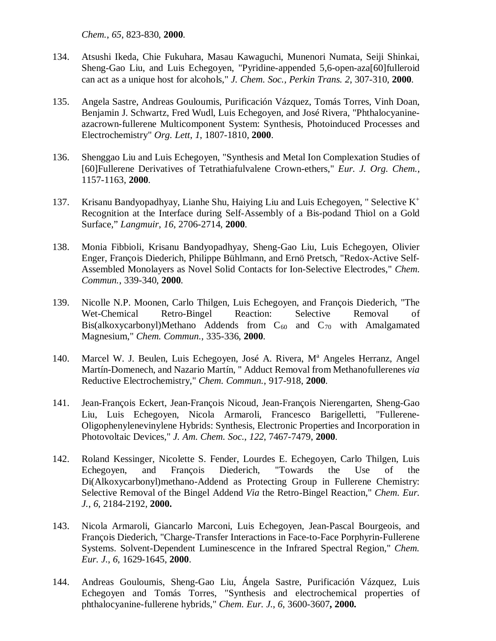*Chem.*, *65*, 823-830, **2000**.

- 134. Atsushi Ikeda, Chie Fukuhara, Masau Kawaguchi, Munenori Numata, Seiji Shinkai, Sheng-Gao Liu, and Luis Echegoyen, "Pyridine-appended 5,6-open-aza[60]fulleroid can act as a unique host for alcohols," *J. Chem. Soc., Perkin Trans. 2*, 307-310, **2000**.
- 135. Angela Sastre, Andreas Gouloumis, Purificación Vázquez, Tomás Torres, Vinh Doan, Benjamin J. Schwartz, Fred Wudl, Luis Echegoyen, and José Rivera, "Phthalocyanineazacrown-fullerene Multicomponent System: Synthesis, Photoinduced Processes and Electrochemistry" *Org. Lett*, *1*, 1807-1810, **2000**.
- 136. Shenggao Liu and Luis Echegoyen, "Synthesis and Metal Ion Complexation Studies of [60]Fullerene Derivatives of Tetrathiafulvalene Crown-ethers," *Eur. J. Org. Chem.*, 1157-1163, **2000**.
- 137. Krisanu Bandyopadhyay, Lianhe Shu, Haiying Liu and Luis Echegoyen, "Selective  $K^+$ Recognition at the Interface during Self-Assembly of a Bis-podand Thiol on a Gold Surface," *Langmuir*, *16*, 2706-2714, **2000**.
- 138. Monia Fibbioli, Krisanu Bandyopadhyay, Sheng-Gao Liu, Luis Echegoyen, Olivier Enger, François Diederich, Philippe Bühlmann, and Ernö Pretsch, "Redox-Active Self-Assembled Monolayers as Novel Solid Contacts for Ion-Selective Electrodes," *Chem. Commun.*, 339-340, **2000**.
- 139. Nicolle N.P. Moonen, Carlo Thilgen, Luis Echegoyen, and François Diederich, "The Wet-Chemical Retro-Bingel Reaction: Selective Removal of Bis(alkoxycarbonyl)Methano Addends from  $C_{60}$  and  $C_{70}$  with Amalgamated Magnesium," *Chem. Commun.*, 335-336, **2000**.
- 140. Marcel W. J. Beulen, Luis Echegoyen, José A. Rivera, M<sup>a</sup> Angeles Herranz, Angel Martín-Domenech, and Nazario Martín, " Adduct Removal from Methanofullerenes *via*  Reductive Electrochemistry," *Chem. Commun.*, 917-918, **2000**.
- 141. Jean-François Eckert, Jean-François Nicoud, Jean-François Nierengarten, Sheng-Gao Liu, Luis Echegoyen, Nicola Armaroli, Francesco Barigelletti, "Fullerene-Oligophenylenevinylene Hybrids: Synthesis, Electronic Properties and Incorporation in Photovoltaic Devices," *J. Am. Chem. Soc.*, *122*, 7467-7479, **2000**.
- 142. Roland Kessinger, Nicolette S. Fender, Lourdes E. Echegoyen, Carlo Thilgen, Luis Echegoyen, and François Diederich, "Towards the Use of the Di(Alkoxycarbonyl)methano-Addend as Protecting Group in Fullerene Chemistry: Selective Removal of the Bingel Addend *Via* the Retro-Bingel Reaction," *Chem. Eur. J.*, *6*, 2184-2192, **2000.**
- 143. Nicola Armaroli, Giancarlo Marconi, Luis Echegoyen, Jean-Pascal Bourgeois, and François Diederich, "Charge-Transfer Interactions in Face-to-Face Porphyrin-Fullerene Systems. Solvent-Dependent Luminescence in the Infrared Spectral Region," *Chem. Eur. J.*, *6,* 1629-1645, **2000**.
- 144. Andreas Gouloumis, Sheng-Gao Liu, Ángela Sastre, Purificación Vázquez, Luis Echegoyen and Tomás Torres, "Synthesis and electrochemical properties of phthalocyanine-fullerene hybrids," *Chem. Eur. J.*, *6*, 3600-3607**, 2000.**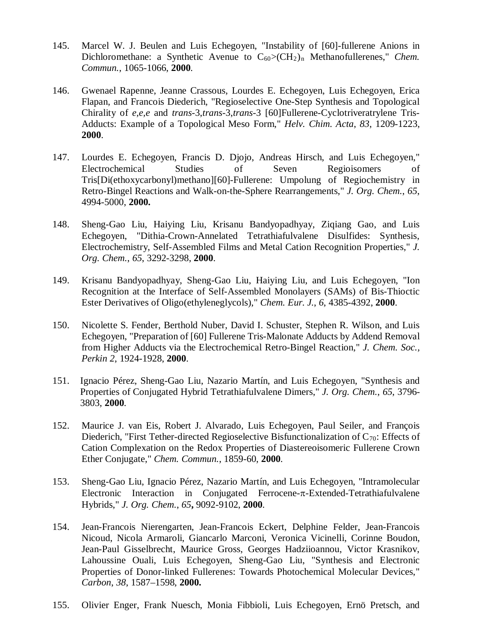- 145. Marcel W. J. Beulen and Luis Echegoyen, "Instability of [60]-fullerene Anions in Dichloromethane: a Synthetic Avenue to C<sub>60</sub>>(CH<sub>2</sub>)<sub>n</sub> Methanofullerenes," *Chem. Commun.*, 1065-1066, **2000**.
- 146. Gwenael Rapenne, Jeanne Crassous, Lourdes E. Echegoyen, Luis Echegoyen, Erica Flapan, and Francois Diederich, "Regioselective One-Step Synthesis and Topological Chirality of *e,e,e* and *trans*-3,*trans*-3,*trans*-3 [60]Fullerene-Cyclotriveratrylene Tris-Adducts: Example of a Topological Meso Form," *Helv. Chim. Acta*, *83*, 1209-1223, **2000**.
- 147. Lourdes E. Echegoyen, Francis D. Djojo, Andreas Hirsch, and Luis Echegoyen," Electrochemical Studies of Seven Regioisomers of Tris[Di(ethoxycarbonyl)methano][60]-Fullerene: Umpolung of Regiochemistry in Retro-Bingel Reactions and Walk-on-the-Sphere Rearrangements," *J. Org. Chem.*, *65*, 4994-5000, **2000.**
- 148. Sheng-Gao Liu, Haiying Liu, Krisanu Bandyopadhyay, Ziqiang Gao, and Luis Echegoyen, "Dithia-Crown-Annelated Tetrathiafulvalene Disulfides: Synthesis, Electrochemistry, Self-Assembled Films and Metal Cation Recognition Properties," *J. Org. Chem.*, *65*, 3292-3298, **2000**.
- 149. Krisanu Bandyopadhyay, Sheng-Gao Liu, Haiying Liu, and Luis Echegoyen, "Ion Recognition at the Interface of Self-Assembled Monolayers (SAMs) of Bis-Thioctic Ester Derivatives of Oligo(ethyleneglycols)," *Chem. Eur. J.*, *6*, 4385-4392, **2000**.
- 150. Nicolette S. Fender, Berthold Nuber, David I. Schuster, Stephen R. Wilson, and Luis Echegoyen, "Preparation of [60] Fullerene Tris-Malonate Adducts by Addend Removal from Higher Adducts via the Electrochemical Retro-Bingel Reaction," *J. Chem. Soc., Perkin 2*, 1924-1928, **2000**.
- 151. Ignacio Pérez, Sheng-Gao Liu, Nazario Martín, and Luis Echegoyen, "Synthesis and Properties of Conjugated Hybrid Tetrathiafulvalene Dimers," *J. Org. Chem.*, *65*, 3796- 3803, **2000**.
- 152. Maurice J. van Eis, Robert J. Alvarado, Luis Echegoyen, Paul Seiler, and François Diederich, "First Tether-directed Regioselective Bisfunctionalization of  $C_{70}$ : Effects of Cation Complexation on the Redox Properties of Diastereoisomeric Fullerene Crown Ether Conjugate," *Chem. Commun.*, 1859-60, **2000**.
- 153. Sheng-Gao Liu, Ignacio Pérez, Nazario Martín, and Luis Echegoyen, "Intramolecular Electronic Interaction in Conjugated Ferrocene-π-Extended-Tetrathiafulvalene Hybrids," *J. Org. Chem.*, *65***,** 9092-9102, **2000**.
- 154. Jean-Francois Nierengarten, Jean-Francois Eckert, Delphine Felder, Jean-Francois Nicoud, Nicola Armaroli, Giancarlo Marconi, Veronica Vicinelli, Corinne Boudon, Jean-Paul Gisselbrecht, Maurice Gross, Georges Hadziioannou, Victor Krasnikov, Lahoussine Ouali, Luis Echegoyen, Sheng-Gao Liu, "Synthesis and Electronic Properties of Donor-linked Fullerenes: Towards Photochemical Molecular Devices," *Carbon*, *38*, 1587–1598, **2000.**
- 155. Olivier Enger, Frank Nuesch, Monia Fibbioli, Luis Echegoyen, Ernö Pretsch, and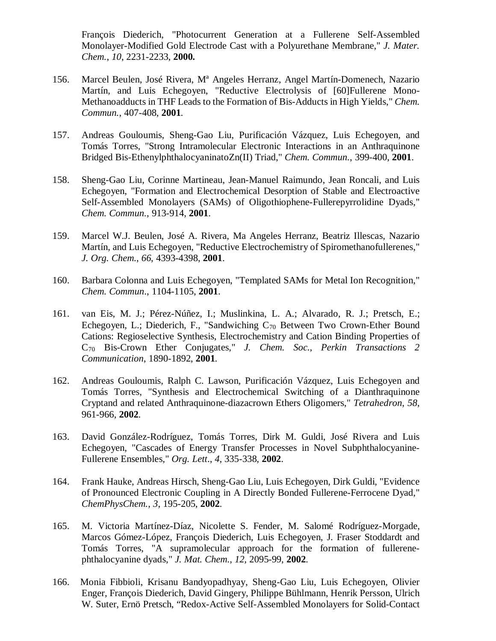François Diederich, "Photocurrent Generation at a Fullerene Self-Assembled Monolayer-Modified Gold Electrode Cast with a Polyurethane Membrane," *J. Mater. Chem.*, *10*, 2231-2233, **2000.**

- 156. Marcel Beulen, José Rivera, M<sup>a</sup> Angeles Herranz, Angel Martín-Domenech, Nazario Martín, and Luis Echegoyen, "Reductive Electrolysis of [60]Fullerene Mono-Methanoadducts in THF Leads to the Formation of Bis-Adducts in High Yields," *Chem. Commun.*, 407-408, **2001**.
- 157. Andreas Gouloumis, Sheng-Gao Liu, Purificación Vázquez, Luis Echegoyen, and Tomás Torres, "Strong Intramolecular Electronic Interactions in an Anthraquinone Bridged Bis-EthenylphthalocyaninatoZn(II) Triad," *Chem. Commun.*, 399-400, **2001**.
- 158. Sheng-Gao Liu, Corinne Martineau, Jean-Manuel Raimundo, Jean Roncali, and Luis Echegoyen, "Formation and Electrochemical Desorption of Stable and Electroactive Self-Assembled Monolayers (SAMs) of Oligothiophene-Fullerepyrrolidine Dyads," *Chem. Commun.*, 913-914, **2001**.
- 159. Marcel W.J. Beulen, José A. Rivera, Ma Angeles Herranz, Beatriz Illescas, Nazario Martín, and Luis Echegoyen, "Reductive Electrochemistry of Spiromethanofullerenes," *J. Org. Chem.*, *66*, 4393-4398, **2001**.
- 160. Barbara Colonna and Luis Echegoyen, "Templated SAMs for Metal Ion Recognition," *Chem. Commun*., 1104-1105, **2001**.
- 161. van Eis, M. J.; Pérez-Núñez, I.; Muslinkina, L. A.; Alvarado, R. J.; Pretsch, E.; Echegoyen, L.; Diederich, F., "Sandwiching C70 Between Two Crown-Ether Bound Cations: Regioselective Synthesis, Electrochemistry and Cation Binding Properties of C70 Bis-Crown Ether Conjugates," *J. Chem. Soc., Perkin Transactions 2 Communication*, 1890-1892, **2001**.
- 162. Andreas Gouloumis, Ralph C. Lawson, Purificación Vázquez, Luis Echegoyen and Tomás Torres, "Synthesis and Electrochemical Switching of a Dianthraquinone Cryptand and related Anthraquinone-diazacrown Ethers Oligomers," *Tetrahedron*, *58*, 961-966, **2002**.
- 163. David González-Rodríguez, Tomás Torres, Dirk M. Guldi, José Rivera and Luis Echegoyen, "Cascades of Energy Transfer Processes in Novel Subphthalocyanine-Fullerene Ensembles," *Org. Lett*., *4*, 335-338, **2002**.
- 164. Frank Hauke, Andreas Hirsch, Sheng-Gao Liu, Luis Echegoyen, Dirk Guldi, "Evidence of Pronounced Electronic Coupling in A Directly Bonded Fullerene-Ferrocene Dyad," *ChemPhysChem.*, *3*, 195-205, **2002**.
- 165. M. Victoria Martínez-Díaz, Nicolette S. Fender, M. Salomé Rodríguez-Morgade, Marcos Gómez-López, François Diederich, Luis Echegoyen, J. Fraser Stoddardt and Tomás Torres, "A supramolecular approach for the formation of fullerenephthalocyanine dyads," *J. Mat. Chem.*, *12,* 2095-99, **2002**.
- 166. Monia Fibbioli, Krisanu Bandyopadhyay, Sheng-Gao Liu, Luis Echegoyen, Olivier Enger, François Diederich, David Gingery, Philippe Bühlmann, Henrik Persson, Ulrich W. Suter, Ernö Pretsch, "Redox-Active Self-Assembled Monolayers for Solid-Contact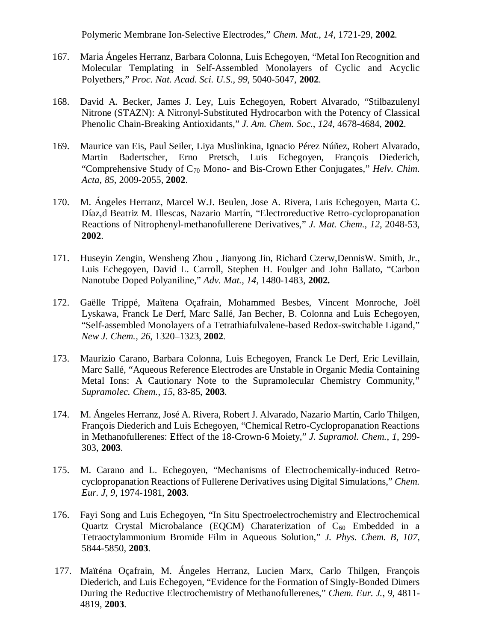Polymeric Membrane Ion-Selective Electrodes," *Chem. Mat.*, *14*, 1721-29, **2002**.

- 167. Maria Ángeles Herranz, Barbara Colonna, Luis Echegoyen, "Metal Ion Recognition and Molecular Templating in Self-Assembled Monolayers of Cyclic and Acyclic Polyethers," *Proc. Nat. Acad. Sci. U.S.*, *99*, 5040-5047, **2002**.
- 168. David A. Becker, James J. Ley, Luis Echegoyen, Robert Alvarado, "Stilbazulenyl Nitrone (STAZN): A Nitronyl-Substituted Hydrocarbon with the Potency of Classical Phenolic Chain-Breaking Antioxidants," *J. Am. Chem. Soc.*, *124*, 4678-4684, **2002**.
- 169. Maurice van Eis, Paul Seiler, Liya Muslinkina, Ignacio Pérez Núñez, Robert Alvarado, Martin Badertscher, Erno Pretsch, Luis Echegoyen, François Diederich, "Comprehensive Study of C70 Mono- and Bis-Crown Ether Conjugates," *Helv. Chim. Acta*, *85*, 2009-2055, **2002**.
- 170. M. Ángeles Herranz, Marcel W.J. Beulen, Jose A. Rivera, Luis Echegoyen, Marta C. Díaz,d Beatriz M. Illescas, Nazario Martín, "Electroreductive Retro-cyclopropanation Reactions of Nitrophenyl-methanofullerene Derivatives," *J. Mat. Chem.*, *12*, 2048-53, **2002**.
- 171. Huseyin Zengin, Wensheng Zhou , Jianyong Jin, Richard Czerw,DennisW. Smith, Jr., Luis Echegoyen, David L. Carroll, Stephen H. Foulger and John Ballato, "Carbon Nanotube Doped Polyaniline," *Adv. Mat.*, *14*, 1480-1483, **2002.**
- 172. Gaëlle Trippé, Maïtena Oçafrain, Mohammed Besbes, Vincent Monroche, Joël Lyskawa, Franck Le Derf, Marc Sallé, Jan Becher, B. Colonna and Luis Echegoyen, "Self-assembled Monolayers of a Tetrathiafulvalene-based Redox-switchable Ligand," *New J. Chem.*, *26*, 1320–1323, **2002**.
- 173. Maurizio Carano, Barbara Colonna, Luis Echegoyen, Franck Le Derf, Eric Levillain, Marc Sallé, "Aqueous Reference Electrodes are Unstable in Organic Media Containing Metal Ions: A Cautionary Note to the Supramolecular Chemistry Community," *Supramolec. Chem.*, *15*, 83-85, **2003**.
- 174. M. Ángeles Herranz, José A. Rivera, Robert J. Alvarado, Nazario Martín, Carlo Thilgen, François Diederich and Luis Echegoyen, "Chemical Retro-Cyclopropanation Reactions in Methanofullerenes: Effect of the 18-Crown-6 Moiety," *J. Supramol. Chem.*, *1*, 299- 303, **2003**.
- 175. M. Carano and L. Echegoyen, "Mechanisms of Electrochemically-induced Retrocyclopropanation Reactions of Fullerene Derivatives using Digital Simulations," *Chem. Eur. J*, *9*, 1974-1981, **2003**.
- 176. Fayi Song and Luis Echegoyen, "In Situ Spectroelectrochemistry and Electrochemical Quartz Crystal Microbalance (EQCM) Charaterization of  $C_{60}$  Embedded in a Tetraoctylammonium Bromide Film in Aqueous Solution," *J. Phys. Chem. B*, *107*, 5844-5850, **2003**.
- 177. Maïténa Oçafrain, M. Ángeles Herranz, Lucien Marx, Carlo Thilgen, François Diederich, and Luis Echegoyen, "Evidence for the Formation of Singly-Bonded Dimers During the Reductive Electrochemistry of Methanofullerenes," *Chem. Eur. J.*, *9*, 4811- 4819, **2003**.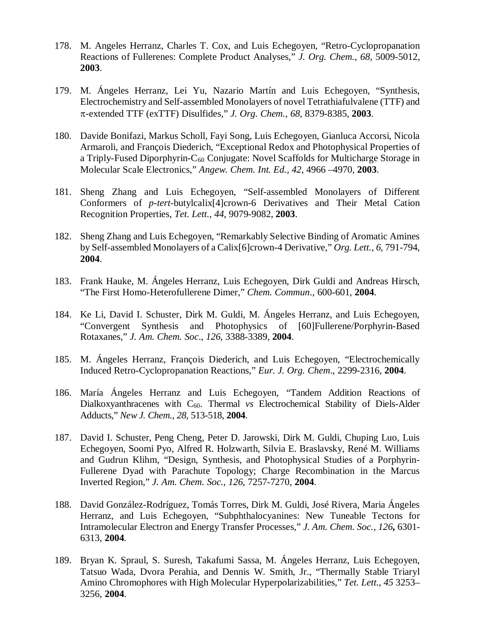- 178. M. Angeles Herranz, Charles T. Cox, and Luis Echegoyen, "Retro-Cyclopropanation Reactions of Fullerenes: Complete Product Analyses," *J. Org. Chem.*, *68*, 5009-5012, **2003**.
- 179. M. Ángeles Herranz, Lei Yu, Nazario Martín and Luis Echegoyen, "Synthesis, Electrochemistry and Self-assembled Monolayers of novel Tetrathiafulvalene (TTF) and π-extended TTF (exTTF) Disulfides," *J. Org. Chem.*, *68*, 8379-8385, **2003**.
- 180. Davide Bonifazi, Markus Scholl, Fayi Song, Luis Echegoyen, Gianluca Accorsi, Nicola Armaroli, and François Diederich, "Exceptional Redox and Photophysical Properties of a Triply-Fused Diporphyrin- $C_{60}$  Conjugate: Novel Scaffolds for Multicharge Storage in Molecular Scale Electronics," *Angew. Chem. Int. Ed., 42*, 4966 –4970, **2003**.
- 181. Sheng Zhang and Luis Echegoyen, "Self-assembled Monolayers of Different Conformers of *p-tert*-butylcalix[4]crown-6 Derivatives and Their Metal Cation Recognition Properties, *Tet. Lett.*, *44*, 9079-9082, **2003**.
- 182. Sheng Zhang and Luis Echegoyen, "Remarkably Selective Binding of Aromatic Amines by Self-assembled Monolayers of a Calix[6]crown-4 Derivative," *Org. Lett.*, *6*, 791-794, **2004**.
- 183. Frank Hauke, M. Ángeles Herranz, Luis Echegoyen, Dirk Guldi and Andreas Hirsch, "The First Homo-Heterofullerene Dimer," *Chem. Commun*., 600-601, **2004**.
- 184. Ke Li, David I. Schuster, Dirk M. Guldi, M. Ángeles Herranz, and Luis Echegoyen, "Convergent Synthesis and Photophysics of [60]Fullerene/Porphyrin-Based Rotaxanes," *J. Am. Chem. Soc*., *126*, 3388-3389, **2004**.
- 185. M. Ángeles Herranz, François Diederich, and Luis Echegoyen, "Electrochemically Induced Retro-Cyclopropanation Reactions," *Eur. J. Org. Chem*., 2299-2316, **2004**.
- 186. María Ángeles Herranz and Luis Echegoyen, "Tandem Addition Reactions of Dialkoxyanthracenes with C<sub>60</sub>. Thermal *vs* Electrochemical Stability of Diels-Alder Adducts," *New J. Chem.*, *28*, 513-518, **2004**.
- 187. David I. Schuster, Peng Cheng, Peter D. Jarowski, Dirk M. Guldi, Chuping Luo, Luis Echegoyen, Soomi Pyo, Alfred R. Holzwarth, Silvia E. Braslavsky, René M. Williams and Gudrun Klihm, "Design, Synthesis, and Photophysical Studies of a Porphyrin-Fullerene Dyad with Parachute Topology; Charge Recombination in the Marcus Inverted Region," *J. Am. Chem. Soc.*, *126*, 7257-7270, **2004**.
- 188. David González-Rodríguez, Tomás Torres, Dirk M. Guldi, José Rivera, Maria Ángeles Herranz, and Luis Echegoyen, "Subphthalocyanines: New Tuneable Tectons for Intramolecular Electron and Energy Transfer Processes," *J. Am. Chem. Soc.*, *126***,** 6301- 6313, **2004**.
- 189. Bryan K. Spraul, S. Suresh, Takafumi Sassa, M. Ángeles Herranz, Luis Echegoyen, Tatsuo Wada, Dvora Perahia, and Dennis W. Smith, Jr., "Thermally Stable Triaryl Amino Chromophores with High Molecular Hyperpolarizabilities," *Tet. Lett.*, *45* 3253– 3256, **2004**.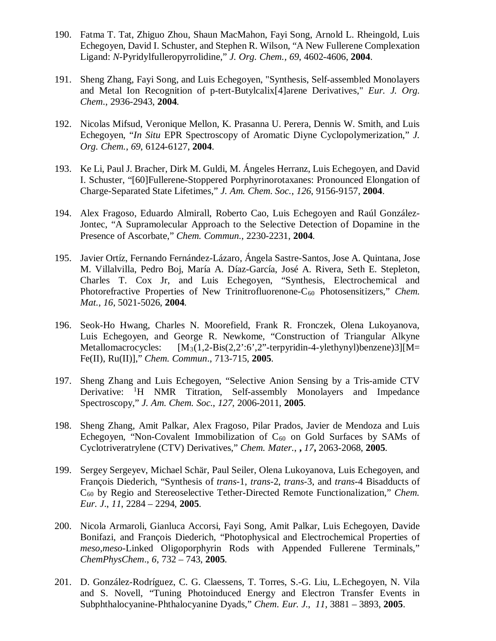- 190. Fatma T. Tat, Zhiguo Zhou, Shaun MacMahon, Fayi Song, Arnold L. Rheingold, Luis Echegoyen, David I. Schuster, and Stephen R. Wilson, "A New Fullerene Complexation Ligand: *N*-Pyridylfulleropyrrolidine," *J. Org. Chem., 69*, 4602-4606, **2004**.
- 191. Sheng Zhang, Fayi Song, and Luis Echegoyen, "Synthesis, Self-assembled Monolayers and Metal Ion Recognition of p-tert-Butylcalix[4]arene Derivatives," *Eur. J. Org. Chem*., 2936-2943, **2004**.
- 192. Nicolas Mifsud, Veronique Mellon, K. Prasanna U. Perera, Dennis W. Smith, and Luis Echegoyen, "*In Situ* EPR Spectroscopy of Aromatic Diyne Cyclopolymerization," *J. Org. Chem.*, *69*, 6124-6127, **2004**.
- 193. Ke Li, Paul J. Bracher, Dirk M. Guldi, M. Ángeles Herranz, Luis Echegoyen, and David I. Schuster, "[60]Fullerene-Stoppered Porphyrinorotaxanes: Pronounced Elongation of Charge-Separated State Lifetimes," *J. Am. Chem. Soc.*, *126*, 9156-9157, **2004**.
- 194. Alex Fragoso, Eduardo Almirall, Roberto Cao, Luis Echegoyen and Raúl González-Jontec, "A Supramolecular Approach to the Selective Detection of Dopamine in the Presence of Ascorbate," *Chem. Commun.*, 2230-2231, **2004**.
- 195. Javier Ortíz, Fernando Fernández-Lázaro, Ángela Sastre-Santos, Jose A. Quintana, Jose M. Villalvilla, Pedro Boj, María A. Díaz-García, José A. Rivera, Seth E. Stepleton, Charles T. Cox Jr, and Luis Echegoyen, "Synthesis, Electrochemical and Photorefractive Properties of New Trinitrofluorenone-C<sub>60</sub> Photosensitizers," *Chem. Mat.*, *16*, 5021-5026, **2004**.
- 196. Seok-Ho Hwang, Charles N. Moorefield, Frank R. Fronczek, Olena Lukoyanova, Luis Echegoyen, and George R. Newkome, "Construction of Triangular Alkyne Metallomacrocycles:  $[M_3(1,2-Bis(2,2):6',2"$ -terpyridin-4-ylethynyl)benzene)3][M= Fe(II), Ru(II)]," *Chem. Commun*., 713-715, **2005**.
- 197. Sheng Zhang and Luis Echegoyen, "Selective Anion Sensing by a Tris-amide CTV Derivative: <sup>1</sup>H NMR Titration, Self-assembly Monolayers and Impedance Spectroscopy," *J. Am. Chem. Soc.*, *127*, 2006-2011, **2005**.
- 198. Sheng Zhang, Amit Palkar, Alex Fragoso, Pilar Prados, Javier de Mendoza and Luis Echegoyen, "Non-Covalent Immobilization of  $C_{60}$  on Gold Surfaces by SAMs of Cyclotriveratrylene (CTV) Derivatives," *Chem. Mater.*, **,** *17***,** 2063-2068, **2005**.
- 199. Sergey Sergeyev, Michael Schär, Paul Seiler, Olena Lukoyanova, Luis Echegoyen, and François Diederich, "Synthesis of *trans*-1, *trans*-2, *trans*-3, and *trans*-4 Bisadducts of C60 by Regio and Stereoselective Tether-Directed Remote Functionalization," *Chem. Eur. J*., *11*, 2284 – 2294, **2005**.
- 200. Nicola Armaroli, Gianluca Accorsi, Fayi Song, Amit Palkar, Luis Echegoyen, Davide Bonifazi, and François Diederich, "Photophysical and Electrochemical Properties of *meso*,*meso*-Linked Oligoporphyrin Rods with Appended Fullerene Terminals," *ChemPhysChem*., *6*, 732 – 743, **2005**.
- 201. D. González-Rodríguez, C. G. Claessens, T. Torres, S.-G. Liu, L.Echegoyen, N. Vila and S. Novell, "Tuning Photoinduced Energy and Electron Transfer Events in Subphthalocyanine-Phthalocyanine Dyads," *Chem. Eur. J.*, *11*, 3881 – 3893, **2005**.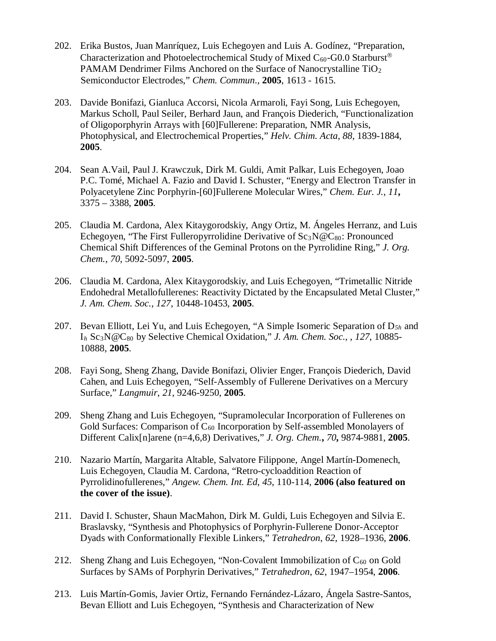- 202. Erika Bustos, Juan Manríquez, Luis Echegoyen and Luis A. Godínez, "Preparation, Characterization and Photoelectrochemical Study of Mixed  $C_{60}$ -G0.0 Starburst<sup>®</sup> PAMAM Dendrimer Films Anchored on the Surface of Nanocrystalline TiO<sub>2</sub> Semiconductor Electrodes," *Chem. Commun*., **2005**, 1613 - 1615.
- 203. Davide Bonifazi, Gianluca Accorsi, Nicola Armaroli, Fayi Song, Luis Echegoyen, Markus Scholl, Paul Seiler, Berhard Jaun, and François Diederich, "Functionalization of Oligoporphyrin Arrays with [60]Fullerene: Preparation, NMR Analysis, Photophysical, and Electrochemical Properties," *Helv. Chim. Acta*, *88*, 1839-1884, **2005**.
- 204. Sean A.Vail, Paul J. Krawczuk, Dirk M. Guldi, Amit Palkar, Luis Echegoyen, Joao P.C. Tomé, Michael A. Fazio and David I. Schuster, "Energy and Electron Transfer in Polyacetylene Zinc Porphyrin-[60]Fullerene Molecular Wires," *Chem. Eur. J.*, *11***,**  3375 – 3388, **2005**.
- 205. Claudia M. Cardona, Alex Kitaygorodskiy, Angy Ortiz, M. Ángeles Herranz, and Luis Echegoyen, "The First Fulleropyrrolidine Derivative of  $Sc_3N@C_{80}$ : Pronounced Chemical Shift Differences of the Geminal Protons on the Pyrrolidine Ring," *J. Org. Chem.*, *70*, 5092-5097, **2005**.
- 206. Claudia M. Cardona, Alex Kitaygorodskiy, and Luis Echegoyen, "Trimetallic Nitride Endohedral Metallofullerenes: Reactivity Dictated by the Encapsulated Metal Cluster," *J. Am. Chem. Soc.*, *127*, 10448-10453, **2005**.
- 207. Bevan Elliott, Lei Yu, and Luis Echegoyen, "A Simple Isomeric Separation of D*5h* and I*<sup>h</sup>* Sc3N@C80 by Selective Chemical Oxidation," *J. Am. Chem. Soc.,* , *127*, 10885- 10888, **2005**.
- 208. Fayi Song, Sheng Zhang, Davide Bonifazi, Olivier Enger, François Diederich, David Cahen, and Luis Echegoyen, "Self-Assembly of Fullerene Derivatives on a Mercury Surface," *Langmuir*, *21*, 9246-9250, **2005**.
- 209. Sheng Zhang and Luis Echegoyen, "Supramolecular Incorporation of Fullerenes on Gold Surfaces: Comparison of  $C_{60}$  Incorporation by Self-assembled Monolayers of Different Calix[n]arene (n=4,6,8) Derivatives," *J. Org. Chem.***,** *70***,** 9874-9881, **2005**.
- 210. Nazario Martín, Margarita Altable, Salvatore Filippone, Angel Martín-Domenech, Luis Echegoyen, Claudia M. Cardona, "Retro-cycloaddition Reaction of Pyrrolidinofullerenes," *Angew. Chem. Int. Ed*, *45*, 110-114, **2006 (also featured on the cover of the issue)**.
- 211. David I. Schuster, Shaun MacMahon, Dirk M. Guldi, Luis Echegoyen and Silvia E. Braslavsky, "Synthesis and Photophysics of Porphyrin-Fullerene Donor-Acceptor Dyads with Conformationally Flexible Linkers," *Tetrahedron*, *62*, 1928–1936, **2006**.
- 212. Sheng Zhang and Luis Echegoyen, "Non-Covalent Immobilization of  $C_{60}$  on Gold Surfaces by SAMs of Porphyrin Derivatives," *Tetrahedron*, *62*, 1947–1954, **2006**.
- 213. Luis Martín-Gomis, Javier Ortiz, Fernando Fernández-Lázaro, Ángela Sastre-Santos, Bevan Elliott and Luis Echegoyen, "Synthesis and Characterization of New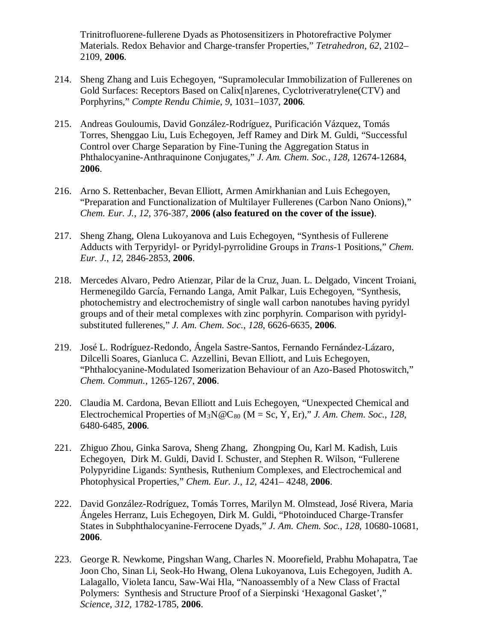Trinitrofluorene-fullerene Dyads as Photosensitizers in Photorefractive Polymer Materials. Redox Behavior and Charge-transfer Properties," *Tetrahedron*, *62*, 2102– 2109, **2006**.

- 214. Sheng Zhang and Luis Echegoyen, "Supramolecular Immobilization of Fullerenes on Gold Surfaces: Receptors Based on Calix[n]arenes, Cyclotriveratrylene(CTV) and Porphyrins," *Compte Rendu Chimie*, *9*, 1031–1037, **2006**.
- 215. Andreas Gouloumis, David González-Rodríguez, Purificación Vázquez, Tomás Torres, Shenggao Liu, Luis Echegoyen, Jeff Ramey and Dirk M. Guldi, "Successful Control over Charge Separation by Fine-Tuning the Aggregation Status in Phthalocyanine-Anthraquinone Conjugates," *J. Am. Chem. Soc.*, *128*, 12674-12684, **2006**.
- 216. Arno S. Rettenbacher, Bevan Elliott, Armen Amirkhanian and Luis Echegoyen, "Preparation and Functionalization of Multilayer Fullerenes (Carbon Nano Onions)," *Chem. Eur. J.*, *12*, 376-387, **2006 (also featured on the cover of the issue)**.
- 217. Sheng Zhang, Olena Lukoyanova and Luis Echegoyen, "Synthesis of Fullerene Adducts with Terpyridyl- or Pyridyl-pyrrolidine Groups in *Trans*-1 Positions," *Chem. Eur. J.*, *12*, 2846-2853, **2006**.
- 218. Mercedes Alvaro, Pedro Atienzar, Pilar de la Cruz, Juan. L. Delgado, Vincent Troiani, Hermenegildo García, Fernando Langa, Amit Palkar, Luis Echegoyen, "Synthesis, photochemistry and electrochemistry of single wall carbon nanotubes having pyridyl groups and of their metal complexes with zinc porphyrin. Comparison with pyridylsubstituted fullerenes," *J. Am. Chem. Soc.*, *128*, 6626-6635, **2006**.
- 219. José L. Rodríguez-Redondo, Ángela Sastre-Santos, Fernando Fernández-Lázaro, Dilcelli Soares, Gianluca C. Azzellini, Bevan Elliott, and Luis Echegoyen, "Phthalocyanine-Modulated Isomerization Behaviour of an Azo-Based Photoswitch," *Chem. Commun.*, 1265-1267, **2006**.
- 220. Claudia M. Cardona, Bevan Elliott and Luis Echegoyen, "Unexpected Chemical and Electrochemical Properties of  $M_3N@C_{80}$  (M = Sc, Y, Er)," *J. Am. Chem. Soc.*, 128, 6480-6485, **2006**.
- 221. Zhiguo Zhou, Ginka Sarova, Sheng Zhang, Zhongping Ou, Karl M. Kadish, Luis Echegoyen, Dirk M. Guldi, David I. Schuster, and Stephen R. Wilson, "Fullerene Polypyridine Ligands: Synthesis, Ruthenium Complexes, and Electrochemical and Photophysical Properties," *Chem. Eur. J.*, *12*, 4241– 4248, **2006**.
- 222. David González-Rodríguez, Tomás Torres, Marilyn M. Olmstead, José Rivera, Maria Ángeles Herranz, Luis Echegoyen, Dirk M. Guldi, "Photoinduced Charge-Transfer States in Subphthalocyanine-Ferrocene Dyads," *J. Am. Chem. Soc.*, *128*, 10680-10681, **2006**.
- 223. George R. Newkome, Pingshan Wang, Charles N. Moorefield, Prabhu Mohapatra, Tae Joon Cho, Sinan Li, Seok-Ho Hwang, Olena Lukoyanova, Luis Echegoyen, Judith A. Lalagallo, Violeta Iancu, Saw-Wai Hla, "Nanoassembly of a New Class of Fractal Polymers: Synthesis and Structure Proof of a Sierpinski 'Hexagonal Gasket'," *Science*, *312*, 1782-1785, **2006**.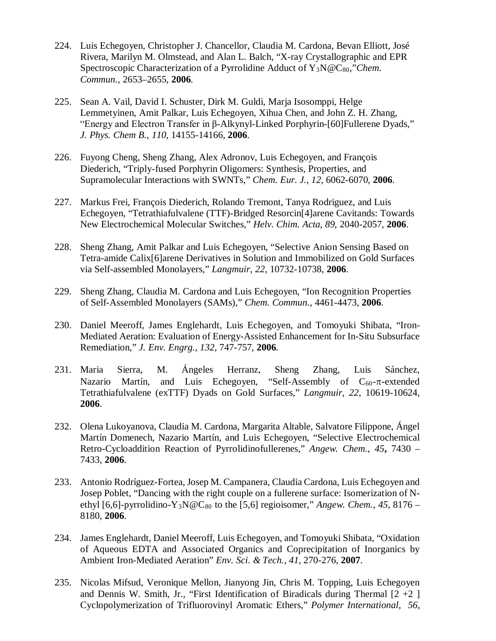- 224. Luis Echegoyen, Christopher J. Chancellor, Claudia M. Cardona, Bevan Elliott, José Rivera, Marilyn M. Olmstead, and Alan L. Balch, "X-ray Crystallographic and EPR Spectroscopic Characterization of a Pyrrolidine Adduct of Y<sub>3</sub>N@C<sub>80</sub>,"*Chem. Commun.*, 2653–2655, **2006**.
- 225. Sean A. Vail, David I. Schuster, Dirk M. Guldi, Marja Isosomppi, Helge Lemmetyinen, Amit Palkar, Luis Echegoyen, Xihua Chen, and John Z. H. Zhang, "Energy and Electron Transfer in β-Alkynyl-Linked Porphyrin-[60]Fullerene Dyads," *J. Phys. Chem B.*, *110*, 14155-14166, **2006**.
- 226. Fuyong Cheng, Sheng Zhang, Alex Adronov, Luis Echegoyen, and François Diederich, "Triply-fused Porphyrin Oligomers: Synthesis, Properties, and Supramolecular Interactions with SWNTs," *Chem. Eur. J.*, *12*, 6062-6070, **2006**.
- 227. Markus Frei, François Diederich, Rolando Tremont, Tanya Rodriguez, and Luis Echegoyen, "Tetrathiafulvalene (TTF)-Bridged Resorcin[4]arene Cavitands: Towards New Electrochemical Molecular Switches," *Helv. Chim. Acta*, *89*, 2040-2057, **2006**.
- 228. Sheng Zhang, Amit Palkar and Luis Echegoyen, "Selective Anion Sensing Based on Tetra-amide Calix[6]arene Derivatives in Solution and Immobilized on Gold Surfaces via Self-assembled Monolayers," *Langmuir*, *22*, 10732-10738, **2006**.
- 229. Sheng Zhang, Claudia M. Cardona and Luis Echegoyen, "Ion Recognition Properties of Self-Assembled Monolayers (SAMs)," *Chem. Commun.*, 4461-4473, **2006**.
- 230. Daniel Meeroff, James Englehardt, Luis Echegoyen, and Tomoyuki Shibata, "Iron-Mediated Aeration: Evaluation of Energy-Assisted Enhancement for In-Situ Subsurface Remediation," *J. Env. Engrg.*, *132*, 747-757, **2006**.
- 231. Maria Sierra, M. Ángeles Herranz, Sheng Zhang, Luis Sánchez, Nazario Martín, and Luis Echegoyen, "Self-Assembly of  $C_{60}$ - $\pi$ -extended Tetrathiafulvalene (exTTF) Dyads on Gold Surfaces," *Langmuir*, *22*, 10619-10624, **2006**.
- 232. Olena Lukoyanova, Claudia M. Cardona, Margarita Altable, Salvatore Filippone, Ángel Martín Domenech, Nazario Martín, and Luis Echegoyen, "Selective Electrochemical Retro-Cycloaddition Reaction of Pyrrolidinofullerenes," *Angew. Chem.*, *45***,** 7430 – 7433, **2006**.
- 233. Antonio Rodríguez-Fortea, Josep M. Campanera, Claudia Cardona, Luis Echegoyen and Josep Poblet, "Dancing with the right couple on a fullerene surface: Isomerization of Nethyl [6,6]-pyrrolidino-Y<sub>3</sub>N@C<sub>80</sub> to the [5,6] regioisomer," *Angew. Chem.*, 45, 8176 – 8180, **2006**.
- 234. James Englehardt, Daniel Meeroff, Luis Echegoyen, and Tomoyuki Shibata, "Oxidation of Aqueous EDTA and Associated Organics and Coprecipitation of Inorganics by Ambient Iron-Mediated Aeration" *Env. Sci. & Tech.*, *41*, 270-276, **2007**.
- 235. Nicolas Mifsud, Veronique Mellon, Jianyong Jin, Chris M. Topping, Luis Echegoyen and Dennis W. Smith, Jr., "First Identification of Biradicals during Thermal  $[2 +2]$ Cyclopolymerization of Trifluorovinyl Aromatic Ethers," *Polymer International*, *56*,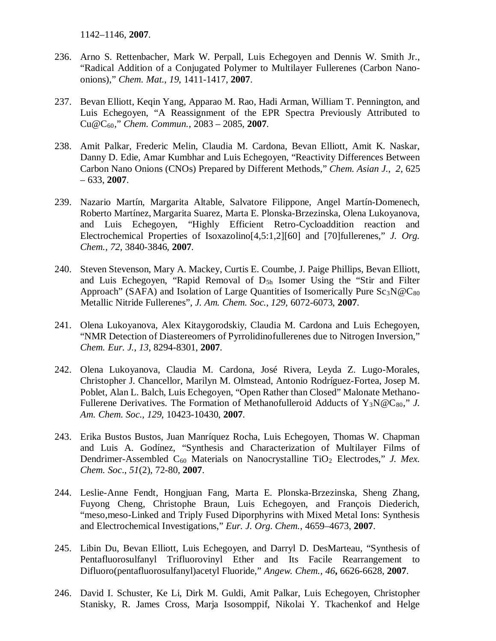1142–1146, **2007**.

- 236. Arno S. Rettenbacher, Mark W. Perpall, Luis Echegoyen and Dennis W. Smith Jr., "Radical Addition of a Conjugated Polymer to Multilayer Fullerenes (Carbon Nanoonions)," *Chem. Mat.*, *19*, 1411-1417, **2007**.
- 237. Bevan Elliott, Keqin Yang, Apparao M. Rao, Hadi Arman, William T. Pennington, and Luis Echegoyen, "A Reassignment of the EPR Spectra Previously Attributed to Cu@C60," *Chem. Commun.*, 2083 – 2085, **2007**.
- 238. Amit Palkar, Frederic Melin, Claudia M. Cardona, Bevan Elliott, Amit K. Naskar, Danny D. Edie, Amar Kumbhar and Luis Echegoyen, "Reactivity Differences Between Carbon Nano Onions (CNOs) Prepared by Different Methods," *Chem. Asian J.*, *2*, 625 – 633, **2007**.
- 239. Nazario Martín, Margarita Altable, Salvatore Filippone, Angel Martín-Domenech, Roberto Martínez, Margarita Suarez, Marta E. Plonska-Brzezinska, Olena Lukoyanova, and Luis Echegoyen, "Highly Efficient Retro-Cycloaddition reaction and Electrochemical Properties of Isoxazolino[4,5:1,2][60] and [70]fullerenes," *J. Org. Chem.*, *72*, 3840-3846, **2007**.
- 240. Steven Stevenson, Mary A. Mackey, Curtis E. Coumbe, J. Paige Phillips, Bevan Elliott, and Luis Echegoyen, "Rapid Removal of  $D_{5h}$  Isomer Using the "Stir and Filter Approach" (SAFA) and Isolation of Large Quantities of Isomerically Pure  $Sc_3N@C_{80}$ Metallic Nitride Fullerenes", *J. Am. Chem. Soc.*, *129*, 6072-6073, **2007**.
- 241. Olena Lukoyanova, Alex Kitaygorodskiy, Claudia M. Cardona and Luis Echegoyen, "NMR Detection of Diastereomers of Pyrrolidinofullerenes due to Nitrogen Inversion," *Chem. Eur. J.*, *13*, 8294-8301, **2007**.
- 242. Olena Lukoyanova, Claudia M. Cardona, José Rivera, Leyda Z. Lugo-Morales, Christopher J. Chancellor, Marilyn M. Olmstead, Antonio Rodríguez-Fortea, Josep M. Poblet, Alan L. Balch, Luis Echegoyen, "Open Rather than Closed" Malonate Methano-Fullerene Derivatives. The Formation of Methanofulleroid Adducts of Y<sub>3</sub>N@C<sub>80</sub>," *J. Am. Chem. Soc.*, *129*, 10423-10430, **2007**.
- 243. Erika Bustos Bustos, Juan Manríquez Rocha, Luis Echegoyen, Thomas W. Chapman and Luis A. Godínez, "Synthesis and Characterization of Multilayer Films of Dendrimer-Assembled C<sub>60</sub> Materials on Nanocrystalline TiO<sub>2</sub> Electrodes," *J. Mex. Chem. Soc*., *51*(2), 72-80, **2007**.
- 244. Leslie-Anne Fendt, Hongjuan Fang, Marta E. Plonska-Brzezinska, Sheng Zhang, Fuyong Cheng, Christophe Braun, Luis Echegoyen, and François Diederich, "meso,meso-Linked and Triply Fused Diporphyrins with Mixed Metal Ions: Synthesis and Electrochemical Investigations," *Eur. J. Org. Chem.*, 4659–4673, **2007**.
- 245. Libin Du, Bevan Elliott, Luis Echegoyen, and Darryl D. DesMarteau, "Synthesis of Pentafluorosulfanyl Trifluorovinyl Ether and Its Facile Rearrangement to Difluoro(pentafluorosulfanyl)acetyl Fluoride," *Angew. Chem.*, *46***,** 6626-6628, **2007**.
- 246. David I. Schuster, Ke Li, Dirk M. Guldi, Amit Palkar, Luis Echegoyen, Christopher Stanisky, R. James Cross, Marja Isosomppif, Nikolai Y. Tkachenkof and Helge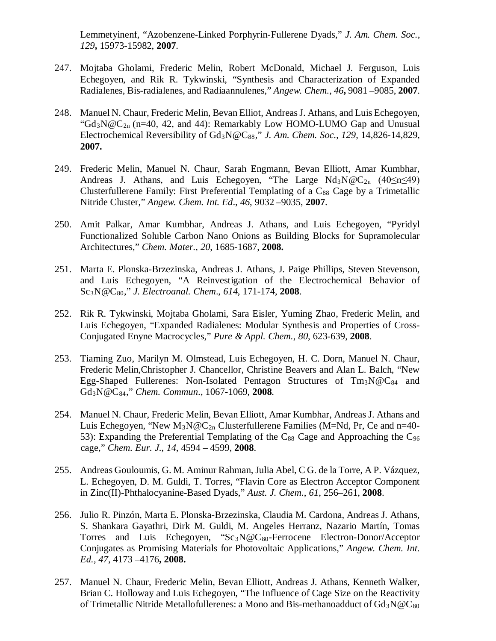Lemmetyinenf, "Azobenzene-Linked Porphyrin-Fullerene Dyads," *J. Am. Chem. Soc.*, *129***,** 15973-15982, **2007**.

- 247. Mojtaba Gholami, Frederic Melin, Robert McDonald, Michael J. Ferguson, Luis Echegoyen, and Rik R. Tykwinski, "Synthesis and Characterization of Expanded Radialenes, Bis-radialenes, and Radiaannulenes," *Angew. Chem.*, *46***,** 9081 –9085, **2007**.
- 248. Manuel N. Chaur, Frederic Melin, Bevan Elliot, Andreas J. Athans, and Luis Echegoyen, " $Gd_3N@C_{2n}$  (n=40, 42, and 44): Remarkably Low HOMO-LUMO Gap and Unusual Electrochemical Reversibility of Gd3N@C88," *J. Am. Chem. Soc.*, *129*, 14,826-14,829, **2007.**
- 249. Frederic Melin, Manuel N. Chaur, Sarah Engmann, Bevan Elliott, Amar Kumbhar, Andreas J. Athans, and Luis Echegoyen, "The Large  $Nd_3N@C_{2n}$  (40 $\leq n \leq 49$ ) Clusterfullerene Family: First Preferential Templating of a  $C_{88}$  Cage by a Trimetallic Nitride Cluster," *Angew. Chem. Int. Ed*., *46*, 9032 –9035, **2007**.
- 250. Amit Palkar, Amar Kumbhar, Andreas J. Athans, and Luis Echegoyen, "Pyridyl Functionalized Soluble Carbon Nano Onions as Building Blocks for Supramolecular Architectures," *Chem. Mater.*, *20*, 1685-1687, **2008.**
- 251. Marta E. Plonska-Brzezinska, Andreas J. Athans, J. Paige Phillips, Steven Stevenson, and Luis Echegoyen, "A Reinvestigation of the Electrochemical Behavior of Sc3N@C80," *J. Electroanal. Chem*., *614*, 171-174, **2008**.
- 252. Rik R. Tykwinski, Mojtaba Gholami, Sara Eisler, Yuming Zhao, Frederic Melin, and Luis Echegoyen, "Expanded Radialenes: Modular Synthesis and Properties of Cross-Conjugated Enyne Macrocycles," *Pure & Appl. Chem.*, *80*, 623-639, **2008**.
- 253. Tiaming Zuo, Marilyn M. Olmstead, Luis Echegoyen, H. C. Dorn, Manuel N. Chaur, Frederic Melin,Christopher J. Chancellor, Christine Beavers and Alan L. Balch, "New Egg-Shaped Fullerenes: Non-Isolated Pentagon Structures of  $Tm_3N@C_{84}$  and Gd3N@C84," *Chem. Commun*., 1067-1069, **2008**.
- 254. Manuel N. Chaur, Frederic Melin, Bevan Elliott, Amar Kumbhar, Andreas J. Athans and Luis Echegoyen, "New  $M_3N@C_{2n}$  Clusterfullerene Families (M=Nd, Pr, Ce and n=40-53): Expanding the Preferential Templating of the  $C_{88}$  Cage and Approaching the  $C_{96}$ cage," *Chem. Eur. J.*, *14*, 4594 – 4599, **2008**.
- 255. Andreas Gouloumis, G. M. Aminur Rahman, Julia Abel, C G. de la Torre, A P. Vázquez, L. Echegoyen, D. M. Guldi, T. Torres, "Flavin Core as Electron Acceptor Component in Zinc(II)-Phthalocyanine-Based Dyads," *Aust. J. Chem.*, *61*, 256–261, **2008**.
- 256. Julio R. Pinzón, Marta E. Plonska-Brzezinska, Claudia M. Cardona, Andreas J. Athans, S. Shankara Gayathri, Dirk M. Guldi, M. Angeles Herranz, Nazario Martín, Tomas Torres and Luis Echegoyen, "Sc<sub>3</sub>N@C<sub>80</sub>-Ferrocene Electron-Donor/Acceptor Conjugates as Promising Materials for Photovoltaic Applications," *Angew. Chem. Int. Ed., 47*, 4173 –4176**, 2008.**
- 257. Manuel N. Chaur, Frederic Melin, Bevan Elliott, Andreas J. Athans, Kenneth Walker, Brian C. Holloway and Luis Echegoyen, "The Influence of Cage Size on the Reactivity of Trimetallic Nitride Metallofullerenes: a Mono and Bis-methanoadduct of  $Gd_3N@C_{80}$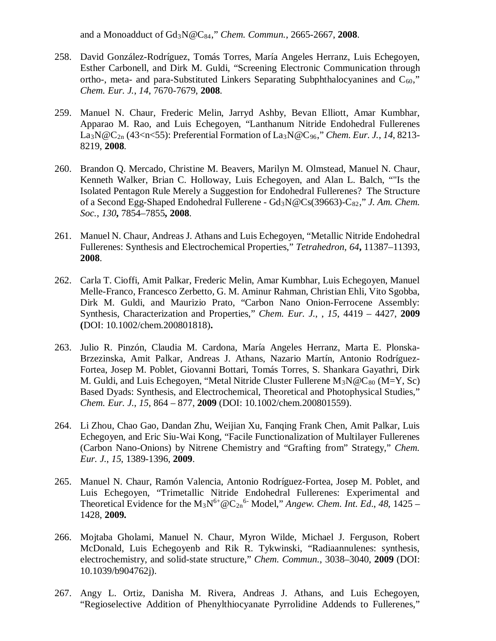and a Monoadduct of Gd3N@C84," *Chem. Commun.*, 2665-2667, **2008**.

- 258. David González-Rodríguez, Tomás Torres, María Angeles Herranz, Luis Echegoyen, Esther Carbonell, and Dirk M. Guldi, "Screening Electronic Communication through ortho-, meta- and para-Substituted Linkers Separating Subphthalocyanines and  $C_{60}$ ," *Chem. Eur. J.*, *14*, 7670-7679, **2008**.
- 259. Manuel N. Chaur, Frederic Melin, Jarryd Ashby, Bevan Elliott, Amar Kumbhar, Apparao M. Rao, and Luis Echegoyen, "Lanthanum Nitride Endohedral Fullerenes La3N@C2n (43<n<55): Preferential Formation of La3N@C96," *Chem. Eur. J.*, *14*, 8213- 8219, **2008**.
- 260. Brandon Q. Mercado, Christine M. Beavers, Marilyn M. Olmstead, Manuel N. Chaur, Kenneth Walker, Brian C. Holloway, Luis Echegoyen, and Alan L. Balch, ""Is the Isolated Pentagon Rule Merely a Suggestion for Endohedral Fullerenes? The Structure of a Second Egg-Shaped Endohedral Fullerene - Gd<sub>3</sub>N@Cs(39663)-C<sub>82</sub>," *J. Am. Chem. Soc.*, *130***,** 7854–7855**, 2008**.
- 261. Manuel N. Chaur, Andreas J. Athans and Luis Echegoyen, "Metallic Nitride Endohedral Fullerenes: Synthesis and Electrochemical Properties," *Tetrahedron*, *64***,** 11387–11393, **2008**.
- 262. Carla T. Cioffi, Amit Palkar, Frederic Melin, Amar Kumbhar, Luis Echegoyen, Manuel Melle-Franco, Francesco Zerbetto, G. M. Aminur Rahman, Christian Ehli, Vito Sgobba, Dirk M. Guldi, and Maurizio Prato, "Carbon Nano Onion-Ferrocene Assembly: Synthesis, Characterization and Properties," *Chem. Eur. J.*, , *15*, 4419 – 4427, **2009 (**DOI: 10.1002/chem.200801818)**.**
- 263. Julio R. Pinzón, Claudia M. Cardona, María Angeles Herranz, Marta E. Plonska-Brzezinska, Amit Palkar, Andreas J. Athans, Nazario Martín, Antonio Rodríguez-Fortea, Josep M. Poblet, Giovanni Bottari, Tomás Torres, S. Shankara Gayathri, Dirk M. Guldi, and Luis Echegoyen, "Metal Nitride Cluster Fullerene  $M_3N@C_{80}$  (M=Y, Sc) Based Dyads: Synthesis, and Electrochemical, Theoretical and Photophysical Studies," *Chem. Eur. J*., *15*, 864 – 877, **2009** (DOI: 10.1002/chem.200801559).
- 264. Li Zhou, Chao Gao, Dandan Zhu, Weijian Xu, Fanqing Frank Chen, Amit Palkar, Luis Echegoyen, and Eric Siu-Wai Kong, "Facile Functionalization of Multilayer Fullerenes (Carbon Nano-Onions) by Nitrene Chemistry and "Grafting from" Strategy," *Chem. Eur. J.*, *15*, 1389-1396, **2009**.
- 265. Manuel N. Chaur, Ramón Valencia, Antonio Rodríguez-Fortea, Josep M. Poblet, and Luis Echegoyen, "Trimetallic Nitride Endohedral Fullerenes: Experimental and Theoretical Evidence for the  $M_3N^{6+} @C_{2n}^6$  Model," *Angew. Chem. Int. Ed.*, 48, 1425 – 1428, **2009.**
- 266. Mojtaba Gholami, Manuel N. Chaur, Myron Wilde, Michael J. Ferguson, Robert McDonald, Luis Echegoyenb and Rik R. Tykwinski, "Radiaannulenes: synthesis, electrochemistry, and solid-state structure," *Chem. Commun.*, 3038–3040, **2009** (DOI: 10.1039/b904762j).
- 267. Angy L. Ortiz, Danisha M. Rivera, Andreas J. Athans, and Luis Echegoyen, "Regioselective Addition of Phenylthiocyanate Pyrrolidine Addends to Fullerenes,"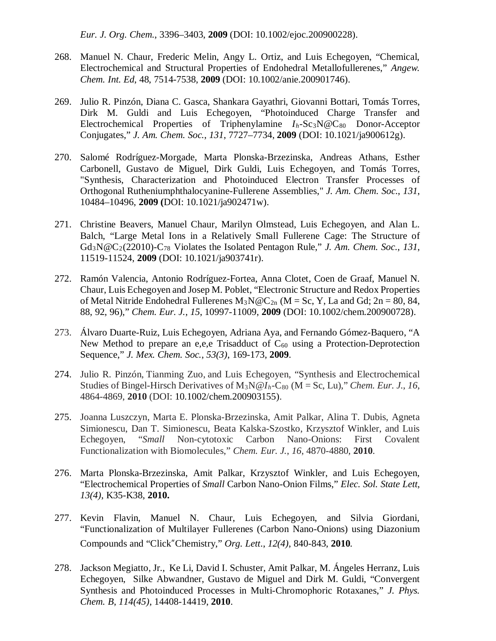*Eur. J. Org. Chem.*, 3396–3403, **2009** (DOI: 10.1002/ejoc.200900228).

- 268. Manuel N. Chaur, Frederic Melin, Angy L. Ortiz, and Luis Echegoyen, "Chemical, Electrochemical and Structural Properties of Endohedral Metallofullerenes," *Angew. Chem. Int. Ed*, 48, 7514-7538, **2009** (DOI: 10.1002/anie.200901746).
- 269. Julio R. Pinzón, Diana C. Gasca, Shankara Gayathri, Giovanni Bottari, Tomás Torres, Dirk M. Guldi and Luis Echegoyen, "Photoinduced Charge Transfer and Electrochemical Properties of Triphenylamine *I<sub>h</sub>*-Sc<sub>3</sub>N@C<sub>80</sub> Donor-Acceptor Conjugates," *J. Am. Chem. Soc.*, *131*, 7727–7734, **2009** (DOI: 10.1021/ja900612g).
- 270. Salomé Rodríguez-Morgade, Marta Plonska-Brzezinska, Andreas Athans, Esther Carbonell, Gustavo de Miguel, Dirk Guldi, Luis Echegoyen, and Tomás Torres, "Synthesis, Characterization and Photoinduced Electron Transfer Processes of Orthogonal Rutheniumphthalocyanine-Fullerene Assemblies," *J. Am. Chem. Soc.*, *131*, 10484–10496, **2009 (**DOI: 10.1021/ja902471w).
- 271. Christine Beavers, Manuel Chaur, Marilyn Olmstead, Luis Echegoyen, and Alan L. Balch, "Large Metal Ions in a Relatively Small Fullerene Cage: The Structure of Gd3N@C2(22010)-C78 Violates the Isolated Pentagon Rule," *J. Am. Chem. Soc.*, *131*, 11519-11524, **2009** (DOI: 10.1021/ja903741r).
- 272. Ramón Valencia, Antonio Rodríguez-Fortea, Anna Clotet, Coen de Graaf, Manuel N. Chaur, Luis Echegoyen and Josep M. Poblet, "Electronic Structure and Redox Properties of Metal Nitride Endohedral Fullerenes  $M_3N@C_{2n}$  (M = Sc, Y, La and Gd; 2n = 80, 84, 88, 92, 96)," *Chem. Eur. J.*, *15*, 10997-11009, **2009** (DOI: 10.1002/chem.200900728).
- 273. Álvaro Duarte-Ruiz, Luis Echegoyen, Adriana Aya, and Fernando Gómez-Baquero, "A New Method to prepare an e,e,e Trisadduct of  $C_{60}$  using a Protection-Deprotection Sequence," *J. Mex. Chem. Soc.*, *53(3)*, 169-173, **2009**.
- 274. Julio R. Pinzón, Tianming Zuo, and Luis Echegoyen, "Synthesis and Electrochemical Studies of Bingel-Hirsch Derivatives of  $M_3N@I_h-C_{80}$  (M = Sc, Lu)," *Chem. Eur. J., 16*, 4864-4869, **2010** (DOI: 10.1002/chem.200903155).
- 275. Joanna Luszczyn, Marta E. Plonska-Brzezinska, Amit Palkar, Alina T. Dubis, Agneta Simionescu, Dan T. Simionescu, Beata Kalska-Szostko, Krzysztof Winkler, and Luis Echegoyen, "*Small* Non-cytotoxic Carbon Nano-Onions: First Covalent Functionalization with Biomolecules," *Chem. Eur. J.*, *16*, 4870-4880, **2010**.
- 276. Marta Plonska-Brzezinska, Amit Palkar, Krzysztof Winkler, and Luis Echegoyen, "Electrochemical Properties of *Small* Carbon Nano-Onion Films," *Elec. Sol. State Lett*, *13(4)*, K35-K38, **2010.**
- 277. Kevin Flavin, Manuel N. Chaur, Luis Echegoyen, and Silvia Giordani, "Functionalization of Multilayer Fullerenes (Carbon Nano-Onions) using Diazonium Compounds and "Click"Chemistry," *Org. Lett*., *12(4)*, 840-843, **2010***.*
- 278. Jackson Megiatto, Jr., Ke Li, David I. Schuster, Amit Palkar, M. Ángeles Herranz, Luis Echegoyen, Silke Abwandner, Gustavo de Miguel and Dirk M. Guldi, "Convergent Synthesis and Photoinduced Processes in Multi-Chromophoric Rotaxanes," *J. Phys. Chem. B*, *114(45)*, 14408-14419, **2010**.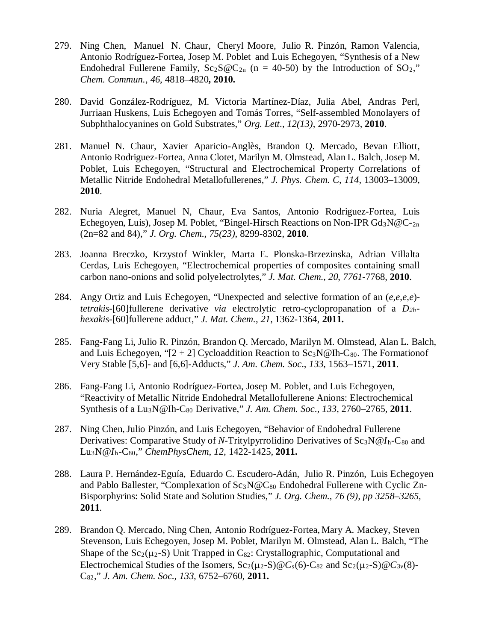- 279. Ning Chen, Manuel N. Chaur, Cheryl Moore, Julio R. Pinzón, Ramon Valencia, Antonio Rodríguez-Fortea, Josep M. Poblet and Luis Echegoyen, "Synthesis of a New Endohedral Fullerene Family,  $Sc_2S@C_{2n}$  (n = 40-50) by the Introduction of SO<sub>2</sub>," *Chem. Commun.*, *46*, 4818–4820**, 2010.**
- 280. David González-Rodríguez, M. Victoria Martínez-Díaz, Julia Abel, Andras Perl, Jurriaan Huskens, Luis Echegoyen and Tomás Torres, "Self-assembled Monolayers of Subphthalocyanines on Gold Substrates," *Org. Lett*., *12(13)*, 2970-2973, **2010**.
- 281. Manuel N. Chaur, Xavier Aparicio-Anglès, Brandon Q. Mercado, Bevan Elliott, Antonio Rodriguez-Fortea, Anna Clotet, Marilyn M. Olmstead, Alan L. Balch, Josep M. Poblet, Luis Echegoyen, "Structural and Electrochemical Property Correlations of Metallic Nitride Endohedral Metallofullerenes," *J. Phys. Chem. C, 114,* 13003–13009, **2010**.
- 282. Nuria Alegret, Manuel N, Chaur, Eva Santos, Antonio Rodriguez-Fortea, Luis Echegoyen, Luis), Josep M. Poblet, "Bingel-Hirsch Reactions on Non-IPR  $Gd_3N@C_{2n}$ (2n=82 and 84)," *J. Org. Chem.*, *75(23)*, 8299-8302, **2010**.
- 283. Joanna Breczko, Krzystof Winkler, Marta E. Plonska-Brzezinska, Adrian Villalta Cerdas, Luis Echegoyen, "Electrochemical properties of composites containing small carbon nano-onions and solid polyelectrolytes," *J. Mat. Chem.*, *20*, *7761*-7768, **2010**.
- 284. Angy Ortiz and Luis Echegoyen, "Unexpected and selective formation of an (*e*,*e*,*e*,*e*) *tetrakis*-[60]fullerene derivative *via* electrolytic retro-cyclopropanation of a *D2hhexakis*-[60]fullerene adduct," *J. Mat. Chem.*, *21*, 1362-1364, **2011.**
- 285. Fang-Fang Li, Julio R. Pinzón, Brandon Q. Mercado, Marilyn M. Olmstead, Alan L. Balch, and Luis Echegoyen, " $[2 + 2]$  Cycloaddition Reaction to Sc<sub>3</sub>N@Ih-C<sub>80</sub>. The Formationof Very Stable [5,6]- and [6,6]-Adducts," *J. Am. Chem. Soc*., *133*, 1563–1571, **2011**.
- 286. Fang-Fang Li, Antonio Rodríguez-Fortea, Josep M. Poblet, and Luis Echegoyen, "Reactivity of Metallic Nitride Endohedral Metallofullerene Anions: Electrochemical Synthesis of a Lu3N@Ih-C80 Derivative," *J. Am. Chem. Soc*., *133*, 2760–2765, **2011**.
- 287. Ning Chen,Julio Pinzón, and Luis Echegoyen, "Behavior of Endohedral Fullerene Derivatives: Comparative Study of *N*-Tritylpyrrolidino Derivatives of Sc<sub>3</sub>N@*I*<sub>h</sub>-C<sub>80</sub> and Lu3N@*I*h-C80," *ChemPhysChem*, *12,* 1422-1425*,* **2011.**
- 288. Laura P. Hernández-Eguía, Eduardo C. Escudero-Adán, Julio R. Pinzón, Luis Echegoyen and Pablo Ballester, "Complexation of  $Sc_3N@C_{80}$  Endohedral Fullerene with Cyclic Zn-Bisporphyrins: Solid State and Solution Studies," *J. Org. Chem., 76 (9), pp 3258–3265,*  **2011***.*
- 289. Brandon Q. Mercado, Ning Chen, Antonio Rodríguez-Fortea, Mary A. Mackey, Steven Stevenson, Luis Echegoyen, Josep M. Poblet, Marilyn M. Olmstead, Alan L. Balch, "The Shape of the  $Sc_2(\mu_2-S)$  Unit Trapped in  $C_{82}$ : Crystallographic, Computational and Electrochemical Studies of the Isomers,  $Sc_2(\mu_2-S) \mathscr{Q} C_s(6)$ -C<sub>82</sub> and  $Sc_2(\mu_2-S) \mathscr{Q} C_{3v}(8)$ -C82," *J. Am. Chem. Soc., 133,* 6752–6760*,* **2011.**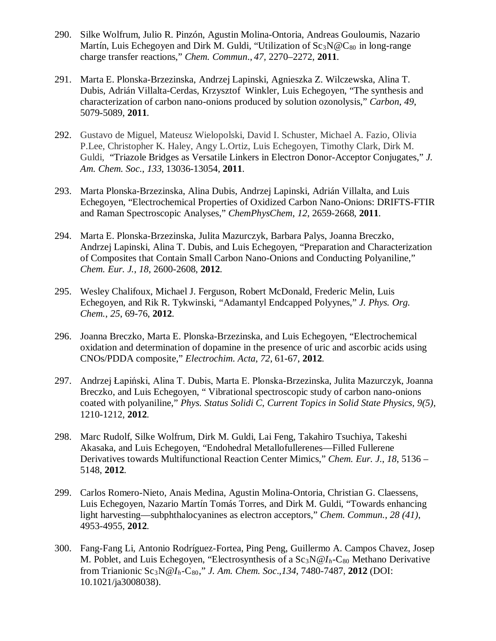- 290. Silke Wolfrum, Julio R. Pinzón, Agustin Molina-Ontoria, Andreas Gouloumis, Nazario Martín, Luis Echegoyen and Dirk M. Guldi, "Utilization of  $Sc_3N@C_{80}$  in long-range charge transfer reactions," *Chem. Commun*., *47,* 2270–2272, **2011**.
- 291. Marta E. Plonska-Brzezinska, Andrzej Lapinski, Agnieszka Z. Wilczewska, Alina T. Dubis, Adrián Villalta-Cerdas, Krzysztof Winkler, Luis Echegoyen, "The synthesis and characterization of carbon nano-onions produced by solution ozonolysis," *Carbon*, *49*, 5079-5089, **2011**.
- 292. Gustavo de Miguel, Mateusz Wielopolski, David I. Schuster, Michael A. Fazio, Olivia P.Lee, Christopher K. Haley, Angy L.Ortiz, Luis Echegoyen, Timothy Clark, Dirk M. Guldi, "Triazole Bridges as Versatile Linkers in Electron Donor-Acceptor Conjugates," *J. Am. Chem. Soc.*, *133*, 13036-13054, **2011**.
- 293. Marta Plonska-Brzezinska, Alina Dubis, Andrzej Lapinski, Adrián Villalta, and Luis Echegoyen, "Electrochemical Properties of Oxidized Carbon Nano-Onions: DRIFTS-FTIR and Raman Spectroscopic Analyses," *ChemPhysChem*, *12*, 2659-2668, **2011**.
- 294. Marta E. Plonska-Brzezinska, Julita Mazurczyk, Barbara Palys, Joanna Breczko, Andrzej Lapinski, Alina T. Dubis, and Luis Echegoyen, "Preparation and Characterization of Composites that Contain Small Carbon Nano-Onions and Conducting Polyaniline," *Chem. Eur. J.*, *18*, 2600-2608, **2012**.
- 295. Wesley Chalifoux, Michael J. Ferguson, Robert McDonald, Frederic Melin, Luis Echegoyen, and Rik R. Tykwinski, "Adamantyl Endcapped Polyynes," *J. Phys. Org. Chem.*, *25*, 69-76, **2012**.
- 296. Joanna Breczko, Marta E. Plonska-Brzezinska, and Luis Echegoyen, "Electrochemical oxidation and determination of dopamine in the presence of uric and ascorbic acids using CNOs/PDDA composite," *Electrochim. Acta*, *72*, 61-67, **2012**.
- 297. Andrzej Łapiński, Alina T. Dubis, Marta E. Plonska-Brzezinska, Julita Mazurczyk, Joanna Breczko, and Luis Echegoyen, " Vibrational spectroscopic study of carbon nano-onions coated with polyaniline," *Phys. Status Solidi C*, *Current Topics in Solid State Physics, 9(5)*, 1210-1212, **2012**.
- 298. Marc Rudolf, Silke Wolfrum, Dirk M. Guldi, Lai Feng, Takahiro Tsuchiya, Takeshi Akasaka, and Luis Echegoyen, "Endohedral Metallofullerenes—Filled Fullerene Derivatives towards Multifunctional Reaction Center Mimics," *Chem. Eur. J*., *18*, 5136 – 5148, **2012**.
- 299. Carlos Romero-Nieto, Anais Medina, Agustin Molina-Ontoria, Christian G. Claessens, Luis Echegoyen, Nazario Martín Tomás Torres, and Dirk M. Guldi, "Towards enhancing light harvesting—subphthalocyanines as electron acceptors," *Chem. Commun.*, *28 (41)*, 4953-4955, **2012**.
- 300. Fang-Fang Li, Antonio Rodríguez-Fortea, Ping Peng, Guillermo A. Campos Chavez, Josep M. Poblet, and Luis Echegoyen, "Electrosynthesis of a Sc<sub>3</sub>N@*I<sub>h</sub>*-C<sub>80</sub> Methano Derivative from Trianionic Sc3N@*Ih*-C80," *J. Am. Chem. Soc*.*,134*, 7480-7487, **2012** (DOI: 10.1021/ja3008038).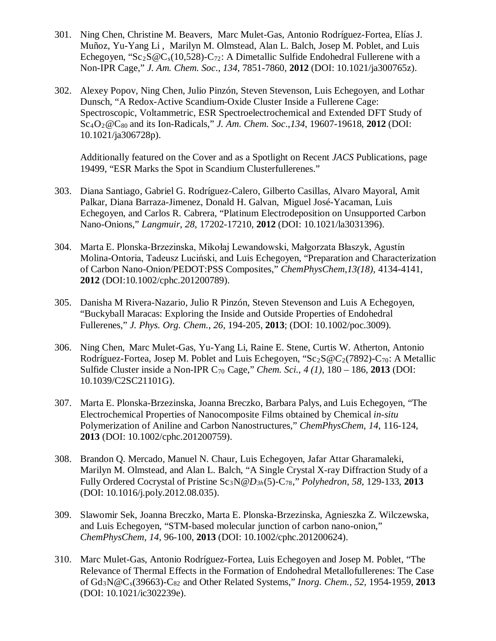- 301. Ning Chen, Christine M. Beavers, Marc Mulet-Gas, Antonio Rodríguez-Fortea, Elías J. Muñoz, Yu-Yang Li , Marilyn M. Olmstead, Alan L. Balch, Josep M. Poblet, and Luis Echegoyen, "Sc<sub>2</sub>S @C<sub>s</sub>(10,528)-C<sub>72</sub>: A Dimetallic Sulfide Endohedral Fullerene with a Non-IPR Cage," *J. Am. Chem. Soc*.*, 134*, 7851-7860, **2012** (DOI: 10.1021/ja300765z).
- 302. Alexey Popov, Ning Chen, Julio Pinzón, Steven Stevenson, Luis Echegoyen, and Lothar Dunsch, "A Redox-Active Scandium-Oxide Cluster Inside a Fullerene Cage: Spectroscopic, Voltammetric, ESR Spectroelectrochemical and Extended DFT Study of Sc4O2@C80 and its Ion-Radicals," *J. Am. Chem. Soc*.*,134*, 19607-19618, **2012** (DOI: 10.1021/ja306728p).

Additionally featured on the Cover and as a Spotlight on Recent *JACS* Publications, page 19499, "ESR Marks the Spot in Scandium Clusterfullerenes."

- 303. Diana Santiago, Gabriel G. Rodríguez-Calero, Gilberto Casillas, Alvaro Mayoral, Amit Palkar, Diana Barraza-Jimenez, Donald H. Galvan, Miguel José-Yacaman, Luis Echegoyen, and Carlos R. Cabrera, "Platinum Electrodeposition on Unsupported Carbon Nano-Onions," *Langmuir*, *28*, 17202-17210, **2012** (DOI: 10.1021/la3031396).
- 304. Marta E. Plonska-Brzezinska, Mikołaj Lewandowski, Małgorzata Błaszyk, Agustín Molina-Ontoria, Tadeusz Luciński, and Luis Echegoyen, "Preparation and Characterization of Carbon Nano-Onion/PEDOT:PSS Composites," *ChemPhysChem,13(18)*, 4134-4141, **2012** (DOI:10.1002/cphc.201200789).
- 305. Danisha M Rivera-Nazario, Julio R Pinzón, Steven Stevenson and Luis A Echegoyen, "Buckyball Maracas: Exploring the Inside and Outside Properties of Endohedral Fullerenes," *J. Phys. Org. Chem.*, *26*, 194-205, **2013**; (DOI: 10.1002/poc.3009).
- 306. Ning Chen, Marc Mulet-Gas, Yu-Yang Li, Raine E. Stene, Curtis W. Atherton, Antonio Rodríguez-Fortea, Josep M. Poblet and Luis Echegoyen, "Sc2S@*C*2(7892)-C70: A Metallic Sulfide Cluster inside a Non-IPR C70 Cage," *Chem. Sci.*, *4 (1)*, 180 – 186, **2013** (DOI: 10.1039/C2SC21101G).
- 307. Marta E. Plonska-Brzezinska, Joanna Breczko, Barbara Palys, and Luis Echegoyen, "The Electrochemical Properties of Nanocomposite Films obtained by Chemical *in-situ* Polymerization of Aniline and Carbon Nanostructures," *ChemPhysChem*, *14*, 116-124, **2013** (DOI: 10.1002/cphc.201200759).
- 308. Brandon Q. Mercado, Manuel N. Chaur, Luis Echegoyen, Jafar Attar Gharamaleki, Marilyn M. Olmstead, and Alan L. Balch, "A Single Crystal X-ray Diffraction Study of a Fully Ordered Cocrystal of Pristine Sc3N@*D3h*(5)-C78," *Polyhedron*, *58*, 129-133, **2013** (DOI: 10.1016/j.poly.2012.08.035).
- 309. Slawomir Sek, Joanna Breczko, Marta E. Plonska-Brzezinska, Agnieszka Z. Wilczewska, and Luis Echegoyen, "STM-based molecular junction of carbon nano-onion," *ChemPhysChem, 14*, 96-100, **2013** (DOI: 10.1002/cphc.201200624).
- 310. Marc Mulet-Gas, Antonio Rodríguez-Fortea, Luis Echegoyen and Josep M. Poblet, "The Relevance of Thermal Effects in the Formation of Endohedral Metallofullerenes: The Case of Gd3N@Cs(39663)-C82 and Other Related Systems," *Inorg. Chem.*, *52,* 1954-1959, **2013**  (DOI: 10.1021/ic302239e).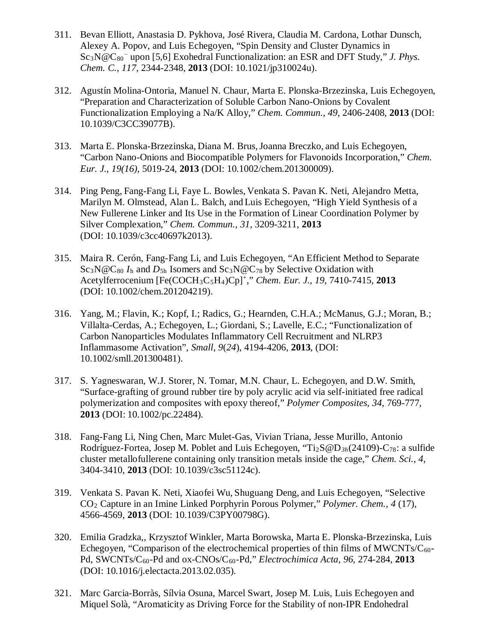- 311. Bevan Elliott, Anastasia D. Pykhova, José Rivera, Claudia M. Cardona, Lothar Dunsch, Alexey A. Popov, and Luis Echegoyen, "Spin Density and Cluster Dynamics in Sc<sub>3</sub>N@C<sub>80</sub><sup>−</sup> upon [5,6] Exohedral Functionalization: an ESR and DFT Study," *J. Phys. Chem. C., 117*, 2344-2348, **2013** (DOI: 10.1021/jp310024u).
- 312. Agustín Molina-Ontoria, Manuel N. Chaur, Marta E. Plonska-Brzezinska, Luis Echegoyen, "Preparation and Characterization of Soluble Carbon Nano-Onions by Covalent Functionalization Employing a Na/K Alloy," *Chem. Commun.*, *49*, 2406-2408, **2013** (DOI: 10.1039/C3CC39077B).
- 313. Marta E. Plonska-Brzezinska, Diana M. Brus,Joanna Breczko, and Luis Echegoyen, "Carbon Nano-Onions and Biocompatible Polymers for Flavonoids Incorporation," *Chem. Eur. J.*, *19(16),* 5019-24, **2013** (DOI: 10.1002/chem.201300009).
- 314. Ping Peng, Fang-Fang Li, Faye L. Bowles, Venkata S. Pavan K. Neti, Alejandro Metta, Marilyn M. Olmstead, Alan L. Balch, and Luis Echegoyen, "High Yield Synthesis of a New Fullerene Linker and Its Use in the Formation of Linear Coordination Polymer by Silver Complexation," *Chem. Commun.*, *31*, 3209-3211, **2013** (DOI: 10.1039/c3cc40697k2013).
- 315. Maira R. Cerón, Fang-Fang Li, and Luis Echegoyen, "An Efficient Method to Separate  $Sc_3N@C_{80}$   $I_h$  and  $D_{5h}$  Isomers and  $Sc_3N@C_{78}$  by Selective Oxidation with Acetylferrocenium [Fe(COCH3C5H4)Cp]<sup>+</sup> ," *Chem. Eur. J.*, *19*, 7410-7415, **2013** (DOI: 10.1002/chem.201204219).
- 316. Yang, M.; Flavin, K.; Kopf, I.; Radics, G.; Hearnden, C.H.A.; McManus, G.J.; Moran, B.; Villalta-Cerdas, A.; Echegoyen, L.; Giordani, S.; Lavelle, E.C.; "Functionalization of Carbon Nanoparticles Modulates Inflammatory Cell Recruitment and NLRP3 Inflammasome Activation", *Small*, *9*(*24*), 4194-4206, **2013**, (DOI: 10.1002/smll.201300481).
- 317. S. Yagneswaran, W.J. Storer, N. Tomar, M.N. Chaur, L. Echegoyen, and D.W. Smith, "Surface-grafting of ground rubber tire by poly acrylic acid via self-initiated free radical polymerization and composites with epoxy thereof," *Polymer Composites*, *34*, 769-777, **2013** (DOI: 10.1002/pc.22484).
- 318. Fang-Fang Li, Ning Chen, Marc Mulet-Gas, Vivian Triana, Jesse Murillo, Antonio Rodríguez-Fortea, Josep M. Poblet and Luis Echegoyen, "Ti2S@D*3h*(24109)-C78: a sulfide cluster metallofullerene containing only transition metals inside the cage," *Chem. Sci.*, *4*, 3404-3410, **2013** (DOI: 10.1039/c3sc51124c).
- 319. Venkata S. Pavan K. Neti, Xiaofei Wu, Shuguang Deng, and Luis Echegoyen, "Selective CO2 Capture in an Imine Linked Porphyrin Porous Polymer," *Polymer. Chem.*, *4* (17), 4566-4569, **2013** (DOI: 10.1039/C3PY00798G).
- 320. Emilia Gradzka,, Krzysztof Winkler, Marta Borowska, Marta E. Plonska-Brzezinska, Luis Echegoyen, "Comparison of the electrochemical properties of thin films of MWCNTs/ $C_{60}$ -Pd, SWCNTs/C60-Pd and ox-CNOs/C60-Pd," *Electrochimica Acta*, *96*, 274-284, **2013** (DOI: 10.1016/j.electacta.2013.02.035).
- 321. Marc Garcia-Borràs, Sílvia Osuna, Marcel Swart, Josep M. Luis, Luis Echegoyen and Miquel Solà, "Aromaticity as Driving Force for the Stability of non-IPR Endohedral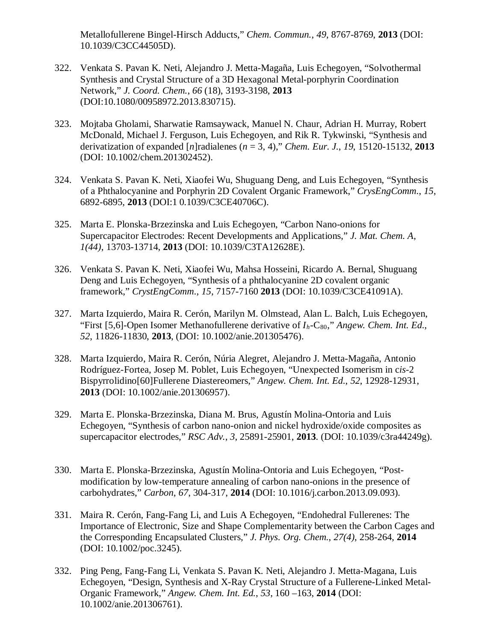Metallofullerene Bingel-Hirsch Adducts," *Chem. Commun.*, *49*, 8767-8769, **2013** (DOI: 10.1039/C3CC44505D).

- 322. Venkata S. Pavan K. Neti, Alejandro J. Metta-Magaña, Luis Echegoyen, "Solvothermal Synthesis and Crystal Structure of a 3D Hexagonal Metal-porphyrin Coordination Network," *J. Coord. Chem.*, *66* (18), 3193-3198, **2013**  (DOI:10.1080/00958972.2013.830715).
- 323. Mojtaba Gholami, Sharwatie Ramsaywack, Manuel N. Chaur, Adrian H. Murray, Robert McDonald, Michael J. Ferguson, Luis Echegoyen, and Rik R. Tykwinski, "Synthesis and derivatization of expanded [*n*]radialenes (*n* = 3, 4)," *Chem. Eur. J.*, *19*, 15120-15132, **2013** (DOI: 10.1002/chem.201302452).
- 324. Venkata S. Pavan K. Neti, Xiaofei Wu, Shuguang Deng, and Luis Echegoyen, "Synthesis of a Phthalocyanine and Porphyrin 2D Covalent Organic Framework," *CrysEngComm*., *15*, 6892-6895, **2013** (DOI:1 0.1039/C3CE40706C).
- 325. Marta E. Plonska-Brzezinska and Luis Echegoyen, "Carbon Nano-onions for Supercapacitor Electrodes: Recent Developments and Applications," *J. Mat. Chem. A*, *1(44)*, 13703-13714, **2013** (DOI: 10.1039/C3TA12628E).
- 326. Venkata S. Pavan K. Neti, Xiaofei Wu, Mahsa Hosseini, Ricardo A. Bernal, Shuguang Deng and Luis Echegoyen, ["Synthesis of a phthalocyanine 2D covalent organic](http://pubs.rsc.org/en/content/articlelanding/2013/ce/c3ce41091a)  [framework,](http://pubs.rsc.org/en/content/articlelanding/2013/ce/c3ce41091a)" *[CrystEngComm](http://pubs.rsc.org/en/journals/journal/ce)*., *15*, 7157-7160 **2013** (DOI: 10.1039/C3CE41091A).
- 327. Marta Izquierdo, Maira R. Cerón, Marilyn M. Olmstead, Alan L. Balch, Luis Echegoyen, "First [5,6]-Open Isomer Methanofullerene derivative of  $I_h$ -C<sub>80</sub>," *Angew. Chem. Int. Ed.*, *52*, 11826-11830, **2013**, (DOI: 10.1002/anie.201305476).
- 328. Marta Izquierdo, Maira R. Cerón, Núria Alegret, Alejandro J. Metta-Magaña, Antonio Rodríguez-Fortea, Josep M. Poblet, Luis Echegoyen, "Unexpected Isomerism in c*is*-2 Bispyrrolidino[60]Fullerene Diastereomers," *Angew. Chem. Int. Ed.*, *52*, 12928-12931, **2013** (DOI: 10.1002/anie.201306957).
- 329. Marta E. Plonska-Brzezinska, Diana M. Brus, Agustín Molina-Ontoria and Luis Echegoyen, "Synthesis of carbon nano-onion and nickel hydroxide/oxide composites as supercapacitor electrodes," *RSC Adv.*, *3*, 25891-25901, **2013**. (DOI: 10.1039/c3ra44249g).
- 330. Marta E. Plonska-Brzezinska, Agustín Molina-Ontoria and Luis Echegoyen, "Postmodification by low-temperature annealing of carbon nano-onions in the presence of carbohydrates," *Carbon*, *67*, 304-317, **2014** (DOI: 10.1016/j.carbon.2013.09.093).
- 331. Maira R. Cerón, Fang-Fang Li, and Luis A Echegoyen, "Endohedral Fullerenes: The Importance of Electronic, Size and Shape Complementarity between the Carbon Cages and the Corresponding Encapsulated Clusters," *J. Phys. Org. Chem.*, *27(4)*, 258-264, **2014**  (DOI: 10.1002/poc.3245).
- 332. Ping Peng, Fang-Fang Li, Venkata S. Pavan K. Neti, Alejandro J. Metta-Magana, Luis Echegoyen, "Design, Synthesis and X-Ray Crystal Structure of a Fullerene-Linked Metal-Organic Framework," *Angew. Chem. Int. Ed.*, *53*, 160 –163, **2014** (DOI: 10.1002/anie.201306761).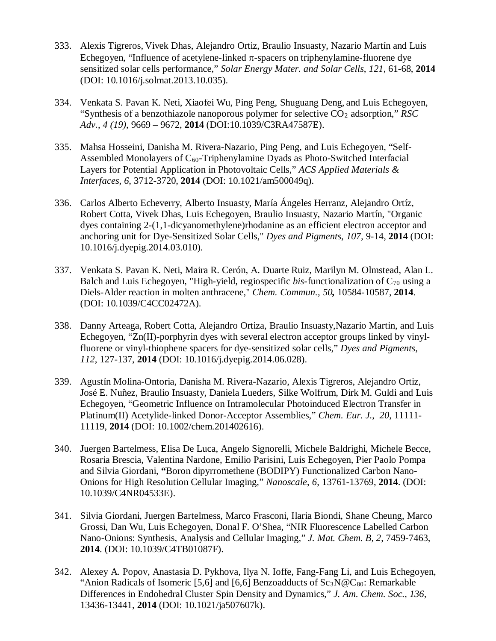- 333. Alexis Tigreros, Vivek Dhas, Alejandro Ortiz, Braulio Insuasty, Nazario Martín and Luis Echegoyen, "Influence of acetylene-linked  $\pi$ -spacers on triphenylamine-fluorene dye sensitized solar cells performance," *Solar Energy Mater. and Solar Cells*, *121*, 61-68, **2014** (DOI: 10.1016/j.solmat.2013.10.035).
- 334. Venkata S. Pavan K. Neti, Xiaofei Wu, Ping Peng, Shuguang Deng, and Luis Echegoyen, "Synthesis of a benzothiazole nanoporous polymer for selective CO2 adsorption," *RSC Adv.*, *4 (19)*, 9669 – 9672, **2014** (DOI:10.1039/C3RA47587E).
- 335. Mahsa Hosseini, Danisha M. Rivera-Nazario, Ping Peng, and Luis Echegoyen, "Self-Assembled Monolayers of  $C_{60}$ -Triphenylamine Dyads as Photo-Switched Interfacial Layers for Potential Application in Photovoltaic Cells," *ACS Applied Materials & Interfaces*, *6*, 3712-3720, **2014** (DOI: 10.1021/am500049q).
- 336. Carlos Alberto Echeverry, Alberto Insuasty, María Ángeles Herranz, Alejandro Ortíz, Robert Cotta, Vivek Dhas, Luis Echegoyen, Braulio Insuasty, Nazario Martín, "Organic dyes containing 2-(1,1-dicyanomethylene)rhodanine as an efficient electron acceptor and anchoring unit for Dye-Sensitized Solar Cells," *Dyes and Pigments*, *107,* 9-14, **2014** (DOI: 10.1016/j.dyepig.2014.03.010).
- 337. Venkata S. Pavan K. Neti, Maira R. Cerón, A. Duarte Ruiz, Marilyn M. Olmstead, Alan L. Balch and Luis Echegoyen, "High-yield, regiospecific *bis*-functionalization of  $C_{70}$  using a Diels-Alder reaction in molten anthracene," *Chem. Commun.*, *50,* 10584-10587, **2014**. (DOI: 10.1039/C4CC02472A).
- 338. Danny Arteaga, Robert Cotta, Alejandro Ortiza, Braulio Insuasty,Nazario Martin, and Luis Echegoyen, "Zn(II)-porphyrin dyes with several electron acceptor groups linked by vinylfluorene or vinyl-thiophene spacers for dye-sensitized solar cells," *Dyes and Pigments*, *112*, 127-137, **2014** (DOI: 10.1016/j.dyepig.2014.06.028).
- 339. Agustín Molina-Ontoria, Danisha M. Rivera-Nazario, Alexis Tigreros, Alejandro Ortiz, José E. Nuñez, Braulio Insuasty, Daniela Lueders, Silke Wolfrum, Dirk M. Guldi and Luis Echegoyen, "Geometric Influence on Intramolecular Photoinduced Electron Transfer in Platinum(II) Acetylide-linked Donor-Acceptor Assemblies," *Chem. Eur. J.*, *20*, 11111- 11119, **2014** (DOI: 10.1002/chem.201402616).
- 340. Juergen Bartelmess, Elisa De Luca, Angelo Signorelli, Michele Baldrighi, Michele Becce, Rosaria Brescia, Valentina Nardone, Emilio Parisini, Luis Echegoyen, Pier Paolo Pompa and Silvia Giordani, **"**Boron dipyrromethene (BODIPY) Functionalized Carbon Nano-Onions for High Resolution Cellular Imaging," *Nanoscale*, *6*, 13761-13769, **2014**. (DOI: 10.1039/C4NR04533E).
- 341. Silvia Giordani, Juergen Bartelmess, Marco Frasconi, Ilaria Biondi, Shane Cheung, Marco Grossi, Dan Wu, Luis Echegoyen, Donal F. O'Shea, "NIR Fluorescence Labelled Carbon Nano-Onions: Synthesis, Analysis and Cellular Imaging," *J. Mat. Chem. B*, *2*, 7459-7463, **2014**. (DOI: 10.1039/C4TB01087F).
- 342. Alexey A. Popov, Anastasia D. Pykhova, Ilya N. Ioffe, Fang-Fang Li, and Luis Echegoyen, "Anion Radicals of Isomeric [5,6] and [6,6] Benzoadducts of  $Sc_3N@C_{80}$ : Remarkable Differences in Endohedral Cluster Spin Density and Dynamics," *J. Am. Chem. Soc.*, *136*, 13436-13441, **2014** (DOI: 10.1021/ja507607k).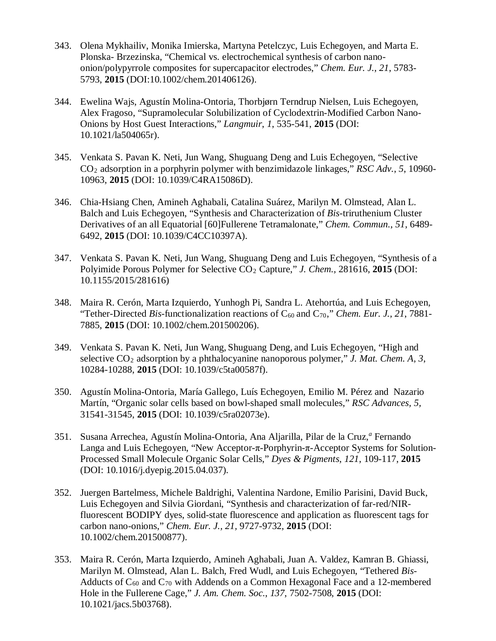- 343. Olena Mykhailiv, Monika Imierska, Martyna Petelczyc, Luis Echegoyen, and Marta E. Plonska- Brzezinska, "Chemical vs. electrochemical synthesis of carbon nanoonion/polypyrrole composites for supercapacitor electrodes," *Chem. Eur. J.*, *21*, 5783- 5793, **2015** (DOI:10.1002/chem.201406126).
- 344. Ewelina Wajs, Agustín Molina-Ontoria, Thorbjørn Terndrup Nielsen, Luis Echegoyen, Alex Fragoso, "Supramolecular Solubilization of Cyclodextrin-Modified Carbon Nano-Onions by Host Guest Interactions," *Langmuir*, *1*, 535-541, **2015** (DOI: 10.1021/la504065r).
- 345. Venkata S. Pavan K. Neti, Jun Wang, Shuguang Deng and Luis Echegoyen, "Selective CO2 adsorption in a porphyrin polymer with benzimidazole linkages," *RSC Adv.*, *5*, 10960- 10963, **2015** (DOI: 10.1039/C4RA15086D).
- 346. Chia-Hsiang Chen, Amineh Aghabali, Catalina Suárez, Marilyn M. Olmstead, Alan L. Balch and Luis Echegoyen, "Synthesis and Characterization of *Bis*-triruthenium Cluster Derivatives of an all Equatorial [60]Fullerene Tetramalonate," *Chem. Commun.*, *51*, 6489- 6492, **2015** (DOI: 10.1039/C4CC10397A).
- 347. Venkata S. Pavan K. Neti, Jun Wang, Shuguang Deng and Luis Echegoyen, "Synthesis of a Polyimide Porous Polymer for Selective CO<sub>2</sub> Capture," *J. Chem.*, 281616, 2015 (DOI: 10.1155/2015/281616)
- 348. Maira R. Cerón, Marta Izquierdo, Yunhogh Pi, Sandra L. Atehortúa, and Luis Echegoyen, "Tether-Directed *Bis*-functionalization reactions of  $C_{60}$  and  $C_{70}$ ," *Chem. Eur. J., 21, 7881*-7885, **2015** (DOI: 10.1002/chem.201500206).
- 349. Venkata S. Pavan K. Neti, Jun Wang, Shuguang Deng, and Luis Echegoyen, "High and selective CO2 adsorption by a phthalocyanine nanoporous polymer," *J. Mat. Chem. A*, *3*, 10284-10288, **2015** (DOI: 10.1039/c5ta00587f).
- 350. Agustín Molina-Ontoria, María Gallego, Luís Echegoyen, Emilio M. Pérez and Nazario Martín, "Organic solar cells based on bowl-shaped small molecules," *RSC Advances, 5,*  31541-31545, **2015** (DOI: 10.1039/c5ra02073e).
- 351. Susana Arrechea, Agustín Molina-Ontoria, Ana Aljarilla, Pilar de la Cruz,*<sup>a</sup>* Fernando Langa and Luis Echegoyen, "New Acceptor-π-Porphyrin-π-Acceptor Systems for Solution-Processed Small Molecule Organic Solar Cells," *Dyes & Pigments*, *121*, 109-117, **2015** (DOI: 10.1016/j.dyepig.2015.04.037).
- 352. Juergen Bartelmess, Michele Baldrighi, Valentina Nardone, Emilio Parisini, David Buck, Luis Echegoyen and Silvia Giordani, "Synthesis and characterization of far-red/NIRfluorescent BODIPY dyes, solid-state fluorescence and application as fluorescent tags for carbon nano-onions," *Chem. Eur. J., 21,* 9727-9732, **2015** (DOI: 10.1002/chem.201500877).
- 353. Maira R. Cerón, Marta Izquierdo, Amineh Aghabali, Juan A. Valdez, Kamran B. Ghiassi, Marilyn M. Olmstead, Alan L. Balch, Fred Wudl, and Luis Echegoyen, "Tethered *Bis-*Adducts of  $C_{60}$  and  $C_{70}$  with Addends on a Common Hexagonal Face and a 12-membered Hole in the Fullerene Cage," *J. Am. Chem. Soc.*, *137*, 7502-7508, **2015** (DOI: 10.1021/jacs.5b03768).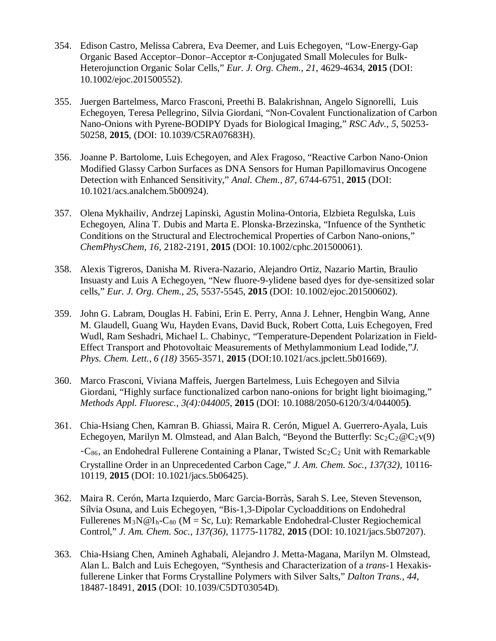- 354. Edison Castro, Melissa Cabrera, Eva Deemer, and Luis Echegoyen, "Low-Energy-Gap Organic Based Acceptor–Donor–Acceptor π-Conjugated Small Molecules for Bulk-Heterojunction Organic Solar Cells," *Eur. J. Org. Chem.*, *21*, 4629-4634, **2015** (DOI: 10.1002/ejoc.201500552).
- 355. Juergen Bartelmess, Marco Frasconi, Preethi B. Balakrishnan, Angelo Signorelli, Luis Echegoyen, Teresa Pellegrino, Silvia Giordani, "Non-Covalent Functionalization of Carbon Nano-Onions with Pyrene-BODIPY Dyads for Biological Imaging," *RSC Adv.*, *5*, 50253- 50258, **2015**, (DOI: 10.1039/C5RA07683H).
- 356. Joanne P. Bartolome, Luis Echegoyen, and Alex Fragoso, "Reactive Carbon Nano-Onion Modified Glassy Carbon Surfaces as DNA Sensors for Human Papillomavirus Oncogene Detection with Enhanced Sensitivity," *Anal. Chem., 87*, 6744-6751, **2015** (DOI: 10.1021/acs.analchem.5b00924).
- 357. Olena Mykhailiv, Andrzej Lapinski, Agustin Molina-Ontoria, Elzbieta Regulska, Luis Echegoyen, Alina T. Dubis and Marta E. Plonska-Brzezinska, "Infuence of the Synthetic Conditions on the Structural and Electrochemical Properties of Carbon Nano-onions," *ChemPhysChem*, *16*, 2182-2191, **2015** (DOI: 10.1002/cphc.201500061).
- 358. Alexis Tigreros, Danisha M. Rivera-Nazario, Alejandro Ortiz, Nazario Martin, Braulio Insuasty and Luis A Echegoyen, "New fluore-9-ylidene based dyes for dye-sensitized solar cells," *Eur. J. Org. Chem.*, *25*, 5537-5545, **2015** (DOI: 10.1002/ejoc.201500602).
- 359. John G. Labram, Douglas H. Fabini, Erin E. Perry, Anna J. Lehner, Hengbin Wang, Anne M. Glaudell, Guang Wu, Hayden Evans, David Buck, Robert Cotta, Luis Echegoyen, Fred Wudl, Ram Seshadri, Michael L. Chabinyc, "Temperature-Dependent Polarization in Field-Effect Transport and Photovoltaic Measurements of Methylammonium Lead Iodide,"*J. Phys. Chem. Lett.*, *6 (18)* 3565-3571, **2015** (DOI:10.1021/acs.jpclett.5b01669).
- 360. Marco Frasconi, Viviana Maffeis, Juergen Bartelmess, Luis Echegoyen and Silvia Giordani, "Highly surface functionalized carbon nano-onions for bright light bioimaging," *Methods Appl. Fluoresc.*, *3(4):044005*, **2015** (DOI: 10.1088/2050-6120/3/4/044005**)**.
- 361. Chia-Hsiang Chen, Kamran B. Ghiassi, Maira R. Cerón, Miguel A. Guerrero-Ayala, Luis Echegoyen, Marilyn M. Olmstead, and Alan Balch, "Beyond the Butterfly:  $Sc_2C_2@C_2v(9)$  $-C_{86}$ , an Endohedral Fullerene Containing a Planar, Twisted Sc<sub>2</sub>C<sub>2</sub> Unit with Remarkable Crystalline Order in an Unprecedented Carbon Cage," *J. Am. Chem. Soc.*, *137(32)*, 10116- 10119, **2015** (DOI: 10.1021/jacs.5b06425).
- 362. Maira R. Cerón, Marta Izquierdo, Marc Garcia-Borràs, Sarah S. Lee, Steven Stevenson, Sílvia Osuna, and Luis Echegoyen, "Bis-1,3-Dipolar Cycloadditions on Endohedral Fullerenes  $M_3N@I_h-C_{80}$  (M = Sc, Lu): Remarkable Endohedral-Cluster Regiochemical Control," *J. Am. Chem. Soc.*, *137(36)*, 11775-11782, **2015** (DOI: 10.1021/jacs.5b07207).
- 363. Chia-Hsiang Chen, Amineh Aghabali, Alejandro J. Metta-Magana, Marilyn M. Olmstead, Alan L. Balch and Luis Echegoyen, "Synthesis and Characterization of a *trans*-1 Hexakisfullerene Linker that Forms Crystalline Polymers with Silver Salts," *Dalton Trans.*, *44*, 18487-18491, **2015** (DOI: 10.1039/C5DT03054D).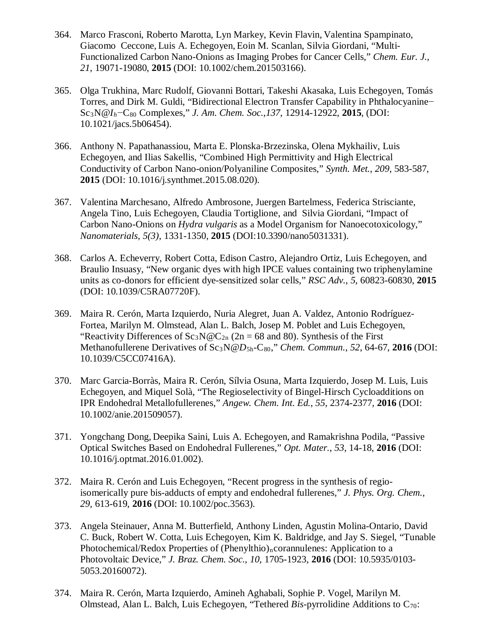- 364. Marco Frasconi, Roberto Marotta, Lyn Markey, Kevin Flavin, Valentina Spampinato, Giacomo Ceccone, Luis A. Echegoyen, Eoin M. Scanlan, Silvia Giordani, "Multi-Functionalized Carbon Nano-Onions as Imaging Probes for Cancer Cells," *Chem. Eur. J., 21*, 19071-19080, **2015** (DOI: 10.1002/chem.201503166).
- 365. Olga Trukhina, Marc Rudolf, Giovanni Bottari, Takeshi Akasaka, Luis Echegoyen, Tomás Torres, and Dirk M. Guldi, "Bidirectional Electron Transfer Capability in Phthalocyanine− Sc3N@*Ih*−C80 Complexes," *J. Am. Chem. Soc.*,*137*, 12914-12922, **2015**, (DOI: 10.1021/jacs.5b06454).
- 366. Anthony N. Papathanassiou, Marta E. Plonska-Brzezinska, Olena Mykhailiv, Luis Echegoyen, and Ilias Sakellis, "Combined High Permittivity and High Electrical Conductivity of Carbon Nano-onion/Polyaniline Composites," *Synth. Met.*, *209*, 583-587, **2015** (DOI: 10.1016/j.synthmet.2015.08.020).
- 367. Valentina Marchesano, Alfredo Ambrosone, Juergen Bartelmess, Federica Strisciante, Angela Tino, Luis Echegoyen, Claudia Tortiglione, and Silvia Giordani, "Impact of Carbon Nano-Onions on *Hydra vulgaris* as a Model Organism for Nanoecotoxicology," *Nanomaterials*, *5(3)*, 1331-1350, **2015** (DOI:10.3390/nano5031331).
- 368. Carlos A. Echeverry, Robert Cotta, Edison Castro, Alejandro Ortiz, Luis Echegoyen, and Braulio Insuasy, "New organic dyes with high IPCE values containing two triphenylamine units as co-donors for efficient dye-sensitized solar cells," *RSC Adv.*, *5,* 60823-60830, **2015**  (DOI: 10.1039/C5RA07720F).
- 369. Maira R. Cerón, Marta Izquierdo, Nuria Alegret, Juan A. Valdez, Antonio Rodríguez-Fortea, Marilyn M. Olmstead, Alan L. Balch, Josep M. Poblet and Luis Echegoyen, "Reactivity Differences of  $Sc_3N@C_{2n}$  (2n = 68 and 80). Synthesis of the First Methanofullerene Derivatives of Sc<sub>3</sub>N@ $D_{5h}$ -C<sub>80</sub>," *Chem. Commun.*, 52, 64-67, 2016 (DOI: 10.1039/C5CC07416A).
- 370. Marc Garcia-Borràs, Maira R. Cerón, Sílvia Osuna, Marta Izquierdo, Josep M. Luis, Luis Echegoyen, and Miquel Solà, "The Regioselectivity of Bingel-Hirsch Cycloadditions on IPR Endohedral Metallofullerenes," *Angew. Chem. Int. Ed., 55*, 2374-2377, **2016** (DOI: 10.1002/anie.201509057).
- 371. Yongchang Dong, Deepika Saini, Luis A. Echegoyen, and Ramakrishna Podila, "Passive Optical Switches Based on Endohedral Fullerenes," *Opt. Mater.*, *53*, 14-18, **2016** (DOI: 10.1016/j.optmat.2016.01.002).
- 372. Maira R. Cerón and Luis Echegoyen, "Recent progress in the synthesis of regioisomerically pure bis-adducts of empty and endohedral fullerenes," *J. Phys. Org. Chem.*, *29,* 613-619, **2016** (DOI: 10.1002/poc.3563).
- 373. Angela Steinauer, Anna M. Butterfield, Anthony Linden, Agustin Molina-Ontario, David C. Buck, Robert W. Cotta, Luis Echegoyen, Kim K. Baldridge, and Jay S. Siegel, "Tunable Photochemical/Redox Properties of (Phenylthio)<sub>n</sub>corannulenes: Application to a Photovoltaic Device," *J. Braz. Chem. Soc.*, *10,* 1705-1923*,* **2016** (DOI: 10.5935/0103- 5053.20160072).
- 374. Maira R. Cerón, Marta Izquierdo, Amineh Aghabali, Sophie P. Vogel, Marilyn M. Olmstead, Alan L. Balch, Luis Echegoyen, "Tethered *Bis-pyrrolidine* Additions to  $C_{70}$ :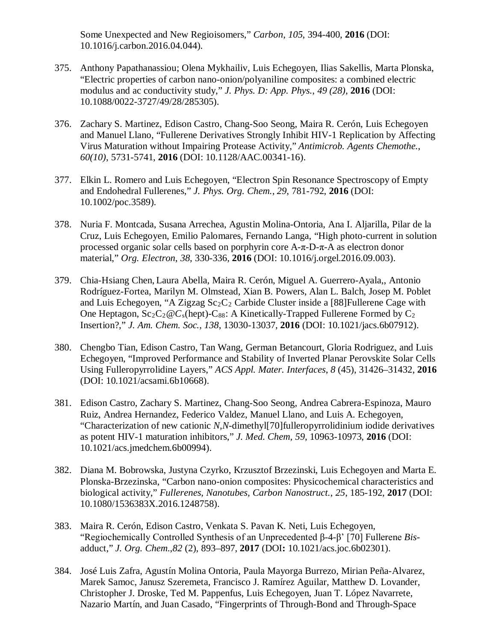Some Unexpected and New Regioisomers," *Carbon*, *105*, 394-400, **2016** (DOI: 10.1016/j.carbon.2016.04.044).

- 375. Anthony Papathanassiou; Olena Mykhailiv, Luis Echegoyen, Ilias Sakellis, Marta Plonska, "Electric properties of carbon nano-onion/polyaniline composites: a combined electric modulus and ac conductivity study," *J. Phys. D: App. Phys.*, *49 (28)*, **2016** (DOI: 10.1088/0022-3727/49/28/285305).
- 376. Zachary S. Martinez, Edison Castro, Chang-Soo Seong, Maira R. Cerón, Luis Echegoyen and Manuel Llano, "Fullerene Derivatives Strongly Inhibit HIV-1 Replication by Affecting Virus Maturation without Impairing Protease Activity," *Antimicrob. Agents Chemothe.*, *60(10)*, 5731-5741, **2016** (DOI: 10.1128/AAC.00341-16).
- 377. Elkin L. Romero and Luis Echegoyen, "Electron Spin Resonance Spectroscopy of Empty and Endohedral Fullerenes," *J. Phys. Org. Chem.*, *29*, 781-792, **2016** (DOI: 10.1002/poc.3589).
- 378. Nuria F. Montcada, Susana Arrechea, Agustin Molina-Ontoria, Ana I. Aljarilla, Pilar de la Cruz, Luis Echegoyen, Emilio Palomares, Fernando Langa, "High photo-current in solution processed organic solar cells based on porphyrin core A-π-D-π-A as electron donor material," *Org. Electron*, *38*, 330-336, **2016** (DOI: 10.1016/j.orgel.2016.09.003).
- 379. Chia-Hsiang Chen, Laura Abella, Maira R. Cerón, Miguel A. Guerrero-Ayala,, Antonio Rodríguez-Fortea, Marilyn M. Olmstead, Xian B. Powers, Alan L. Balch, Josep M. Poblet and Luis Echegoyen, "A Zigzag  $Sc_2C_2$  Carbide Cluster inside a [88] Fullerene Cage with One Heptagon,  $Sc_2C_2@C_s$ (hept)-C<sub>88</sub>: A Kinetically-Trapped Fullerene Formed by C<sub>2</sub> Insertion?," *J. Am. Chem. Soc.*, *138*, 13030-13037, **2016** (DOI: 10.1021/jacs.6b07912).
- 380. Chengbo Tian, Edison Castro, Tan Wang, German Betancourt, Gloria Rodriguez, and Luis Echegoyen, "Improved Performance and Stability of Inverted Planar Perovskite Solar Cells Using Fulleropyrrolidine Layers," *ACS Appl. Mater. Interfaces*, *8* (45), 31426–31432, **2016**  (DOI: 10.1021/acsami.6b10668).
- 381. Edison Castro, Zachary S. Martinez, Chang-Soo Seong, Andrea Cabrera-Espinoza, Mauro Ruiz, Andrea Hernandez, Federico Valdez, Manuel Llano, and Luis A. Echegoyen, "Characterization of new cationic *N,N*-dimethyl[70]fulleropyrrolidinium iodide derivatives as potent HIV-1 maturation inhibitors," *J. Med. Chem*, *59*, 10963-10973, **2016** (DOI: 10.1021/acs.jmedchem.6b00994).
- 382. Diana M. Bobrowska, Justyna Czyrko, Krzusztof Brzezinski, Luis Echegoyen and Marta E. Plonska-Brzezinska, "Carbon nano-onion composites: Physicochemical characteristics and biological activity," *Fullerenes, Nanotubes, Carbon Nanostruct.*, *25*, 185-192, **2017** (DOI: 10.1080/1536383X.2016.1248758).
- 383. Maira R. Cerón, Edison Castro, Venkata S. Pavan K. Neti, Luis Echegoyen, "Regiochemically Controlled Synthesis of an Unprecedented β-4-β' [70] Fullerene *Bis*adduct," *J. Org. Chem.*,*82* (2), 893–897, **2017** (DOI**:** 10.1021/acs.joc.6b02301).
- 384. José Luis Zafra, Agustín Molina Ontoria, Paula Mayorga Burrezo, Mirian Peña-Alvarez, Marek Samoc, Janusz Szeremeta, Francisco J. Ramírez Aguilar, Matthew D. Lovander, Christopher J. Droske, Ted M. Pappenfus, Luis Echegoyen, Juan T. López Navarrete, Nazario Martín, and Juan Casado, "Fingerprints of Through-Bond and Through-Space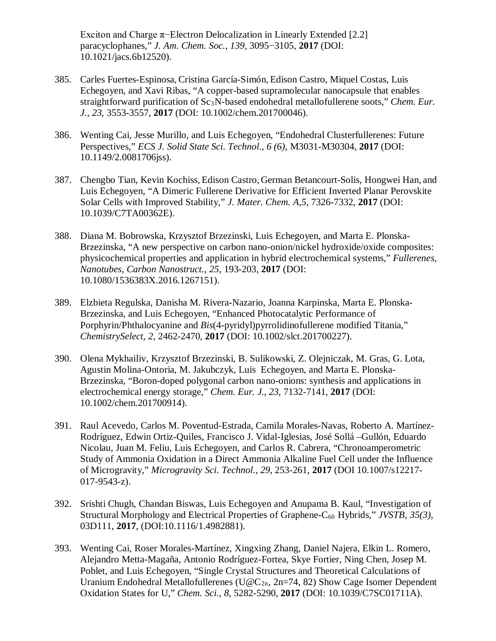Exciton and Charge π−Electron Delocalization in Linearly Extended [2.2] paracyclophanes," *J. Am. Chem. Soc.*, *139*, 3095−3105, **2017** (DOI: 10.1021/jacs.6b12520).

- 385. Carles Fuertes-Espinosa, Cristina García-Simón, Edison Castro, Miquel Costas, Luis Echegoyen, and Xavi Ribas, "A copper-based supramolecular nanocapsule that enables straightforward purification of Sc3N-based endohedral metallofullerene soots," *Chem. Eur. J., 23*, 3553-3557, **2017** (DOI: 10.1002/chem.201700046).
- 386. Wenting Cai, Jesse Murillo, and Luis Echegoyen, "Endohedral Clusterfullerenes: Future Perspectives," *ECS J. Solid State Sci. Technol., 6 (6)*, M3031-M30304, **2017** (DOI: 10.1149/2.0081706jss).
- 387. Chengbo Tian, Kevin Kochiss, Edison Castro, German Betancourt-Solis, Hongwei Han, and Luis Echegoyen, "A Dimeric Fullerene Derivative for Efficient Inverted Planar Perovskite Solar Cells with Improved Stability," *J. Mater. Chem. A,5*, 7326-7332, **2017** (DOI: 10.1039/C7TA00362E).
- 388. Diana M. Bobrowska, Krzysztof Brzezinski, Luis Echegoyen, and Marta E. Plonska-Brzezinska, "A new perspective on carbon nano-onion/nickel hydroxide/oxide composites: physicochemical properties and application in hybrid electrochemical systems," *Fullerenes, Nanotubes, Carbon Nanostruct.*, *25*, 193-203, **2017** (DOI: 10.1080/1536383X.2016.1267151).
- 389. Elzbieta Regulska, Danisha M. Rivera-Nazario, Joanna Karpinska, Marta E. Plonska-Brzezinska, and Luis Echegoyen, "Enhanced Photocatalytic Performance of Porphyrin/Phthalocyanine and *Bis*(4-pyridyl)pyrrolidinofullerene modified Titania," *ChemistrySelect, 2*, 2462-2470, **2017** (DOI: 10.1002/slct.201700227).
- 390. Olena Mykhailiv, Krzysztof Brzezinski, B. Sulikowski, Z. Olejniczak, M. Gras, G. Lota, Agustin Molina-Ontoria, M. Jakubczyk, Luis Echegoyen, and Marta E. Plonska-Brzezinska, "Boron-doped polygonal carbon nano-onions: synthesis and applications in electrochemical energy storage," *Chem. Eur. J*., *23*, 7132-7141, **2017** (DOI: 10.1002/chem.201700914).
- 391. Raul Acevedo, Carlos M. Poventud-Estrada, Camila Morales-Navas, Roberto A. Martínez-Rodríguez, Edwin Ortiz-Quiles, Francisco J. Vidal-Iglesias, José Sollá –Gullón, Eduardo Nicolau, Juan M. Feliu, Luis Echegoyen, and Carlos R. Cabrera, "Chronoamperometric Study of Ammonia Oxidation in a Direct Ammonia Alkaline Fuel Cell under the Influence of Microgravity," *Microgravity Sci. Technol.*, *29*, 253-261, **2017** (DOI 10.1007/s12217- 017-9543-z).
- 392. Srishti Chugh, Chandan Biswas, Luis Echegoyen and Anupama B. Kaul, "Investigation of Structural Morphology and Electrical Properties of Graphene-C60 Hybrids," *JVSTB*, *35(3)*, 03D111, **2017**, (DOI:10.1116/1.4982881).
- 393. Wenting Cai, Roser Morales-Martínez, Xingxing Zhang, Daniel Najera, Elkin L. Romero, Alejandro Metta-Magaña, Antonio Rodríguez-Fortea, Skye Fortier, Ning Chen, Josep M. Poblet, and Luis Echegoyen, "Single Crystal Structures and Theoretical Calculations of Uranium Endohedral Metallofullerenes (U@C<sub>2n</sub>, 2n=74, 82) Show Cage Isomer Dependent Oxidation States for U," *Chem. Sci.*, *8*, 5282-5290, **2017** (DOI: 10.1039/C7SC01711A).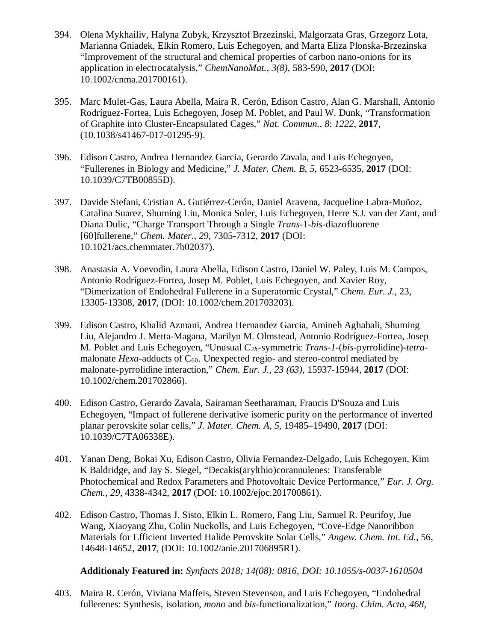- 394. Olena Mykhailiv, Halyna Zubyk, Krzysztof Brzezinski, Malgorzata Gras, Grzegorz Lota, Marianna Gniadek, Elkin Romero, Luis Echegoyen, and Marta Eliza Plonska-Brzezinska "Improvement of the structural and chemical properties of carbon nano-onions for its application in electrocatalysis," *ChemNanoMat.*, *3(8)*, 583-590, **2017** (DOI: 10.1002/cnma.201700161).
- 395. Marc Mulet-Gas, Laura Abella, Maira R. Cerón, Edison Castro, Alan G. Marshall, Antonio Rodríguez-Fortea, Luis Echegoyen, Josep M. Poblet, and Paul W. Dunk, "Transformation of Graphite into Cluster-Encapsulated Cages," *Nat. Commun.*, *8*: *1222*, **2017**, (10.1038/s41467-017-01295-9).
- 396. Edison Castro, Andrea Hernandez Garcia, Gerardo Zavala, and Luis Echegoyen, "Fullerenes in Biology and Medicine," *J. Mater. Chem. B*, *5*, 6523-6535, **2017** (DOI: 10.1039/C7TB00855D).
- 397. Davide Stefani, Cristian A. Gutiérrez-Cerón, Daniel Aravena, Jacqueline Labra-Muñoz, Catalina Suarez, Shuming Liu, Monica Soler, Luis Echegoyen, Herre S.J. van der Zant, and Diana Dulic, "Charge Transport Through a Single *Trans*-1-*bis*-diazofluorene [60]fullerene," *Chem. Mater.*, *29*, 7305-7312, **2017** (DOI: 10.1021/acs.chemmater.7b02037).
- 398. Anastasia A. Voevodin, Laura Abella, Edison Castro, Daniel W. Paley, Luis M. Campos, Antonio Rodríguez-Fortea, Josep M. Poblet, Luis Echegoyen, and Xavier Roy, "Dimerization of Endohedral Fullerene in a Superatomic Crystal," *Chem. Eur. J.*, 23, 13305-13308, **2017**, (DOI: 10.1002/chem.201703203).
- 399. Edison Castro, Khalid Azmani, Andrea Hernandez Garcia, Amineh Aghabali, Shuming Liu, Alejandro J. Metta-Magana, Marilyn M. Olmstead, Antonio Rodríguez-Fortea, Josep M. Poblet and Luis Echegoyen, "Unusual *C2h*-symmetric *Trans-1*-(*bis*-pyrrolidine)-*tetra*malonate *Hexa*-adducts of  $C_{60}$ . Unexpected regio- and stereo-control mediated by malonate-pyrrolidine interaction," *Chem. Eur. J.*, *23 (63)*, 15937-15944, **2017** (DOI: 10.1002/chem.201702866).
- 400. Edison Castro, Gerardo Zavala, Sairaman Seetharaman, Francis D'Souza and Luis Echegoyen, "Impact of fullerene derivative isomeric purity on the performance of inverted planar perovskite solar cells," *J. Mater. Chem. A*, *5*, 19485–19490, **2017** (DOI: 10.1039/C7TA06338E).
- 401. Yanan Deng, Bokai Xu, Edison Castro, Olivia Fernandez-Delgado, Luis Echegoyen, Kim K Baldridge, and Jay S. Siegel, "Decakis(arylthio)corannulenes: Transferable Photochemical and Redox Parameters and Photovoltaic Device Performance," *Eur. J. Org. Chem.*, *29*, 4338-4342, **2017** (DOI: 10.1002/ejoc.201700861).
- 402. Edison Castro, Thomas J. Sisto, Elkin L. Romero, Fang Liu, Samuel R. Peurifoy, Jue Wang, Xiaoyang Zhu, Colin Nuckolls, and Luis Echegoyen, "Cove-Edge Nanoribbon Materials for Efficient Inverted Halide Perovskite Solar Cells," *Angew. Chem. Int. Ed.*, 56, 14648-14652, **2017**, (DOI: 10.1002/anie.201706895R1).

**Additionaly Featured in:** *Synfacts 2018; 14(08): 0816, DOI: 10.1055/s-0037-1610504*

403. Maira R. Cerón, Viviana Maffeis, Steven Stevenson, and Luis Echegoyen, "Endohedral fullerenes: Synthesis, isolation, *mono* and *bis*-functionalization," *Inorg. Chim. Acta, 468*,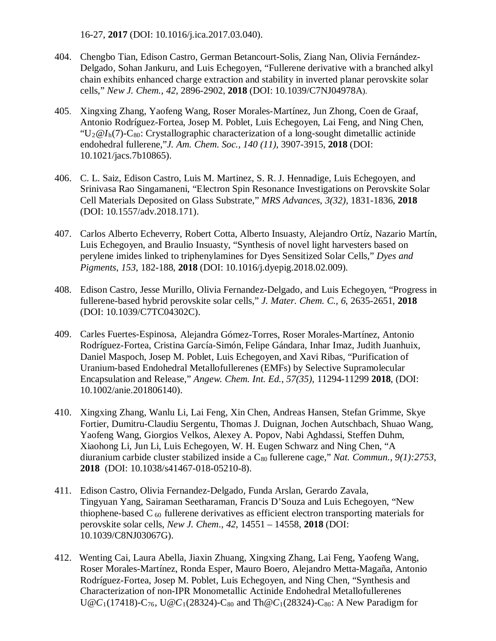16-27, **2017** (DOI: 10.1016/j.ica.2017.03.040).

- 404. Chengbo Tian, Edison Castro, German Betancourt-Solis, Ziang Nan, Olivia Fernández-Delgado, Sohan Jankuru, and Luis Echegoyen, "Fullerene derivative with a branched alkyl chain exhibits enhanced charge extraction and stability in inverted planar perovskite solar cells," *New J. Chem.*, *42*, 2896-2902, **2018** (DOI: 10.1039/C7NJ04978A).
- 405. Xingxing Zhang, Yaofeng Wang, Roser Morales-Martínez, Jun Zhong, Coen de Graaf, Antonio Rodríguez-Fortea, Josep M. Poblet, Luis Echegoyen, Lai Feng, and Ning Chen, "U<sub>2</sub> $@I<sub>h</sub>(7)$ -C<sub>80</sub>: Crystallographic characterization of a long-sought dimetallic actinide endohedral fullerene,"*J. Am. Chem. Soc., 140 (11),* 3907-3915, **2018** (DOI: 10.1021/jacs.7b10865).
- 406. C. L. Saiz, Edison Castro, Luis M. Martinez, S. R. J. Hennadige, Luis Echegoyen, and Srinivasa Rao Singamaneni, "Electron Spin Resonance Investigations on Perovskite Solar Cell Materials Deposited on Glass Substrate," *MRS Advances*, *3(32),* 1831-1836, **2018** (DOI: 10.1557/adv.2018.171).
- 407. Carlos Alberto Echeverry, Robert Cotta, Alberto Insuasty, Alejandro Ortíz, Nazario Martín, Luis Echegoyen, and Braulio Insuasty, "Synthesis of novel light harvesters based on perylene imides linked to triphenylamines for Dyes Sensitized Solar Cells," *Dyes and Pigments*, *153*, 182-188, **2018** (DOI: 10.1016/j.dyepig.2018.02.009).
- 408. Edison Castro, Jesse Murillo, Olivia Fernandez-Delgado, and Luis Echegoyen, "Progress in fullerene-based hybrid perovskite solar cells," *J. Mater. Chem. C., 6,* 2635-2651*,* **2018** (DOI: 10.1039/C7TC04302C).
- 409. Carles Fuertes-Espinosa, Alejandra Gómez-Torres, Roser Morales-Martínez, Antonio Rodríguez-Fortea, Cristina García-Simón, Felipe Gándara, Inhar Imaz, Judith Juanhuix, Daniel Maspoch, Josep M. Poblet, Luis Echegoyen, and Xavi Ribas, "Purification of Uranium-based Endohedral Metallofullerenes (EMFs) by Selective Supramolecular Encapsulation and Release," *Angew. Chem. Int. Ed.*, *57(35),* 11294-11299 **2018**, (DOI: 10.1002/anie.201806140).
- 410. Xingxing Zhang, Wanlu Li, Lai Feng, Xin Chen, Andreas Hansen, Stefan Grimme, Skye Fortier, Dumitru-Claudiu Sergentu, Thomas J. Duignan, Jochen Autschbach, Shuao Wang, Yaofeng Wang, Giorgios Velkos, Alexey A. Popov, Nabi Aghdassi, Steffen Duhm, Xiaohong Li, Jun Li, Luis Echegoyen, W. H. Eugen Schwarz and Ning Chen, "A diuranium carbide cluster stabilized inside a C<sub>80</sub> fullerene cage," *Nat. Commun.*, 9(1):2753, **2018** (DOI: 10.1038/s41467-018-05210-8).
- 411. Edison Castro, Olivia Fernandez-Delgado, Funda Arslan, Gerardo Zavala, Tingyuan Yang, Sairaman Seetharaman, Francis D'Souza and Luis Echegoyen, "New thiophene-based C<sub>60</sub> fullerene derivatives as efficient electron transporting materials for perovskite solar cells, *New J. Chem*., *42*, 14551 – 14558, **2018** (DOI: 10.1039/C8NJ03067G).
- 412. Wenting Cai, Laura Abella, Jiaxin Zhuang, Xingxing Zhang, Lai Feng, Yaofeng Wang, Roser Morales-Martínez, Ronda Esper, Mauro Boero, Alejandro Metta-Magaña, Antonio Rodríguez-Fortea, Josep M. Poblet, Luis Echegoyen, and Ning Chen, "Synthesis and Characterization of non-IPR Monometallic Actinide Endohedral Metallofullerenes  $U@C_{1}(17418) - C_{76}$ ,  $U@C_{1}(28324) - C_{80}$  and Th $@C_{1}(28324) - C_{80}$ : A New Paradigm for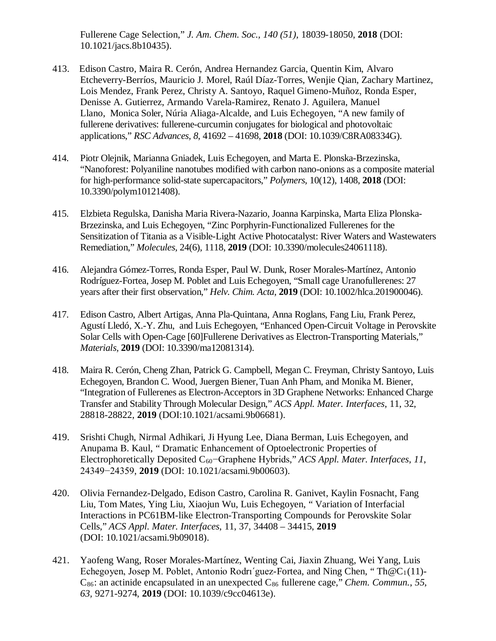Fullerene Cage Selection," *J. Am. Chem. Soc., 140 (51)*, 18039-18050, **2018** (DOI: 10.1021/jacs.8b10435).

- 413. Edison Castro, Maira R. Cerón, Andrea Hernandez Garcia, Quentin Kim, Alvaro Etcheverry-Berríos, Mauricio J. Morel, Raúl Díaz-Torres, Wenjie Qian, Zachary Martinez, Lois Mendez, Frank Perez, Christy A. Santoyo, Raquel Gimeno-Muñoz, Ronda Esper, Denisse A. Gutierrez, Armando Varela-Ramirez, Renato J. Aguilera, Manuel Llano, Monica Soler, Núria Aliaga-Alcalde, and Luis Echegoyen, "A new family of fullerene derivatives: fullerene-curcumin conjugates for biological and photovoltaic applications," *RSC Advances*, *8*, 41692 – 41698, **2018** (DOI: 10.1039/C8RA08334G).
- 414. Piotr Olejnik, Marianna Gniadek, Luis Echegoyen, and Marta E. Plonska-Brzezinska, "Nanoforest: Polyaniline nanotubes modified with carbon nano-onions as a composite material for high-performance solid-state supercapacitors," *Polymers,* 10(12), 1408, **2018** (DOI: 10.3390/polym10121408).
- 415. Elzbieta Regulska, Danisha Maria Rivera-Nazario, Joanna Karpinska, Marta Eliza Plonska-Brzezinska, and Luis Echegoyen, "Zinc Porphyrin-Functionalized Fullerenes for the Sensitization of Titania as a Visible-Light Active Photocatalyst: River Waters and Wastewaters Remediation," *Molecules,* 24(6), 1118, **2019** (DOI: 10.3390/molecules24061118).
- 416. Alejandra Gómez-Torres, Ronda Esper, Paul W. Dunk, Roser Morales-Martínez, Antonio Rodríguez-Fortea, Josep M. Poblet and Luis Echegoyen, "Small cage Uranofullerenes: 27 years after their first observation," *Helv. Chim. Acta*, **2019** (DOI: 10.1002/hlca.201900046).
- 417. Edison Castro, Albert Artigas, Anna Pla-Quintana, Anna Roglans, Fang Liu, Frank Perez, Agustí Lledó, X.-Y. Zhu, and Luis Echegoyen, "Enhanced Open-Circuit Voltage in Perovskite Solar Cells with Open-Cage [60]Fullerene Derivatives as Electron-Transporting Materials," *Materials,* **2019** (DOI: 10.3390/ma12081314).
- 418. Maira R. Cerón, Cheng Zhan, Patrick G. Campbell, Megan C. Freyman, Christy Santoyo, Luis Echegoyen, Brandon C. Wood, Juergen Biener,Tuan Anh Pham, and Monika M. Biener, "Integration of Fullerenes as Electron-Acceptors in 3D Graphene Networks: Enhanced Charge Transfer and Stability Through Molecular Design," *ACS Appl. Mater. Interfaces*, 11, 32, 28818-28822, **2019** (DOI:10.1021/acsami.9b06681).
- 419. Srishti Chugh, Nirmal Adhikari, Ji Hyung Lee, Diana Berman, Luis Echegoyen, and Anupama B. Kaul, " Dramatic Enhancement of Optoelectronic Properties of Electrophoretically Deposited C60−Graphene Hybrids," *ACS Appl. Mater. Interfaces*, *11*, 24349−24359, **2019** (DOI: 10.1021/acsami.9b00603).
- 420. Olivia Fernandez-Delgado, Edison Castro, Carolina R. Ganivet, Kaylin Fosnacht, Fang Liu, Tom Mates, Ying Liu, Xiaojun Wu, Luis Echegoyen, " Variation of Interfacial Interactions in PC61BM-like Electron-Transporting Compounds for Perovskite Solar Cells," *ACS Appl. Mater. Interfaces*, 11, 37, 34408 – 34415, **2019** (DOI: 10.1021/acsami.9b09018).
- 421. Yaofeng Wang, Roser Morales-Martínez, Wenting Cai, Jiaxin Zhuang, Wei Yang, Luis Echegoyen, Josep M. Poblet, Antonio Rodri<sup>o</sup>guez-Fortea, and Ning Chen, "Th $@C_1(1)$ -C86: an actinide encapsulated in an unexpected C86 fullerene cage," *Chem. Commun.*, *55*, *63,* 9271-9274, **2019** (DOI: 10.1039/c9cc04613e).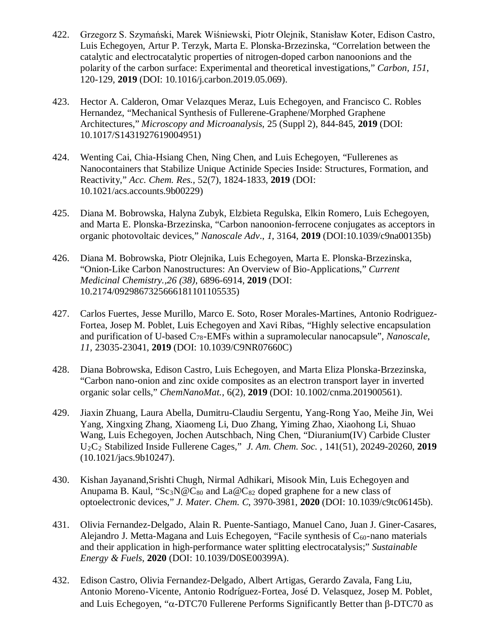- 422. Grzegorz S. Szymański, Marek Wiśniewski, Piotr Olejnik, Stanisław Koter, Edison Castro, Luis Echegoyen, Artur P. Terzyk, Marta E. Plonska-Brzezinska, "Correlation between the catalytic and electrocatalytic properties of nitrogen-doped carbon nanoonions and the polarity of the carbon surface: Experimental and theoretical investigations," *Carbon, 151*, 120-129, **2019** (DOI: 10.1016/j.carbon.2019.05.069).
- 423. Hector A. Calderon, Omar Velazques Meraz, Luis Echegoyen, and Francisco C. Robles Hernandez, "Mechanical Synthesis of Fullerene-Graphene/Morphed Graphene Architectures," *Microscopy and Microanalysis*, 25 (Suppl 2), 844-845, **2019** (DOI: 10.1017/S1431927619004951)
- 424. Wenting Cai, Chia-Hsiang Chen, Ning Chen, and Luis Echegoyen, "Fullerenes as Nanocontainers that Stabilize Unique Actinide Species Inside: Structures, Formation, and Reactivity," *Acc. Chem. Res.,* 52(7), 1824-1833, **2019** (DOI: 10.1021/acs.accounts.9b00229)
- 425. Diana M. Bobrowska, Halyna Zubyk, Elzbieta Regulska, Elkin Romero, Luis Echegoyen, and Marta E. Plonska-Brzezinska, "Carbon nanoonion-ferrocene conjugates as acceptors in organic photovoltaic devices," *Nanoscale Adv*., *1*, 3164, **2019** (DOI:10.1039/c9na00135b)
- 426. Diana M. Bobrowska, Piotr Olejnika, Luis Echegoyen, Marta E. Plonska-Brzezinska, "Onion-Like Carbon Nanostructures: An Overview of Bio-Applications," *Current Medicinal Chemistry.,26 (38)*, 6896-6914, **2019** (DOI: 10.2174/0929867325666181101105535)
- 427. Carlos Fuertes, Jesse Murillo, Marco E. Soto, Roser Morales-Martines, Antonio Rodriguez-Fortea, Josep M. Poblet, Luis Echegoyen and Xavi Ribas, "Highly selective encapsulation and purification of U-based C78-EMFs within a supramolecular nanocapsule", *Nanoscale*, *11,* 23035-23041, **2019** (DOI: 10.1039/C9NR07660C)
- 428. Diana Bobrowska, Edison Castro, Luis Echegoyen, and Marta Eliza Plonska-Brzezinska, "Carbon nano-onion and zinc oxide composites as an electron transport layer in inverted organic solar cells," *ChemNanoMat.*, 6(2), **2019** (DOI: 10.1002/cnma.201900561).
- 429. Jiaxin Zhuang, Laura Abella, Dumitru-Claudiu Sergentu, Yang-Rong Yao, Meihe Jin, Wei Yang, Xingxing Zhang, Xiaomeng Li, Duo Zhang, Yiming Zhao, Xiaohong Li, Shuao Wang, Luis Echegoyen, Jochen Autschbach, Ning Chen, "Diuranium(IV) Carbide Cluster U2C2 Stabilized Inside Fullerene Cages," *J. Am. Chem. Soc.* , 141(51), 20249-20260, **2019** (10.1021/jacs.9b10247).
- 430. Kishan Jayanand,Srishti Chugh, Nirmal Adhikari, Misook Min, Luis Echegoyen and Anupama B. Kaul, " $Sc_3N@C_{80}$  and  $La@C_{82}$  doped graphene for a new class of optoelectronic devices," *J. Mater. Chem. C*, 3970-3981, **2020** (DOI: 10.1039/c9tc06145b).
- 431. Olivia Fernandez-Delgado, Alain R. Puente-Santiago, Manuel Cano, Juan J. Giner-Casares, Alejandro J. Metta-Magana and Luis Echegoyen, "Facile synthesis of  $C_{60}$ -nano materials and their application in high-performance water splitting electrocatalysis;" *Sustainable Energy & Fuels*, **2020** (DOI: 10.1039/D0SE00399A).
- 432. Edison Castro, Olivia Fernandez-Delgado, Albert Artigas, Gerardo Zavala, Fang Liu, Antonio Moreno-Vicente, Antonio Rodríguez-Fortea, José D. Velasquez, Josep M. Poblet, and Luis Echegoyen, "α-DTC70 Fullerene Performs Significantly Better than β-DTC70 as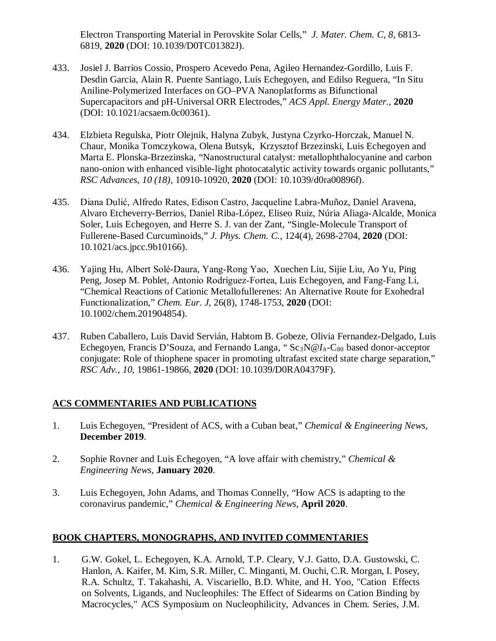Electron Transporting Material in Perovskite Solar Cells," *J. Mater. Chem. C*, *8*, 6813- 6819, **2020** (DOI: 10.1039/D0TC01382J).

- 433. Josiel J. Barrios Cossio, Prospero Acevedo Pena, Agileo Hernandez-Gordillo, Luis F. Desdin Garcia, Alain R. Puente Santiago, Luis Echegoyen, and Edilso Reguera, "In Situ Aniline-Polymerized Interfaces on GO–PVA Nanoplatforms as Bifunctional Supercapacitors and pH-Universal ORR Electrodes," *ACS Appl. Energy Mater.,* **2020** (DOI: 10.1021/acsaem.0c00361).
- 434. Elzbieta Regulska, Piotr Olejnik, Halyna Zubyk, Justyna Czyrko-Horczak, Manuel N. Chaur, Monika Tomczykowa, Olena Butsyk, Krzysztof Brzezinski, Luis Echegoyen and Marta E. Plonska-Brzezinska, "Nanostructural catalyst: metallophthalocyanine and carbon nano-onion with enhanced visible-light photocatalytic activity towards organic pollutants," *RSC Advances*, *10 (18)*, 10910-10920, **2020** (DOI: 10.1039/d0ra00896f).
- 435. Diana Dulić, Alfredo Rates, Edison Castro, Jacqueline Labra-Muñoz, Daniel Aravena, Alvaro Etcheverry-Berrios, Daniel Riba-López, Eliseo Ruiz, Núria Aliaga-Alcalde, Monica Soler, Luis Echegoyen, and Herre S. J. van der Zant, "Single-Molecule Transport of Fullerene-Based Curcuminoids," *J. Phys. Chem. C.*, 124(4), 2698-2704, **2020** (DOI: 10.1021/acs.jpcc.9b10166).
- 436. Yajing Hu, Albert Solé‐Daura, Yang‐Rong Yao, Xuechen Liu, Sijie Liu, Ao Yu, Ping Peng, Josep M. Poblet, Antonio Rodríguez‐Fortea, Luis Echegoyen, and Fang‐Fang Li, "Chemical Reactions of Cationic Metallofullerenes: An Alternative Route for Exohedral Functionalization," *Chem. Eur. J*, 26(8), 1748-1753, **2020** (DOI: 10.1002/chem.201904854).
- 437. Ruben Caballero, Luis David Servián, Habtom B. Gobeze, Olivia Fernandez-Delgado, Luis Echegoyen, Francis D'Souza, and Fernando Langa, "Sc<sub>3</sub>N@*I<sub>h</sub>*-C<sub>80</sub> based donor-acceptor conjugate: Role of thiophene spacer in promoting ultrafast excited state charge separation," *RSC Adv.*, *10*, 19861-19866, **2020** (DOI: 10.1039/D0RA04379F).

## **ACS COMMENTARIES AND PUBLICATIONS**

- 1. Luis Echegoyen, "President of ACS, with a Cuban beat," *Chemical & Engineering News,*  **December 2019**.
- 2. Sophie Rovner and Luis Echegoyen, "A love affair with chemistry," *Chemical & Engineering News,* **January 2020**.
- 3. Luis Echegoyen, John Adams, and Thomas Connelly, "How ACS is adapting to the coronavirus pandemic," *Chemical & Engineering News,* **April 2020**.

## **BOOK CHAPTERS, MONOGRAPHS, AND INVITED COMMENTARIES**

1. G.W. Gokel, L. Echegoyen, K.A. Arnold, T.P. Cleary, V.J. Gatto, D.A. Gustowski, C. Hanlon, A. Kaifer, M. Kim, S.R. Miller, C. Minganti, M. Ouchi, C.R. Morgan, I. Posey, R.A. Schultz, T. Takahashi, A. Viscariello, B.D. White, and H. Yoo, "Cation Effects on Solvents, Ligands, and Nucleophiles: The Effect of Sidearms on Cation Binding by Macrocycles," ACS Symposium on Nucleophilicity, Advances in Chem. Series, J.M.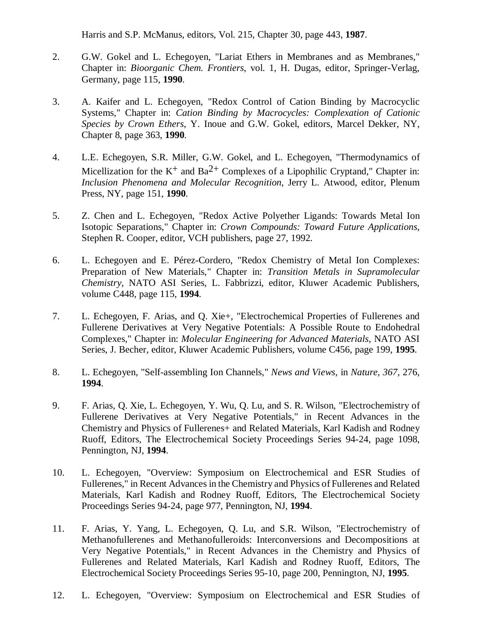Harris and S.P. McManus, editors, Vol. 215, Chapter 30, page 443, **1987**.

- 2. G.W. Gokel and L. Echegoyen, "Lariat Ethers in Membranes and as Membranes," Chapter in: *Bioorganic Chem. Frontiers*, vol. 1, H. Dugas, editor, Springer-Verlag, Germany, page 115, **1990**.
- 3. A. Kaifer and L. Echegoyen, "Redox Control of Cation Binding by Macrocyclic Systems," Chapter in: *Cation Binding by Macrocycles: Complexation of Cationic Species by Crown Ethers*, Y. Inoue and G.W. Gokel, editors, Marcel Dekker, NY, Chapter 8, page 363, **1990**.
- 4. L.E. Echegoyen, S.R. Miller, G.W. Gokel, and L. Echegoyen, "Thermodynamics of Micellization for the  $K^+$  and  $Ba^{2+}$  Complexes of a Lipophilic Cryptand," Chapter in: *Inclusion Phenomena and Molecular Recognition*, Jerry L. Atwood, editor, Plenum Press, NY, page 151, **1990**.
- 5. Z. Chen and L. Echegoyen, "Redox Active Polyether Ligands: Towards Metal Ion Isotopic Separations," Chapter in: *Crown Compounds: Toward Future Applications*, Stephen R. Cooper, editor, VCH publishers, page 27, 1992.
- 6. L. Echegoyen and E. Pérez-Cordero, "Redox Chemistry of Metal Ion Complexes: Preparation of New Materials," Chapter in: *Transition Metals in Supramolecular Chemistry*, NATO ASI Series, L. Fabbrizzi, editor, Kluwer Academic Publishers, volume C448, page 115, **1994**.
- 7. L. Echegoyen, F. Arias, and Q. Xie+, "Electrochemical Properties of Fullerenes and Fullerene Derivatives at Very Negative Potentials: A Possible Route to Endohedral Complexes," Chapter in: *Molecular Engineering for Advanced Materials*, NATO ASI Series, J. Becher, editor, Kluwer Academic Publishers, volume C456, page 199, **1995**.
- 8. L. Echegoyen, "Self-assembling Ion Channels," *News and Views*, in *Nature*, *367*, 276, **1994**.
- 9. F. Arias, Q. Xie, L. Echegoyen, Y. Wu, Q. Lu, and S. R. Wilson, "Electrochemistry of Fullerene Derivatives at Very Negative Potentials," in Recent Advances in the Chemistry and Physics of Fullerenes+ and Related Materials, Karl Kadish and Rodney Ruoff, Editors, The Electrochemical Society Proceedings Series 94-24, page 1098, Pennington, NJ, **1994**.
- 10. L. Echegoyen, "Overview: Symposium on Electrochemical and ESR Studies of Fullerenes," in Recent Advances in the Chemistry and Physics of Fullerenes and Related Materials, Karl Kadish and Rodney Ruoff, Editors, The Electrochemical Society Proceedings Series 94-24, page 977, Pennington, NJ, **1994**.
- 11. F. Arias, Y. Yang, L. Echegoyen, Q. Lu, and S.R. Wilson, "Electrochemistry of Methanofullerenes and Methanofulleroids: Interconversions and Decompositions at Very Negative Potentials," in Recent Advances in the Chemistry and Physics of Fullerenes and Related Materials, Karl Kadish and Rodney Ruoff, Editors, The Electrochemical Society Proceedings Series 95-10, page 200, Pennington, NJ, **1995**.
- 12. L. Echegoyen, "Overview: Symposium on Electrochemical and ESR Studies of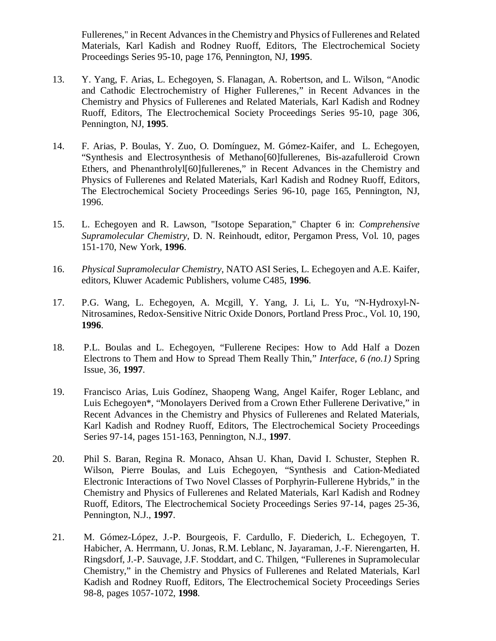Fullerenes," in Recent Advances in the Chemistry and Physics of Fullerenes and Related Materials, Karl Kadish and Rodney Ruoff, Editors, The Electrochemical Society Proceedings Series 95-10, page 176, Pennington, NJ, **1995**.

- 13. Y. Yang, F. Arias, L. Echegoyen, S. Flanagan, A. Robertson, and L. Wilson, "Anodic and Cathodic Electrochemistry of Higher Fullerenes," in Recent Advances in the Chemistry and Physics of Fullerenes and Related Materials, Karl Kadish and Rodney Ruoff, Editors, The Electrochemical Society Proceedings Series 95-10, page 306, Pennington, NJ, **1995**.
- 14. F. Arias, P. Boulas, Y. Zuo, O. Domínguez, M. Gómez-Kaifer, and L. Echegoyen, "Synthesis and Electrosynthesis of Methano[60]fullerenes, Bis-azafulleroid Crown Ethers, and Phenanthrolyl[60]fullerenes," in Recent Advances in the Chemistry and Physics of Fullerenes and Related Materials, Karl Kadish and Rodney Ruoff, Editors, The Electrochemical Society Proceedings Series 96-10, page 165, Pennington, NJ, 1996.
- 15. L. Echegoyen and R. Lawson, "Isotope Separation," Chapter 6 in: *Comprehensive Supramolecular Chemistry*, D. N. Reinhoudt, editor, Pergamon Press, Vol. 10, pages 151-170, New York, **1996**.
- 16. *Physical Supramolecular Chemistry*, NATO ASI Series, L. Echegoyen and A.E. Kaifer, editors, Kluwer Academic Publishers, volume C485, **1996**.
- 17. P.G. Wang, L. Echegoyen, A. Mcgill, Y. Yang, J. Li, L. Yu, "N-Hydroxyl-N-Nitrosamines, Redox-Sensitive Nitric Oxide Donors, Portland Press Proc., Vol. 10, 190, **1996**.
- 18. P.L. Boulas and L. Echegoyen, "Fullerene Recipes: How to Add Half a Dozen Electrons to Them and How to Spread Them Really Thin," *Interface*, *6 (no.1)* Spring Issue, 36, **1997**.
- 19. Francisco Arias, Luis Godínez, Shaopeng Wang, Angel Kaifer, Roger Leblanc, and Luis Echegoyen\*, "Monolayers Derived from a Crown Ether Fullerene Derivative," in Recent Advances in the Chemistry and Physics of Fullerenes and Related Materials, Karl Kadish and Rodney Ruoff, Editors, The Electrochemical Society Proceedings Series 97-14, pages 151-163, Pennington, N.J., **1997**.
- 20. Phil S. Baran, Regina R. Monaco, Ahsan U. Khan, David I. Schuster, Stephen R. Wilson, Pierre Boulas, and Luis Echegoyen, "Synthesis and Cation-Mediated Electronic Interactions of Two Novel Classes of Porphyrin-Fullerene Hybrids," in the Chemistry and Physics of Fullerenes and Related Materials, Karl Kadish and Rodney Ruoff, Editors, The Electrochemical Society Proceedings Series 97-14, pages 25-36, Pennington, N.J., **1997**.
- 21. M. Gómez-López, J.-P. Bourgeois, F. Cardullo, F. Diederich, L. Echegoyen, T. Habicher, A. Herrmann, U. Jonas, R.M. Leblanc, N. Jayaraman, J.-F. Nierengarten, H. Ringsdorf, J.-P. Sauvage, J.F. Stoddart, and C. Thilgen, "Fullerenes in Supramolecular Chemistry," in the Chemistry and Physics of Fullerenes and Related Materials, Karl Kadish and Rodney Ruoff, Editors, The Electrochemical Society Proceedings Series 98-8, pages 1057-1072, **1998**.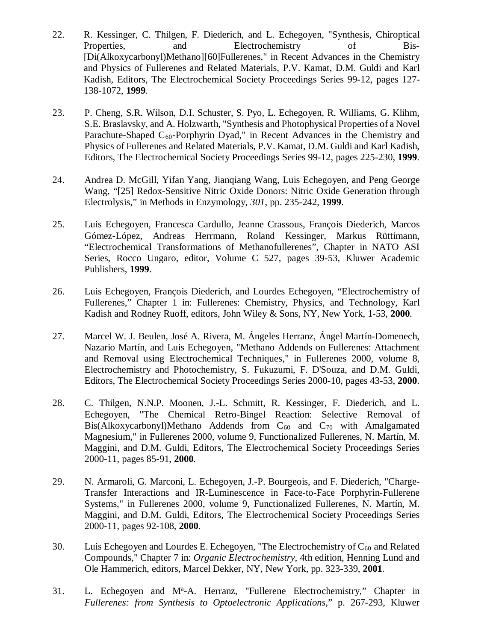- 22. R. Kessinger, C. Thilgen, F. Diederich, and L. Echegoyen, "Synthesis, Chiroptical Properties, and Electrochemistry of Bis-[Di(Alkoxycarbonyl)Methano][60]Fullerenes," in Recent Advances in the Chemistry and Physics of Fullerenes and Related Materials, P.V. Kamat, D.M. Guldi and Karl Kadish, Editors, The Electrochemical Society Proceedings Series 99-12, pages 127- 138-1072, **1999**.
- 23. P. Cheng, S.R. Wilson, D.I. Schuster, S. Pyo, L. Echegoyen, R. Williams, G. Klihm, S.E. Braslavsky, and A. Holzwarth, "Synthesis and Photophysical Properties of a Novel Parachute-Shaped  $C_{60}$ -Porphyrin Dyad," in Recent Advances in the Chemistry and Physics of Fullerenes and Related Materials, P.V. Kamat, D.M. Guldi and Karl Kadish, Editors, The Electrochemical Society Proceedings Series 99-12, pages 225-230, **1999**.
- 24. Andrea D. McGill, Yifan Yang, Jianqiang Wang, Luis Echegoyen, and Peng George Wang, "[25] Redox-Sensitive Nitric Oxide Donors: Nitric Oxide Generation through Electrolysis," in Methods in Enzymology, *301*, pp. 235-242, **1999**.
- 25. Luis Echegoyen, Francesca Cardullo, Jeanne Crassous, François Diederich, Marcos Gómez-López, Andreas Herrmann, Roland Kessinger, Markus Rüttimann, "Electrochemical Transformations of Methanofullerenes", Chapter in NATO ASI Series, Rocco Ungaro, editor, Volume C 527, pages 39-53, Kluwer Academic Publishers, **1999**.
- 26. Luis Echegoyen, François Diederich, and Lourdes Echegoyen, "Electrochemistry of Fullerenes," Chapter 1 in: Fullerenes: Chemistry, Physics, and Technology, Karl Kadish and Rodney Ruoff, editors, John Wiley & Sons, NY, New York, 1-53, **2000**.
- 27. Marcel W. J. Beulen, José A. Rivera, M. Ángeles Herranz, Ángel Martín-Domenech, Nazario Martín, and Luis Echegoyen, "Methano Addends on Fullerenes: Attachment and Removal using Electrochemical Techniques," in Fullerenes 2000, volume 8, Electrochemistry and Photochemistry, S. Fukuzumi, F. D'Souza, and D.M. Guldi, Editors, The Electrochemical Society Proceedings Series 2000-10, pages 43-53, **2000**.
- 28. C. Thilgen, N.N.P. Moonen, J.-L. Schmitt, R. Kessinger, F. Diederich, and L. Echegoyen, "The Chemical Retro-Bingel Reaction: Selective Removal of Bis(Alkoxycarbonyl)Methano Addends from  $C_{60}$  and  $C_{70}$  with Amalgamated Magnesium," in Fullerenes 2000, volume 9, Functionalized Fullerenes, N. Martín, M. Maggini, and D.M. Guldi, Editors, The Electrochemical Society Proceedings Series 2000-11, pages 85-91, **2000**.
- 29. N. Armaroli, G. Marconi, L. Echegoyen, J.-P. Bourgeois, and F. Diederich, "Charge-Transfer Interactions and IR-Luminescence in Face-to-Face Porphyrin-Fullerene Systems," in Fullerenes 2000, volume 9, Functionalized Fullerenes, N. Martín, M. Maggini, and D.M. Guldi, Editors, The Electrochemical Society Proceedings Series 2000-11, pages 92-108, **2000**.
- 30. Luis Echegoyen and Lourdes E. Echegoyen, "The Electrochemistry of  $C_{60}$  and Related Compounds," Chapter 7 in: *Organic Electrochemistry*, 4th edition, Henning Lund and Ole Hammerich, editors, Marcel Dekker, NY, New York, pp. 323-339, **2001**.
- 31. L. Echegoyen and M<sup>a</sup>-A. Herranz, "Fullerene Electrochemistry," Chapter in *Fullerenes: from Synthesis to Optoelectronic Applications*," p. 267-293, Kluwer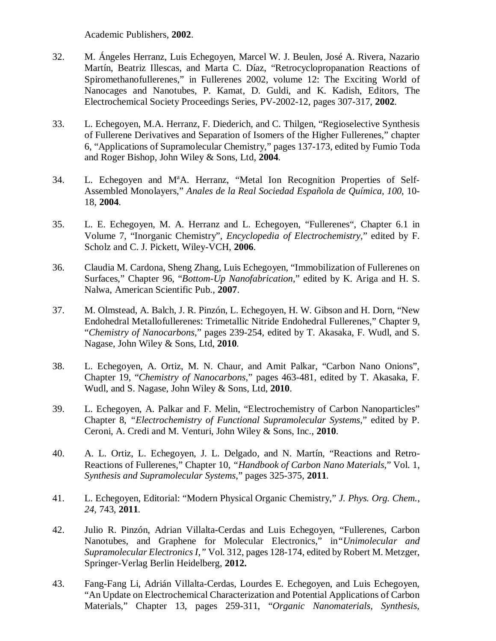Academic Publishers, **2002**.

- 32. M. Ángeles Herranz, Luis Echegoyen, Marcel W. J. Beulen, José A. Rivera, Nazario Martín, Beatriz Illescas, and Marta C. Díaz, "Retrocyclopropanation Reactions of Spiromethanofullerenes," in Fullerenes 2002, volume 12: The Exciting World of Nanocages and Nanotubes, P. Kamat, D. Guldi, and K. Kadish, Editors, The Electrochemical Society Proceedings Series, PV-2002-12, pages 307-317, **2002**.
- 33. L. Echegoyen, M.A. Herranz, F. Diederich, and C. Thilgen, "Regioselective Synthesis of Fullerene Derivatives and Separation of Isomers of the Higher Fullerenes," chapter 6, "Applications of Supramolecular Chemistry," pages 137-173, edited by Fumio Toda and Roger Bishop, John Wiley & Sons, Ltd, **2004**.
- 34. L. Echegoyen and M<sup>a</sup>A. Herranz, "Metal Ion Recognition Properties of Self-Assembled Monolayers," *Anales de la Real Sociedad Española de Química*, *100*, 10- 18, **2004**.
- 35. L. E. Echegoyen, M. A. Herranz and L. Echegoyen, "Fullerenes", Chapter 6.1 in Volume 7, "Inorganic Chemistry", *Encyclopedia of Electrochemistry*," edited by F. Scholz and C. J. Pickett, Wiley-VCH, **2006**.
- 36. Claudia M. Cardona, Sheng Zhang, Luis Echegoyen, "Immobilization of Fullerenes on Surfaces," Chapter 96, "*Bottom-Up Nanofabrication*," edited by K. Ariga and H. S. Nalwa, American Scientific Pub., **2007**.
- 37. M. Olmstead, A. Balch, J. R. Pinzón, L. Echegoyen, H. W. Gibson and H. Dorn, "New Endohedral Metallofullerenes: Trimetallic Nitride Endohedral Fullerenes," Chapter 9, "*Chemistry of Nanocarbons*," pages 239-254, edited by T. Akasaka, F. Wudl, and S. Nagase, John Wiley & Sons, Ltd, **2010**.
- 38. L. Echegoyen, A. Ortiz, M. N. Chaur, and Amit Palkar, "Carbon Nano Onions", Chapter 19, "*Chemistry of Nanocarbons*," pages 463-481, edited by T. Akasaka, F. Wudl, and S. Nagase, John Wiley & Sons, Ltd, **2010**.
- 39. L. Echegoyen, A. Palkar and F. Melin, "Electrochemistry of Carbon Nanoparticles" Chapter 8, *"Electrochemistry of Functional Supramolecular Systems*," edited by P. Ceroni, A. Credi and M. Venturi, John Wiley & Sons, Inc., **2010**.
- 40. A. L. Ortiz, L. Echegoyen, J. L. Delgado, and N. Martín, "Reactions and Retro-Reactions of Fullerenes," Chapter 10, *"Handbook of Carbon Nano Materials*," Vol. 1, *Synthesis and Supramolecular Systems*," pages 325-375, **2011**.
- 41. L. Echegoyen, Editorial: "Modern Physical Organic Chemistry," *J. Phys. Org. Chem.*, *24*, 743, **2011**.
- 42. Julio R. Pinzón, Adrian Villalta-Cerdas and Luis Echegoyen, "Fullerenes, Carbon Nanotubes, and Graphene for Molecular Electronics," in*"Unimolecular and Supramolecular Electronics I,"* Vol. 312, pages 128-174, edited by Robert M. Metzger, Springer-Verlag Berlin Heidelberg, **2012.**
- 43. Fang-Fang Li, Adrián Villalta-Cerdas, Lourdes E. Echegoyen, and Luis Echegoyen, "An Update on Electrochemical Characterization and Potential Applications of Carbon Materials," Chapter 13, pages 259-311, "*Organic Nanomaterials, Synthesis,*